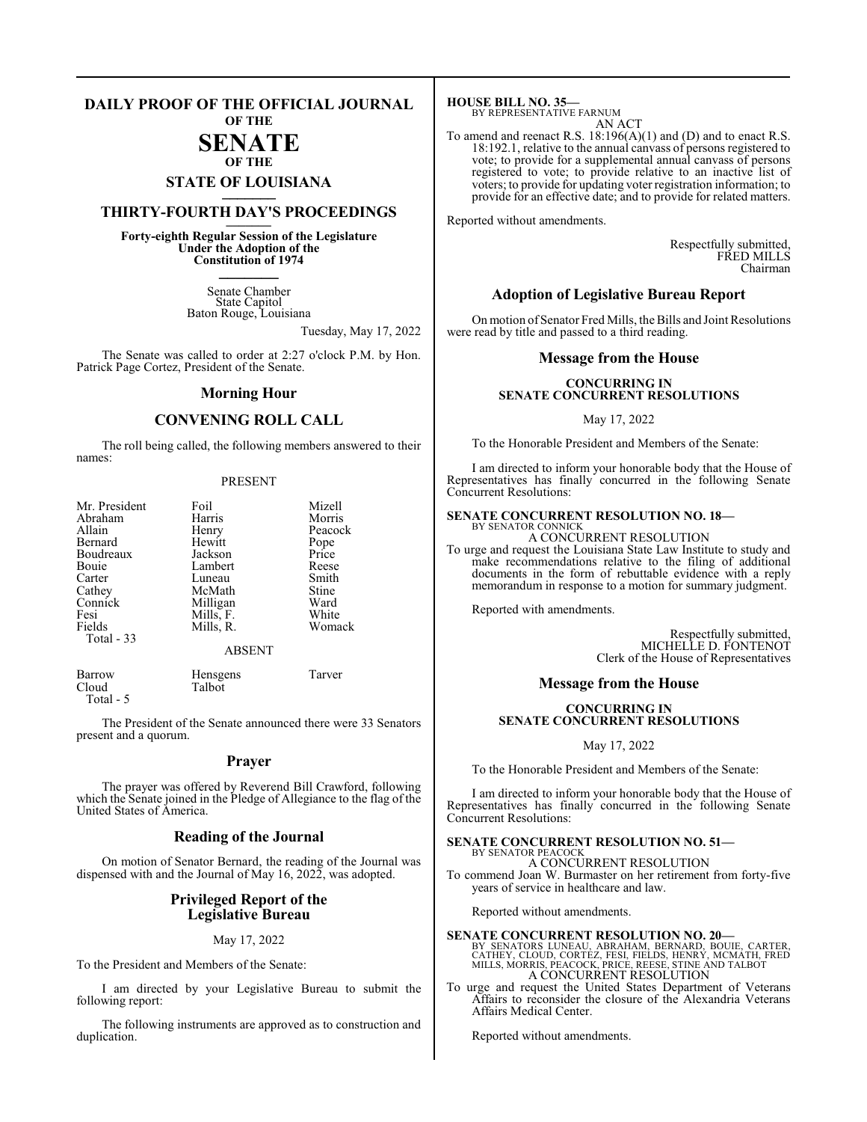#### **DAILY PROOF OF THE OFFICIAL JOURNAL OF THE**

# **SENATE**

**OF THE**

# **STATE OF LOUISIANA \_\_\_\_\_\_\_**

## **THIRTY-FOURTH DAY'S PROCEEDINGS \_\_\_\_\_\_\_**

**Forty-eighth Regular Session of the Legislature Under the Adoption of the Constitution of 1974 \_\_\_\_\_\_\_**

> Senate Chamber State Capitol Baton Rouge, Louisiana

> > Tuesday, May 17, 2022

The Senate was called to order at 2:27 o'clock P.M. by Hon. Patrick Page Cortez, President of the Senate.

#### **Morning Hour**

### **CONVENING ROLL CALL**

The roll being called, the following members answered to their names:

#### PRESENT

| Mr. President | Foil          | Mizell  |
|---------------|---------------|---------|
| Abraham       | Harris        | Morris  |
| Allain        | Henry         | Peacock |
| Bernard       | Hewitt        | Pope    |
| Boudreaux     | Jackson       | Price   |
| Bouie         | Lambert       | Reese   |
| Carter        | Luneau        | Smith   |
| Cathey        | McMath        | Stine   |
| Connick       | Milligan      | Ward    |
| Fesi          | Mills, F.     | White   |
| Fields        | Mills, R.     | Womack  |
| Total - 33    |               |         |
|               | <b>ABSENT</b> |         |
|               |               |         |

| Barrow    | Hensgens | Tarver |
|-----------|----------|--------|
| Cloud     | Talbot   |        |
| Total - 5 |          |        |

The President of the Senate announced there were 33 Senators present and a quorum.

#### **Prayer**

The prayer was offered by Reverend Bill Crawford, following which the Senate joined in the Pledge of Allegiance to the flag of the United States of America.

#### **Reading of the Journal**

On motion of Senator Bernard, the reading of the Journal was dispensed with and the Journal of May 16, 2022, was adopted.

#### **Privileged Report of the Legislative Bureau**

May 17, 2022

To the President and Members of the Senate:

I am directed by your Legislative Bureau to submit the following report:

The following instruments are approved as to construction and duplication.

**HOUSE BILL NO. 35—** BY REPRESENTATIVE FARNUM **ACT** 

|  |  | × |  |
|--|--|---|--|
|  |  |   |  |

To amend and reenact R.S. 18:196(A)(1) and (D) and to enact R.S. 18:192.1, relative to the annual canvass of persons registered to vote; to provide for a supplemental annual canvass of persons registered to vote; to provide relative to an inactive list of voters; to provide for updating voter registration information; to provide for an effective date; and to provide for related matters.

Reported without amendments.

Respectfully submitted, FRED MILLS Chairman

#### **Adoption of Legislative Bureau Report**

On motion of Senator Fred Mills, the Bills and Joint Resolutions were read by title and passed to a third reading.

#### **Message from the House**

#### **CONCURRING IN SENATE CONCURRENT RESOLUTIONS**

May 17, 2022

To the Honorable President and Members of the Senate:

I am directed to inform your honorable body that the House of Representatives has finally concurred in the following Senate Concurrent Resolutions:

#### **SENATE CONCURRENT RESOLUTION NO. 18—** BY SENATOR CONNICK

A CONCURRENT RESOLUTION

To urge and request the Louisiana State Law Institute to study and make recommendations relative to the filing of additional documents in the form of rebuttable evidence with a reply memorandum in response to a motion for summary judgment.

Reported with amendments.

Respectfully submitted, MICHELLE D. FONTENOT Clerk of the House of Representatives

#### **Message from the House**

#### **CONCURRING IN SENATE CONCURRENT RESOLUTIONS**

May 17, 2022

To the Honorable President and Members of the Senate:

I am directed to inform your honorable body that the House of Representatives has finally concurred in the following Senate Concurrent Resolutions:

#### **SENATE CONCURRENT RESOLUTION NO. 51—**

BY SENATOR PEACOCK A CONCURRENT RESOLUTION To commend Joan W. Burmaster on her retirement from forty-five years of service in healthcare and law.

Reported without amendments.

**SENATE CONCURRENT RESOLUTION NO. 20—**<br>BY SENATORS LUNEAU, ABRAHAM, BERNARD, BOUIE, CARTER,<br>CATHEY, CLOUD, CORTEZ, FESI, FIELDS, HENRY, MCMATH, FRED<br>MILLS, MORRIS, PEACOCK, PRICE, REESE, STINE AND TALBOT A CONCURRENT RESOLUTION

To urge and request the United States Department of Veterans Affairs to reconsider the closure of the Alexandria Veterans Affairs Medical Center.

Reported without amendments.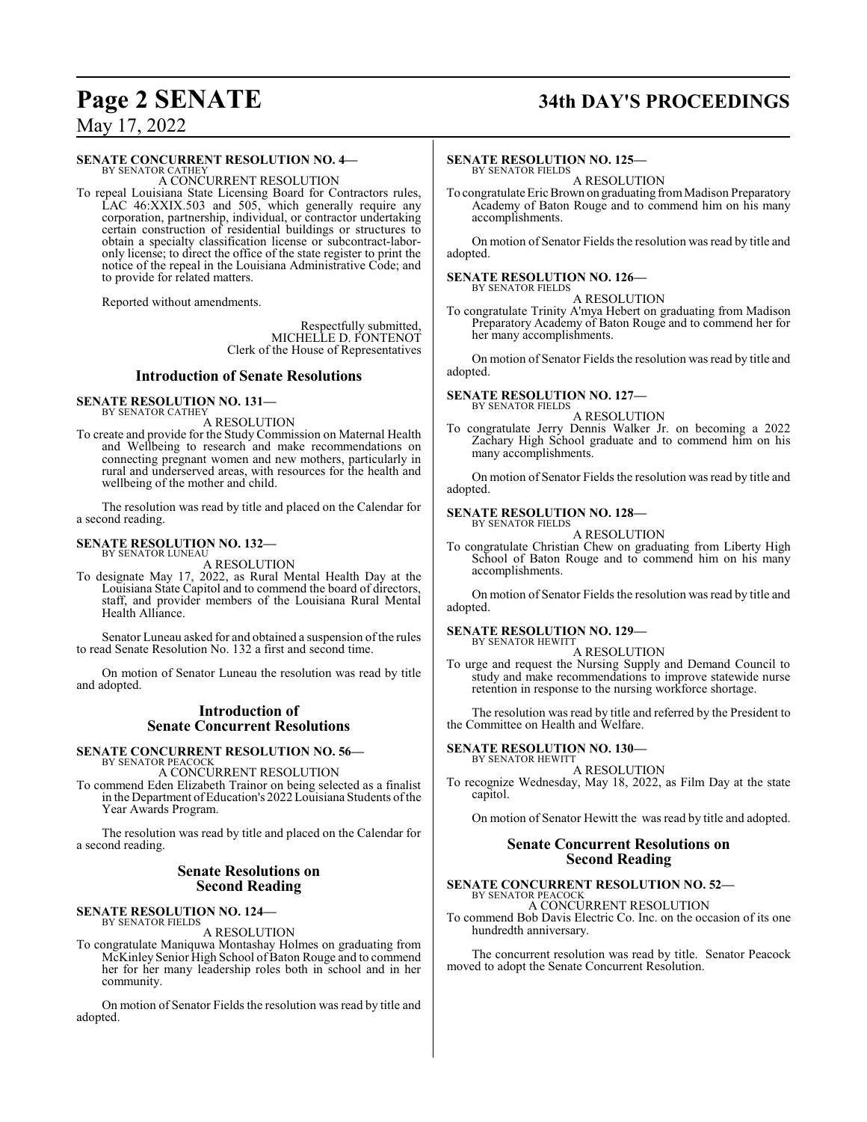# **Page 2 SENATE 34th DAY'S PROCEEDINGS**

May 17, 2022

#### **SENATE CONCURRENT RESOLUTION NO. 4—**

BY SENATOR CATHEY A CONCURRENT RESOLUTION

To repeal Louisiana State Licensing Board for Contractors rules, LAC 46:XXIX.503 and 505, which generally require any corporation, partnership, individual, or contractor undertaking certain construction of residential buildings or structures to obtain a specialty classification license or subcontract-laboronly license; to direct the office of the state register to print the notice of the repeal in the Louisiana Administrative Code; and to provide for related matters.

Reported without amendments.

Respectfully submitted, MICHELLE D. FONTENOT Clerk of the House of Representatives

#### **Introduction of Senate Resolutions**

#### **SENATE RESOLUTION NO. 131—** BY SENATOR CATHEY

A RESOLUTION

To create and provide for the Study Commission on Maternal Health and Wellbeing to research and make recommendations on connecting pregnant women and new mothers, particularly in rural and underserved areas, with resources for the health and wellbeing of the mother and child.

The resolution was read by title and placed on the Calendar for a second reading.

#### **SENATE RESOLUTION NO. 132—** BY SENATOR LUNEAU

A RESOLUTION

To designate May 17, 2022, as Rural Mental Health Day at the Louisiana State Capitol and to commend the board of directors, staff, and provider members of the Louisiana Rural Mental Health Alliance.

Senator Luneau asked for and obtained a suspension of the rules to read Senate Resolution No. 132 a first and second time.

On motion of Senator Luneau the resolution was read by title and adopted.

#### **Introduction of Senate Concurrent Resolutions**

**SENATE CONCURRENT RESOLUTION NO. 56—** BY SENATOR PEACOCK

A CONCURRENT RESOLUTION

To commend Eden Elizabeth Trainor on being selected as a finalist in the Department of Education's 2022 Louisiana Students of the Year Awards Program.

The resolution was read by title and placed on the Calendar for a second reading.

#### **Senate Resolutions on Second Reading**

#### **SENATE RESOLUTION NO. 124—** BY SENATOR FIELDS

A RESOLUTION

To congratulate Maniquwa Montashay Holmes on graduating from McKinley Senior High School of Baton Rouge and to commend her for her many leadership roles both in school and in her community.

On motion of Senator Fields the resolution was read by title and adopted.

#### **SENATE RESOLUTION NO. 125—**

BY SENATOR FIELDS A RESOLUTION

To congratulate Eric Brown on graduating from Madison Preparatory Academy of Baton Rouge and to commend him on his many accomplishments.

On motion of Senator Fields the resolution was read by title and adopted.

#### **SENATE RESOLUTION NO. 126—** BY SENATOR FIELDS

A RESOLUTION

To congratulate Trinity A'mya Hebert on graduating from Madison Preparatory Academy of Baton Rouge and to commend her for her many accomplishments.

On motion of Senator Fields the resolution was read by title and adopted.

**SENATE RESOLUTION NO. 127—**

BY SENATOR FIELDS A RESOLUTION

To congratulate Jerry Dennis Walker Jr. on becoming a 2022 Zachary High School graduate and to commend him on his many accomplishments.

On motion of Senator Fields the resolution was read by title and adopted.

# **SENATE RESOLUTION NO. 128—** BY SENATOR FIELDS

A RESOLUTION

To congratulate Christian Chew on graduating from Liberty High School of Baton Rouge and to commend him on his many accomplishments.

On motion of Senator Fields the resolution was read by title and adopted.

#### **SENATE RESOLUTION NO. 129—** BY SENATOR HEWITT

A RESOLUTION

To urge and request the Nursing Supply and Demand Council to study and make recommendations to improve statewide nurse retention in response to the nursing workforce shortage.

The resolution was read by title and referred by the President to the Committee on Health and Welfare.

#### **SENATE RESOLUTION NO. 130—**

BY SENATOR HEWITT A RESOLUTION

To recognize Wednesday, May 18, 2022, as Film Day at the state capitol.

On motion of Senator Hewitt the was read by title and adopted.

#### **Senate Concurrent Resolutions on Second Reading**

#### **SENATE CONCURRENT RESOLUTION NO. 52—** BY SENATOR PEACOCK

A CONCURRENT RESOLUTION

To commend Bob Davis Electric Co. Inc. on the occasion of its one hundredth anniversary.

The concurrent resolution was read by title. Senator Peacock moved to adopt the Senate Concurrent Resolution.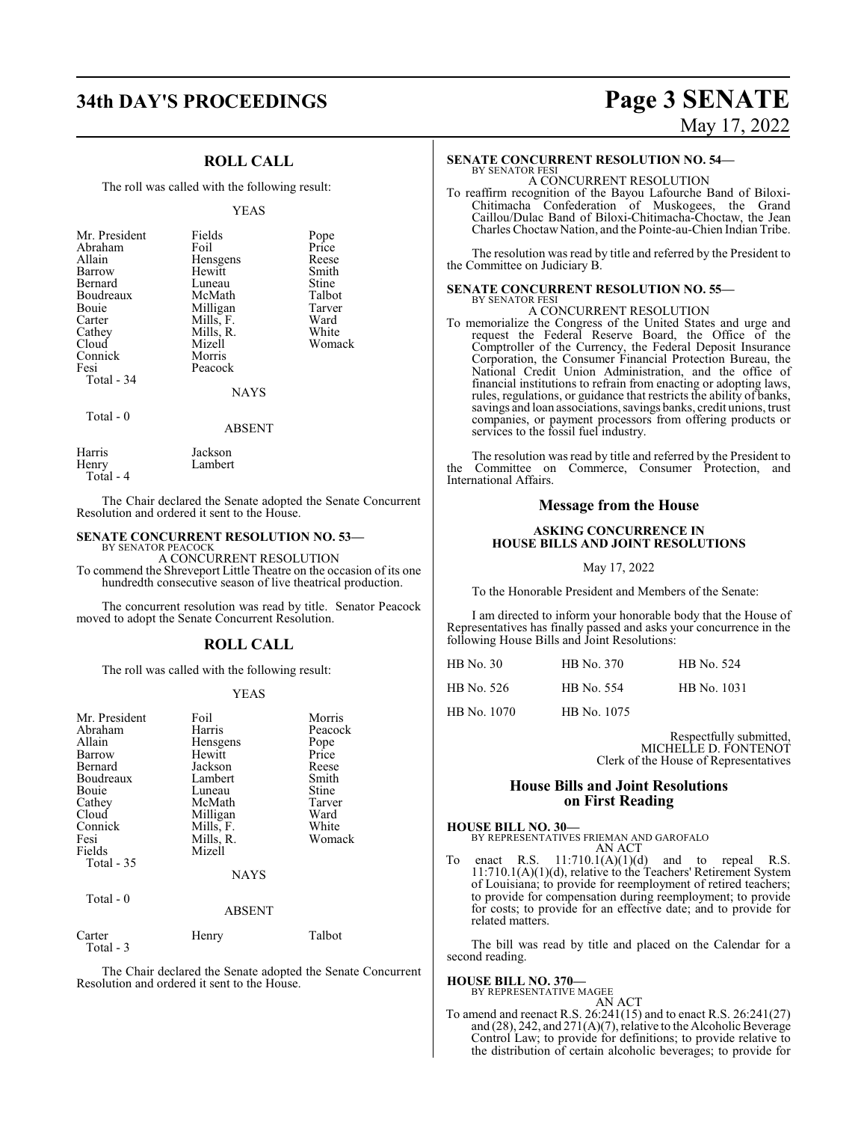# **34th DAY'S PROCEEDINGS Page 3 SENATE**

## **ROLL CALL**

The roll was called with the following result:

#### YEAS

| Mr. President<br>Abraham<br>Allain<br>Barrow<br>Bernard<br>Boudreaux<br>Bouie<br>Carter<br>Cathey<br>Cloud<br>Connick<br>Fesi | Fields<br>Foil<br>Hensgens<br>Hewitt<br>Luneau<br>McMath<br>Milligan<br>Mills, F.<br>Mills, R.<br>Mizell<br>Morris<br>Peacock | Pope<br>Price<br>Reese<br>Smith<br>Stine<br>Talbot<br>Tarver<br>Ward<br>White<br>Womack |
|-------------------------------------------------------------------------------------------------------------------------------|-------------------------------------------------------------------------------------------------------------------------------|-----------------------------------------------------------------------------------------|
| Total - 34                                                                                                                    | <b>NAYS</b>                                                                                                                   |                                                                                         |
| ___                                                                                                                           |                                                                                                                               |                                                                                         |

Total - 0

#### ABSENT

| Harris    | Jackson |
|-----------|---------|
| Henry     | Lambert |
| Total - 4 |         |

The Chair declared the Senate adopted the Senate Concurrent Resolution and ordered it sent to the House.

#### **SENATE CONCURRENT RESOLUTION NO. 53—**

BY SENATOR PEACOCK A CONCURRENT RESOLUTION

To commend the Shreveport Little Theatre on the occasion of its one hundredth consecutive season of live theatrical production.

The concurrent resolution was read by title. Senator Peacock moved to adopt the Senate Concurrent Resolution.

#### **ROLL CALL**

The roll was called with the following result:

#### YEAS

| Mr. President<br>Abraham<br>Allain<br>Barrow<br>Bernard<br>Boudreaux<br>Bouie<br>Cathey<br>Cloud<br>Connick<br>Fesi<br>Fields<br>Total $-35$ | Foil<br>Harris<br>Hensgens<br>Hewitt<br>Jackson<br>Lambert<br>Luneau<br>McMath<br>Milligan<br>Mills, F.<br>Mills, R.<br>Mizell<br><b>NAYS</b> | Morris<br>Peacock<br>Pope<br>Price<br>Reese<br>Smith<br>Stine<br>Tarver<br>Ward<br>White<br>Womack |
|----------------------------------------------------------------------------------------------------------------------------------------------|-----------------------------------------------------------------------------------------------------------------------------------------------|----------------------------------------------------------------------------------------------------|
| Total $-0$                                                                                                                                   | <b>ABSENT</b>                                                                                                                                 |                                                                                                    |
| Carter                                                                                                                                       | Henry                                                                                                                                         | Talbot                                                                                             |

Total - 3

The Chair declared the Senate adopted the Senate Concurrent Resolution and ordered it sent to the House.

# May 17, 2022

## **SENATE CONCURRENT RESOLUTION NO. 54—**

BY SENATOR FESI A CONCURRENT RESOLUTION

To reaffirm recognition of the Bayou Lafourche Band of Biloxi-Chitimacha Confederation of Muskogees, the Grand Caillou/Dulac Band of Biloxi-Chitimacha-Choctaw, the Jean Charles ChoctawNation, and the Pointe-au-Chien Indian Tribe.

The resolution was read by title and referred by the President to the Committee on Judiciary B.

#### **SENATE CONCURRENT RESOLUTION NO. 55—** BY SENATOR FESI

A CONCURRENT RESOLUTION

To memorialize the Congress of the United States and urge and request the Federal Reserve Board, the Office of the Comptroller of the Currency, the Federal Deposit Insurance Corporation, the Consumer Financial Protection Bureau, the National Credit Union Administration, and the office of financial institutions to refrain from enacting or adopting laws, rules, regulations, or guidance that restricts the ability of banks, savings and loan associations, savings banks, credit unions, trust companies, or payment processors from offering products or services to the fossil fuel industry.

The resolution was read by title and referred by the President to the Committee on Commerce, Consumer Protection, and International Affairs.

#### **Message from the House**

#### **ASKING CONCURRENCE IN HOUSE BILLS AND JOINT RESOLUTIONS**

May 17, 2022

To the Honorable President and Members of the Senate:

I am directed to inform your honorable body that the House of Representatives has finally passed and asks your concurrence in the following House Bills and Joint Resolutions:

| <b>HB</b> No. 30 | HB No. 370  | HB No. 524  |
|------------------|-------------|-------------|
| HB No. 526       | HB No. 554  | HB No. 1031 |
| HB No. 1070      | HB No. 1075 |             |

Respectfully submitted, MICHELLE D. FONTENOT Clerk of the House of Representatives

#### **House Bills and Joint Resolutions on First Reading**

**HOUSE BILL NO. 30—**

BY REPRESENTATIVES FRIEMAN AND GAROFALO AN ACT

To enact R.S.  $11:710.1(A)(1)(d)$  and to repeal R.S. 11:710.1(A)(1)(d), relative to the Teachers' Retirement System of Louisiana; to provide for reemployment of retired teachers; to provide for compensation during reemployment; to provide for costs; to provide for an effective date; and to provide for related matters.

The bill was read by title and placed on the Calendar for a second reading.

# **HOUSE BILL NO. 370—** BY REPRESENTATIVE MAGEE

AN ACT

To amend and reenact R.S. 26:241(15) and to enact R.S. 26:241(27) and (28), 242, and 271(A)(7), relative to the Alcoholic Beverage Control Law; to provide for definitions; to provide relative to the distribution of certain alcoholic beverages; to provide for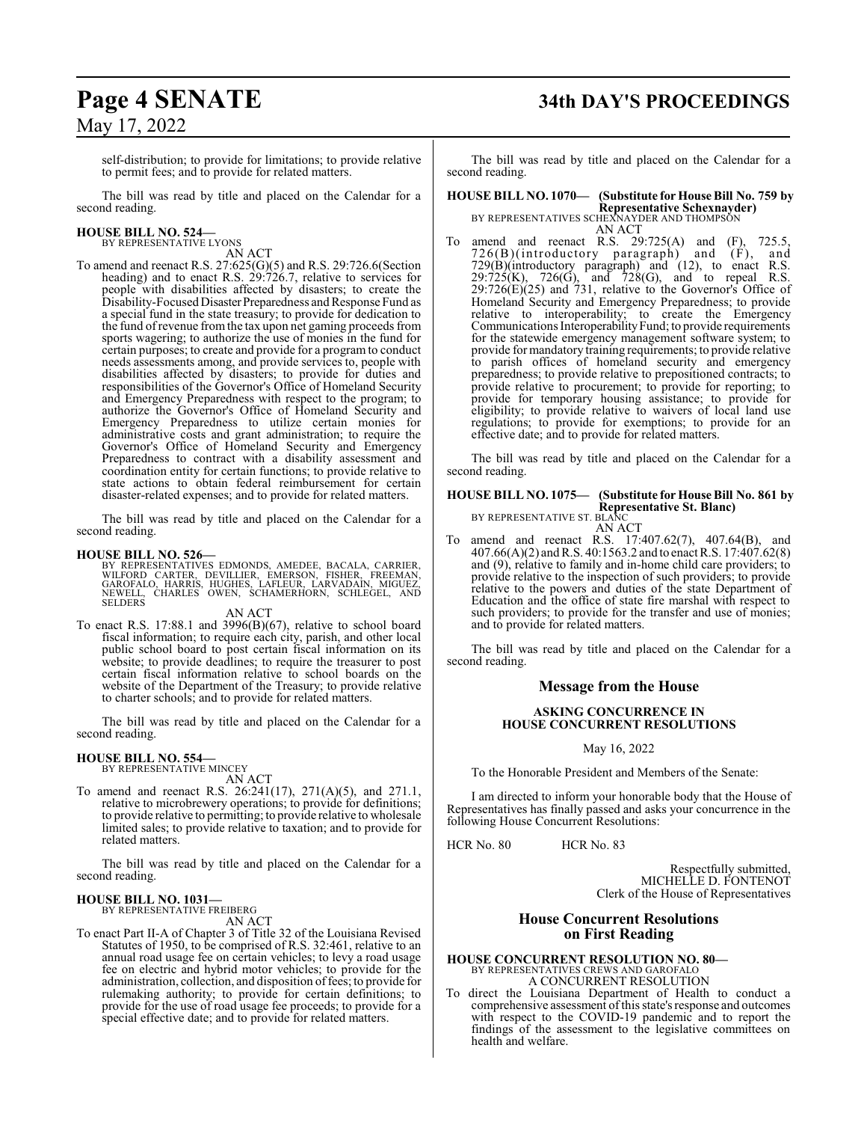# **Page 4 SENATE 34th DAY'S PROCEEDINGS**

self-distribution; to provide for limitations; to provide relative to permit fees; and to provide for related matters.

The bill was read by title and placed on the Calendar for a second reading.

#### **HOUSE BILL NO. 524—** BY REPRESENTATIVE LYONS

AN ACT

To amend and reenact R.S. 27:625(G)(5) and R.S. 29:726.6(Section heading) and to enact R.S. 29:726.7, relative to services for people with disabilities affected by disasters; to create the Disability-Focused Disaster Preparedness and Response Fund as a special fund in the state treasury; to provide for dedication to the fund ofrevenue fromthe tax upon net gaming proceeds from sports wagering; to authorize the use of monies in the fund for certain purposes; to create and provide for a program to conduct needs assessments among, and provide services to, people with disabilities affected by disasters; to provide for duties and responsibilities of the Governor's Office of Homeland Security and Emergency Preparedness with respect to the program; to authorize the Governor's Office of Homeland Security and Emergency Preparedness to utilize certain monies for administrative costs and grant administration; to require the Governor's Office of Homeland Security and Emergency Preparedness to contract with a disability assessment and coordination entity for certain functions; to provide relative to state actions to obtain federal reimbursement for certain disaster-related expenses; and to provide for related matters.

The bill was read by title and placed on the Calendar for a second reading.

**HOUSE BILL NO. 526—**<br>BY REPRESENTATIVES EDMONDS, AMEDEE, BACALA, CARRIER,<br>WILFORD CARTER, DEVILLIER, EMERSON, FISHER, FREEMAN,<br>GAROFALO, HARRIS, HUGHES, LAFLEUR, LARVADAIN, MIGUEZ,<br>NEWELL, CHARLES OWEN, SCHAMERHORN, SCHLE

AN ACT

To enact R.S. 17:88.1 and 3996(B)(67), relative to school board fiscal information; to require each city, parish, and other local public school board to post certain fiscal information on its website; to provide deadlines; to require the treasurer to post certain fiscal information relative to school boards on the website of the Department of the Treasury; to provide relative to charter schools; and to provide for related matters.

The bill was read by title and placed on the Calendar for a second reading.

#### **HOUSE BILL NO. 554—**

BY REPRESENTATIVE MINCEY AN ACT

To amend and reenact R.S. 26:241(17), 271(A)(5), and 271.1, relative to microbrewery operations; to provide for definitions; to provide relative to permitting; to provide relative to wholesale limited sales; to provide relative to taxation; and to provide for related matters.

The bill was read by title and placed on the Calendar for a second reading.

#### **HOUSE BILL NO. 1031—** BY REPRESENTATIVE FREIBERG

AN ACT

To enact Part II-A of Chapter 3 of Title 32 of the Louisiana Revised Statutes of 1950, to be comprised of R.S. 32:461, relative to an annual road usage fee on certain vehicles; to levy a road usage fee on electric and hybrid motor vehicles; to provide for the administration, collection, and disposition offees; to provide for rulemaking authority; to provide for certain definitions; to provide for the use of road usage fee proceeds; to provide for a special effective date; and to provide for related matters.

The bill was read by title and placed on the Calendar for a second reading.

**HOUSE BILL NO. 1070— (Substitute for House Bill No. 759 by Representative Schexnayder)** BY REPRESENTATIVES SCHEXNAYDER AND THOMPSON AN ACT

To amend and reenact R.S. 29:725(A) and (F), 725.5, 726(B)(introductory paragraph) and (F), and 729(B)(introductory paragraph) and (12), to enact R.S.  $29:725(K)$ ,  $726(G)$ , and  $728(G)$ , and to repeal R.S.  $29:726(E)(25)$  and  $731$ , relative to the Governor's Office of Homeland Security and Emergency Preparedness; to provide relative to interoperability; to create the Emergency Communications InteroperabilityFund; to provide requirements for the statewide emergency management software system; to provide formandatory training requirements; to provide relative to parish offices of homeland security and emergency preparedness; to provide relative to prepositioned contracts; to provide relative to procurement; to provide for reporting; to provide for temporary housing assistance; to provide for eligibility; to provide relative to waivers of local land use regulations; to provide for exemptions; to provide for an effective date; and to provide for related matters.

The bill was read by title and placed on the Calendar for a second reading.

#### **HOUSE BILL NO. 1075— (Substitute for House Bill No. 861 by Representative St. Blanc)** BY REPRESENTATIVE ST. BLANC

AN ACT

To amend and reenact R.S. 17:407.62(7), 407.64(B), and 407.66(A)(2) andR.S. 40:1563.2 and to enact R.S. 17:407.62(8) and (9), relative to family and in-home child care providers; to provide relative to the inspection of such providers; to provide relative to the powers and duties of the state Department of Education and the office of state fire marshal with respect to such providers; to provide for the transfer and use of monies; and to provide for related matters.

The bill was read by title and placed on the Calendar for a second reading.

#### **Message from the House**

#### **ASKING CONCURRENCE IN HOUSE CONCURRENT RESOLUTIONS**

May 16, 2022

To the Honorable President and Members of the Senate:

I am directed to inform your honorable body that the House of Representatives has finally passed and asks your concurrence in the following House Concurrent Resolutions:

HCR No. 80 HCR No. 83

Respectfully submitted, MICHELLE D. FONTENOT Clerk of the House of Representatives

### **House Concurrent Resolutions on First Reading**

**HOUSE CONCURRENT RESOLUTION NO. 80—** BY REPRESENTATIVES CREWS AND GAROFALO

A CONCURRENT RESOLUTION

To direct the Louisiana Department of Health to conduct a comprehensive assessment ofthis state's response and outcomes with respect to the COVID-19 pandemic and to report the findings of the assessment to the legislative committees on health and welfare.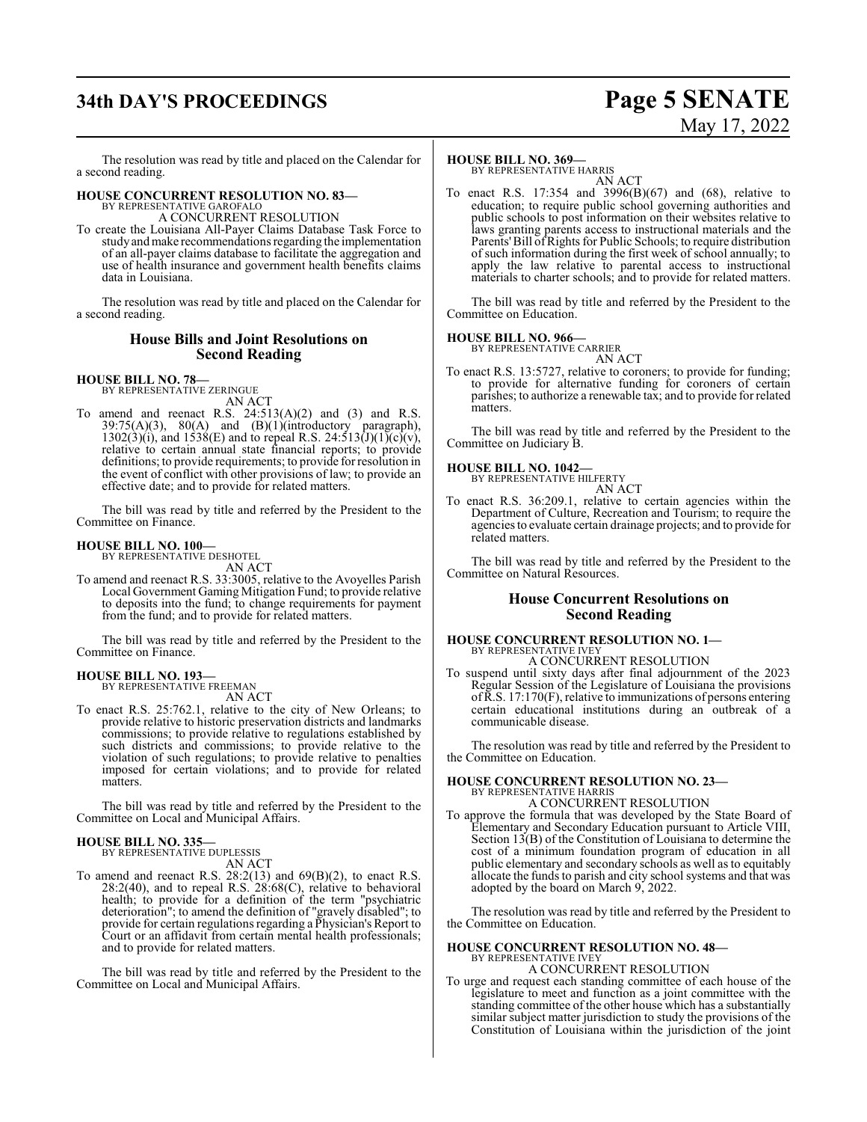# **34th DAY'S PROCEEDINGS Page 5 SENATE**

# May 17, 2022

The resolution was read by title and placed on the Calendar for a second reading.

## **HOUSE CONCURRENT RESOLUTION NO. 83—**

BY REPRESENTATIVE GAROFALO A CONCURRENT RESOLUTION

To create the Louisiana All-Payer Claims Database Task Force to study and make recommendations regarding the implementation of an all-payer claims database to facilitate the aggregation and use of health insurance and government health benefits claims data in Louisiana.

The resolution was read by title and placed on the Calendar for a second reading.

#### **House Bills and Joint Resolutions on Second Reading**

# **HOUSE BILL NO. 78—** BY REPRESENTATIVE ZERINGUE

AN ACT

To amend and reenact R.S.  $24:513(A)(2)$  and  $(3)$  and R.S.  $39:75(A)(3)$ ,  $80(A)$  and  $(B)(1)(introductory)$  paragraph),  $1302(3)(i)$ , and  $1538(E)$  and to repeal R.S.  $24:513(J)(1)(c)(v)$ , relative to certain annual state financial reports; to provide definitions; to provide requirements; to provide for resolution in the event of conflict with other provisions of law; to provide an effective date; and to provide for related matters.

The bill was read by title and referred by the President to the Committee on Finance.

#### **HOUSE BILL NO. 100—**

BY REPRESENTATIVE DESHOTEL AN ACT

To amend and reenact R.S. 33:3005, relative to the Avoyelles Parish Local Government Gaming Mitigation Fund; to provide relative to deposits into the fund; to change requirements for payment from the fund; and to provide for related matters.

The bill was read by title and referred by the President to the Committee on Finance.

#### **HOUSE BILL NO. 193—** BY REPRESENTATIVE FREEMAN

AN ACT

To enact R.S. 25:762.1, relative to the city of New Orleans; to provide relative to historic preservation districts and landmarks commissions; to provide relative to regulations established by such districts and commissions; to provide relative to the violation of such regulations; to provide relative to penalties imposed for certain violations; and to provide for related matters.

The bill was read by title and referred by the President to the Committee on Local and Municipal Affairs.

#### **HOUSE BILL NO. 335—** BY REPRESENTATIVE DUPLESSIS

AN ACT

To amend and reenact R.S.  $28:2(13)$  and  $69(B)(2)$ , to enact R.S.  $28:2(40)$ , and to repeal R.S.  $28:68(C)$ , relative to behavioral health; to provide for a definition of the term "psychiatric deterioration"; to amend the definition of "gravely disabled"; to provide for certain regulations regarding a Physician's Report to Court or an affidavit from certain mental health professionals; and to provide for related matters.

The bill was read by title and referred by the President to the Committee on Local and Municipal Affairs.

#### **HOUSE BILL NO. 369—**

BY REPRESENTATIVE HARRIS AN ACT

To enact R.S. 17:354 and 3996(B)(67) and (68), relative to education; to require public school governing authorities and public schools to post information on their websites relative to laws granting parents access to instructional materials and the Parents'Bill ofRights for Public Schools; to require distribution of such information during the first week of school annually; to apply the law relative to parental access to instructional materials to charter schools; and to provide for related matters.

The bill was read by title and referred by the President to the Committee on Education.

# **HOUSE BILL NO. 966—** BY REPRESENTATIVE CARRIER

AN ACT

To enact R.S. 13:5727, relative to coroners; to provide for funding; to provide for alternative funding for coroners of certain parishes; to authorize a renewable tax; and to provide for related matters.

The bill was read by title and referred by the President to the Committee on Judiciary B.

#### **HOUSE BILL NO. 1042—**

BY REPRESENTATIVE HILFERTY

AN ACT

To enact R.S. 36:209.1, relative to certain agencies within the Department of Culture, Recreation and Tourism; to require the agencies to evaluate certain drainage projects; and to provide for related matters.

The bill was read by title and referred by the President to the Committee on Natural Resources.

#### **House Concurrent Resolutions on Second Reading**

#### **HOUSE CONCURRENT RESOLUTION NO. 1—** BY REPRESENTATIVE IVEY A CONCURRENT RESOLUTION

To suspend until sixty days after final adjournment of the 2023 Regular Session of the Legislature of Louisiana the provisions ofR.S. 17:170(F), relative to immunizations of persons entering certain educational institutions during an outbreak of a communicable disease.

The resolution was read by title and referred by the President to the Committee on Education.

#### **HOUSE CONCURRENT RESOLUTION NO. 23—** BY REPRESENTATIVE HARRIS

A CONCURRENT RESOLUTION

To approve the formula that was developed by the State Board of Elementary and Secondary Education pursuant to Article VIII, Section 13(B) of the Constitution of Louisiana to determine the cost of a minimum foundation program of education in all public elementary and secondary schools as well as to equitably allocate the funds to parish and city school systems and that was adopted by the board on March 9, 2022.

The resolution was read by title and referred by the President to the Committee on Education.

# **HOUSE CONCURRENT RESOLUTION NO. 48—** BY REPRESENTATIVE IVEY

A CONCURRENT RESOLUTION

To urge and request each standing committee of each house of the legislature to meet and function as a joint committee with the standing committee of the other house which has a substantially similar subject matter jurisdiction to study the provisions of the Constitution of Louisiana within the jurisdiction of the joint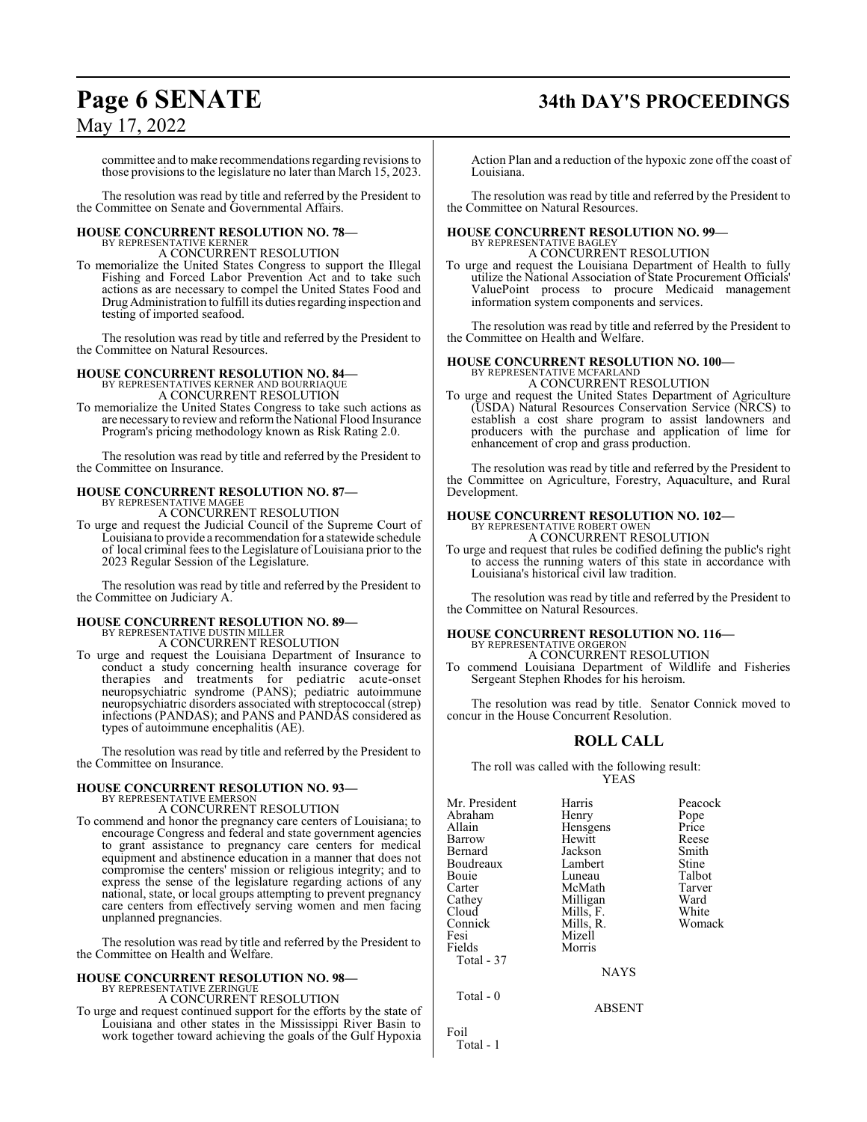# **Page 6 SENATE 34th DAY'S PROCEEDINGS**

## May 17, 2022

committee and to make recommendations regarding revisions to those provisions to the legislature no later than March 15, 2023.

The resolution was read by title and referred by the President to the Committee on Senate and Governmental Affairs.

#### **HOUSE CONCURRENT RESOLUTION NO. 78—** BY REPRESENTATIVE KERNER

A CONCURRENT RESOLUTION

To memorialize the United States Congress to support the Illegal Fishing and Forced Labor Prevention Act and to take such actions as are necessary to compel the United States Food and DrugAdministration to fulfill its duties regarding inspection and testing of imported seafood.

The resolution was read by title and referred by the President to the Committee on Natural Resources.

## **HOUSE CONCURRENT RESOLUTION NO. 84—**

BY REPRESENTATIVES KERNER AND BOURRIAQUE A CONCURRENT RESOLUTION

To memorialize the United States Congress to take such actions as are necessaryto reviewand reform the National Flood Insurance Program's pricing methodology known as Risk Rating 2.0.

The resolution was read by title and referred by the President to the Committee on Insurance.

#### **HOUSE CONCURRENT RESOLUTION NO. 87—** BY REPRESENTATIVE MAGEE

A CONCURRENT RESOLUTION

To urge and request the Judicial Council of the Supreme Court of Louisiana to provide a recommendation for a statewide schedule of local criminal fees to the Legislature of Louisiana prior to the 2023 Regular Session of the Legislature.

The resolution was read by title and referred by the President to the Committee on Judiciary A.

#### **HOUSE CONCURRENT RESOLUTION NO. 89—** BY REPRESENTATIVE DUSTIN MILLER

- A CONCURRENT RESOLUTION
- To urge and request the Louisiana Department of Insurance to conduct a study concerning health insurance coverage for therapies and treatments for pediatric acute-onset neuropsychiatric syndrome (PANS); pediatric autoimmune neuropsychiatric disorders associated with streptococcal (strep) infections (PANDAS); and PANS and PANDAS considered as types of autoimmune encephalitis (AE).

The resolution was read by title and referred by the President to the Committee on Insurance.

#### **HOUSE CONCURRENT RESOLUTION NO. 93—** BY REPRESENTATIVE EMERSON

A CONCURRENT RESOLUTION

To commend and honor the pregnancy care centers of Louisiana; to encourage Congress and federal and state government agencies to grant assistance to pregnancy care centers for medical equipment and abstinence education in a manner that does not compromise the centers' mission or religious integrity; and to express the sense of the legislature regarding actions of any national, state, or local groups attempting to prevent pregnancy care centers from effectively serving women and men facing unplanned pregnancies.

The resolution was read by title and referred by the President to the Committee on Health and Welfare.

#### **HOUSE CONCURRENT RESOLUTION NO. 98—** BY REPRESENTATIVE ZERINGUE

A CONCURRENT RESOLUTION

To urge and request continued support for the efforts by the state of Louisiana and other states in the Mississippi River Basin to work together toward achieving the goals of the Gulf Hypoxia

Action Plan and a reduction of the hypoxic zone off the coast of Louisiana.

The resolution was read by title and referred by the President to the Committee on Natural Resources.

#### **HOUSE CONCURRENT RESOLUTION NO. 99—** BY REPRESENTATIVE BAGLEY

A CONCURRENT RESOLUTION To urge and request the Louisiana Department of Health to fully

utilize the National Association of State Procurement Officials' ValuePoint process to procure Medicaid management information system components and services.

The resolution was read by title and referred by the President to the Committee on Health and Welfare.

#### **HOUSE CONCURRENT RESOLUTION NO. 100—**

BY REPRESENTATIVE MCFARLAND A CONCURRENT RESOLUTION

To urge and request the United States Department of Agriculture (USDA) Natural Resources Conservation Service (NRCS) to establish a cost share program to assist landowners and producers with the purchase and application of lime for enhancement of crop and grass production.

The resolution was read by title and referred by the President to the Committee on Agriculture, Forestry, Aquaculture, and Rural Development.

#### **HOUSE CONCURRENT RESOLUTION NO. 102—**

BY REPRESENTATIVE ROBERT OWEN A CONCURRENT RESOLUTION

To urge and request that rules be codified defining the public's right to access the running waters of this state in accordance with Louisiana's historical civil law tradition.

The resolution was read by title and referred by the President to the Committee on Natural Resources.

#### **HOUSE CONCURRENT RESOLUTION NO. 116—** BY REPRESENTATIVE ORGERON

A CONCURRENT RESOLUTION

To commend Louisiana Department of Wildlife and Fisheries Sergeant Stephen Rhodes for his heroism.

The resolution was read by title. Senator Connick moved to concur in the House Concurrent Resolution.

## **ROLL CALL**

The roll was called with the following result: YEAS

| Mr. President | Harris        | Peacock |
|---------------|---------------|---------|
| Abraham       | Henry         | Pope    |
| Allain        | Hensgens      | Price   |
| Barrow        | Hewitt        | Reese   |
| Bernard       | Jackson       | Smith   |
| Boudreaux     | Lambert       | Stine   |
| Bouie         | Luneau        | Talbot  |
| Carter        | McMath        | Tarver  |
| Cathey        | Milligan      | Ward    |
| Cloud         | Mills, F.     | White   |
| Connick       | Mills, R.     | Womack  |
| Fesi          | Mizell        |         |
| Fields        | Morris        |         |
| Total - 37    |               |         |
|               | <b>NAYS</b>   |         |
| Total - 0     |               |         |
|               | <b>ABSENT</b> |         |

Total - 1

Foil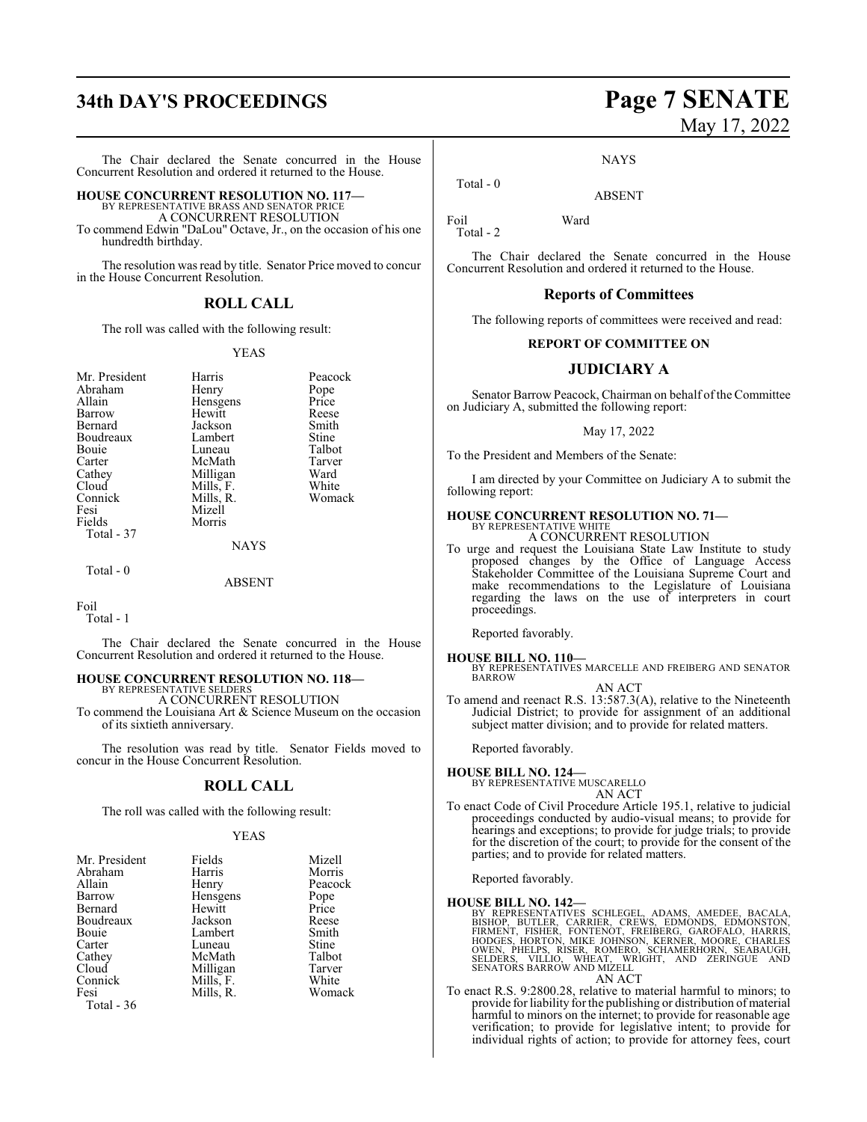# **34th DAY'S PROCEEDINGS Page 7 SENATE**

The Chair declared the Senate concurred in the House Concurrent Resolution and ordered it returned to the House.

### **HOUSE CONCURRENT RESOLUTION NO. 117—**

BY REPRESENTATIVE BRASS AND SENATOR PRICE A CONCURRENT RESOLUTION

To commend Edwin "DaLou" Octave, Jr., on the occasion of his one hundredth birthday.

The resolution was read by title. Senator Price moved to concur in the House Concurrent Resolution.

### **ROLL CALL**

The roll was called with the following result:

#### YEAS

| Mr. President<br>Abraham<br>Allain<br>Barrow<br>Bernard<br>Boudreaux<br>Bouie<br>Carter<br>Cathey<br>Cloud | Harris<br>Henry<br>Hensgens<br>Hewitt<br>Jackson<br>Lambert<br>Luneau<br>McMath<br>Milligan<br>Mills, F. | Peacock<br>Pope<br>Price<br>Reese<br>Smith<br>Stine<br>Talbot<br>Tarver<br>Ward<br>White |
|------------------------------------------------------------------------------------------------------------|----------------------------------------------------------------------------------------------------------|------------------------------------------------------------------------------------------|
| Connick<br>Fesi<br>Fields<br>Total - 37                                                                    | Mills, R.<br>Mizell<br>Morris<br><b>NAYS</b>                                                             | Womack                                                                                   |
| Total - 0                                                                                                  |                                                                                                          |                                                                                          |

ABSENT

Foil

Total - 1

The Chair declared the Senate concurred in the House Concurrent Resolution and ordered it returned to the House.

#### **HOUSE CONCURRENT RESOLUTION NO. 118—**

BY REPRESENTATIVE SELDERS A CONCURRENT RESOLUTION

To commend the Louisiana Art & Science Museum on the occasion of its sixtieth anniversary.

The resolution was read by title. Senator Fields moved to concur in the House Concurrent Resolution.

## **ROLL CALL**

The roll was called with the following result:

#### YEAS

| Mr. President | Fields    | Mizell  |
|---------------|-----------|---------|
| Abraham       | Harris    | Morris  |
| Allain        | Henry     | Peacock |
| Barrow        | Hensgens  | Pope    |
| Bernard       | Hewitt    | Price   |
| Boudreaux     | Jackson   | Reese   |
| Bouie         | Lambert   | Smith   |
| Carter        | Luneau    | Stine   |
| Cathey        | McMath    | Talbot  |
| Cloud         | Milligan  | Tarver  |
| Connick       | Mills, F. | White   |
| Fesi          | Mills, R. | Womack  |
| Total - 36    |           |         |

# May 17, 2022

**NAYS** 

ABSENT

Total - 0

Foil Ward Total - 2

The Chair declared the Senate concurred in the House Concurrent Resolution and ordered it returned to the House.

#### **Reports of Committees**

The following reports of committees were received and read:

#### **REPORT OF COMMITTEE ON**

#### **JUDICIARY A**

Senator Barrow Peacock, Chairman on behalf of the Committee on Judiciary A, submitted the following report:

#### May 17, 2022

To the President and Members of the Senate:

I am directed by your Committee on Judiciary A to submit the following report:

#### **HOUSE CONCURRENT RESOLUTION NO. 71—**

BY REPRESENTATIVE WHITE A CONCURRENT RESOLUTION

To urge and request the Louisiana State Law Institute to study proposed changes by the Office of Language Access Stakeholder Committee of the Louisiana Supreme Court and make recommendations to the Legislature of Louisiana regarding the laws on the use of interpreters in court proceedings.

Reported favorably.

#### **HOUSE BILL NO. 110—**

BY REPRESENTATIVES MARCELLE AND FREIBERG AND SENATOR BARROW AN ACT

To amend and reenact R.S. 13:587.3(A), relative to the Nineteenth Judicial District; to provide for assignment of an additional subject matter division; and to provide for related matters.

Reported favorably.

**HOUSE BILL NO. 124—** BY REPRESENTATIVE MUSCARELLO

#### AN ACT

To enact Code of Civil Procedure Article 195.1, relative to judicial proceedings conducted by audio-visual means; to provide for hearings and exceptions; to provide for judge trials; to provide for the discretion of the court; to provide for the consent of the parties; and to provide for related matters.

Reported favorably.

#### **HOUSE BILL NO. 142—**

BY REPRESENTATIVES SCHLEGEL, ADAMS, AMEDEE, BACALA,<br>BISHOP, BUTLER, CARRIER, CREWS, EDMONDS, EDMONSTON,<br>FIRMENT, FISHER, FONTENOT, FREIBERG, GAROFALO, HARRIS,<br>HODGES, HORTON, MIKE JOHNSON, KERNER, MOORE, CHARLES<br>OWEN, PHEL AN ACT

To enact R.S. 9:2800.28, relative to material harmful to minors; to provide for liability for the publishing or distribution of material harmful to minors on the internet; to provide for reasonable age verification; to provide for legislative intent; to provide for individual rights of action; to provide for attorney fees, court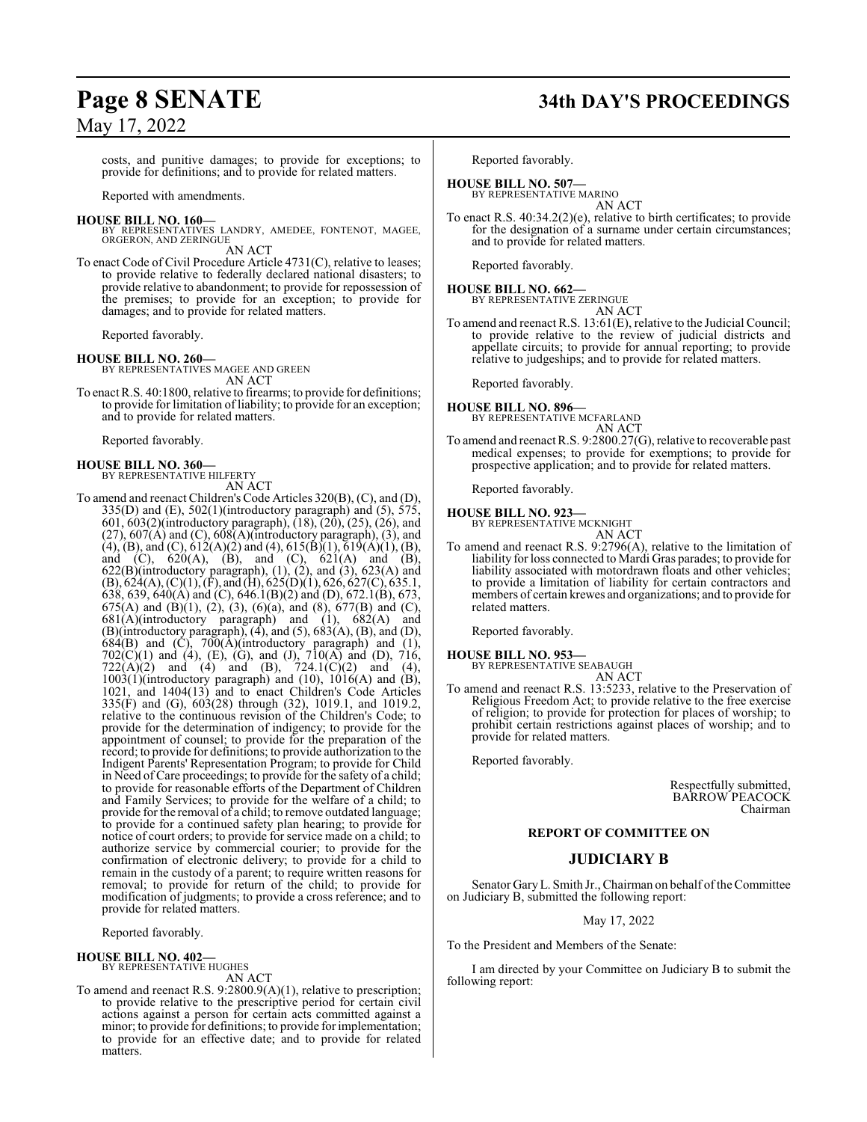costs, and punitive damages; to provide for exceptions; to provide for definitions; and to provide for related matters.

Reported with amendments.

#### **HOUSE BILL NO. 160—**

BY REPRESENTATIVES LANDRY, AMEDEE, FONTENOT, MAGEE, ORGERON, AND ZERINGUE

AN ACT

To enact Code of Civil Procedure Article 4731(C), relative to leases; to provide relative to federally declared national disasters; to provide relative to abandonment; to provide for repossession of the premises; to provide for an exception; to provide for damages; and to provide for related matters.

Reported favorably.

#### **HOUSE BILL NO. 260—**

BY REPRESENTATIVES MAGEE AND GREEN AN ACT

To enact R.S. 40:1800, relative to firearms; to provide for definitions; to provide for limitation of liability; to provide for an exception; and to provide for related matters.

Reported favorably.

**HOUSE BILL NO. 360—** BY REPRESENTATIVE HILFERTY

AN ACT

To amend and reenact Children's Code Articles 320(B), (C), and (D), 335(D) and (E), 502(1)(introductory paragraph) and (5), 575, 601, 603(2)(introductory paragraph), (18), (20), (25), (26), and  $(27)$ ,  $607(A)$  and  $(C)$ ,  $608(A)$ (introductory paragraph),  $(3)$ , and  $(4)$ ,  $(B)$ , and  $(C)$ ,  $612(A)(2)$  and  $(4)$ ,  $615(B)(1)$ ,  $619(A)(1)$ ,  $(B)$ , and (C),  $620(A)$ , (B), and (C),  $621(A)$  and (B),  $622(B)$ (introductory paragraph),  $(1)$ ,  $(2)$ , and  $(3)$ ,  $623(A)$  and  $(B)$ , 624(A),  $(C)(1)$ ,  $(F)$ , and  $(H)$ , 625(D)(1), 626, 627(C), 635.1, 638, 639, 640(A) and (C), 646.1(B)(2) and (D), 672.1(B), 673, 675(A) and (B)(1), (2), (3), (6)(a), and (8), 677(B) and (C),  $681(A)$ (introductory paragraph) and (1),  $682(A)$  and  $(B)$ (introductory paragraph),  $(4)$ , and  $(5)$ ,  $683(A)$ ,  $(B)$ , and  $(D)$ ,  $684(B)$  and  $(C)$ ,  $700(A)$ (introductory paragraph) and  $(1)$ ,  $702(C)(1)$  and (4), (E), (G), and (J),  $710(A)$  and (D),  $716$ ,  $722(A)(2)$  and  $(4)$  and  $(B)$ ,  $724.1(C)(2)$  and  $(4)$ ,  $1003(1)$ (introductory paragraph) and  $(10)$ ,  $1016(A)$  and  $(B)$ , 1021, and 1404(13) and to enact Children's Code Articles 335(F) and (G), 603(28) through (32), 1019.1, and 1019.2, relative to the continuous revision of the Children's Code; to provide for the determination of indigency; to provide for the appointment of counsel; to provide for the preparation of the record; to provide for definitions; to provide authorization to the Indigent Parents' Representation Program; to provide for Child in Need of Care proceedings; to provide for the safety of a child; to provide for reasonable efforts of the Department of Children and Family Services; to provide for the welfare of a child; to provide for the removal of a child; to remove outdated language; to provide for a continued safety plan hearing; to provide for notice of court orders; to provide for service made on a child; to authorize service by commercial courier; to provide for the confirmation of electronic delivery; to provide for a child to remain in the custody of a parent; to require written reasons for removal; to provide for return of the child; to provide for modification of judgments; to provide a cross reference; and to provide for related matters.

Reported favorably.

#### **HOUSE BILL NO. 402—** BY REPRESENTATIVE HUGHES

AN ACT

To amend and reenact R.S. 9:2800.9(A)(1), relative to prescription; to provide relative to the prescriptive period for certain civil actions against a person for certain acts committed against a minor; to provide for definitions; to provide for implementation; to provide for an effective date; and to provide for related matters.

# **Page 8 SENATE 34th DAY'S PROCEEDINGS**

Reported favorably.

## **HOUSE BILL NO. 507—**

BY REPRESENTATIVE MARINO AN ACT

To enact R.S. 40:34.2(2)(e), relative to birth certificates; to provide for the designation of a surname under certain circumstances; and to provide for related matters.

Reported favorably.

# **HOUSE BILL NO. 662—** BY REPRESENTATIVE ZERINGUE

AN ACT

To amend and reenact R.S. 13:61(E), relative to the Judicial Council; to provide relative to the review of judicial districts and appellate circuits; to provide for annual reporting; to provide relative to judgeships; and to provide for related matters.

Reported favorably.

#### **HOUSE BILL NO. 896—** BY REPRESENTATIVE MCFARLAND

AN ACT

To amend and reenact R.S. 9:2800.27(G), relative to recoverable past medical expenses; to provide for exemptions; to provide for prospective application; and to provide for related matters.

Reported favorably.

#### **HOUSE BILL NO. 923—** BY REPRESENTATIVE MCKNIGHT

AN ACT

To amend and reenact R.S. 9:2796(A), relative to the limitation of liability for loss connected to Mardi Gras parades; to provide for liability associated with motordrawn floats and other vehicles; to provide a limitation of liability for certain contractors and members of certain krewes and organizations; and to provide for related matters.

Reported favorably.

### **HOUSE BILL NO. 953—**

BY REPRESENTATIVE SEABAUGH AN ACT

To amend and reenact R.S. 13:5233, relative to the Preservation of Religious Freedom Act; to provide relative to the free exercise of religion; to provide for protection for places of worship; to prohibit certain restrictions against places of worship; and to provide for related matters.

Reported favorably.

Respectfully submitted, BARROW PEACOCK Chairman

#### **REPORT OF COMMITTEE ON**

### **JUDICIARY B**

Senator Gary L. Smith Jr., Chairman on behalf of the Committee on Judiciary B, submitted the following report:

May 17, 2022

To the President and Members of the Senate:

I am directed by your Committee on Judiciary B to submit the following report: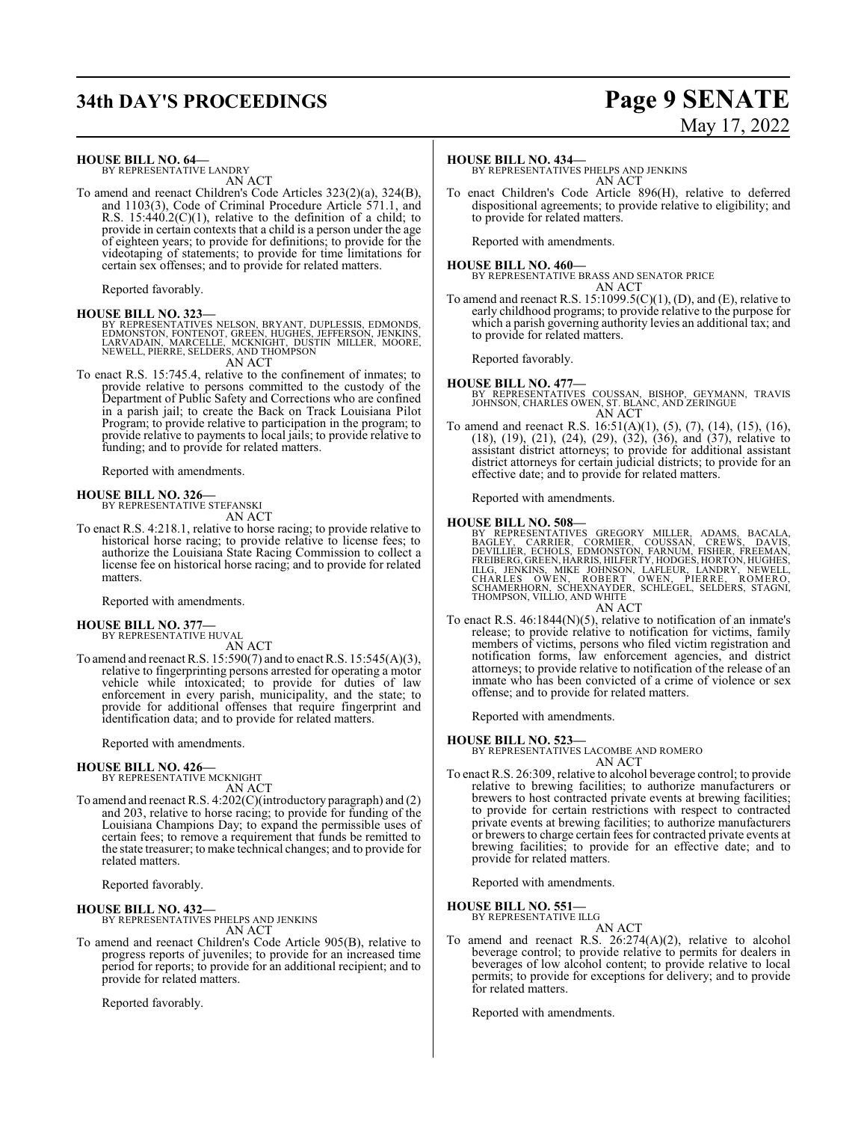# **34th DAY'S PROCEEDINGS Page 9 SENATE**

#### **HOUSE BILL NO. 64—**

BY REPRESENTATIVE LANDRY AN ACT

To amend and reenact Children's Code Articles 323(2)(a), 324(B), and 1103(3), Code of Criminal Procedure Article 571.1, and R.S.  $15:440.2(C)(1)$ , relative to the definition of a child; to provide in certain contexts that a child is a person under the age of eighteen years; to provide for definitions; to provide for the videotaping of statements; to provide for time limitations for certain sex offenses; and to provide for related matters.

Reported favorably.

#### **HOUSE BILL NO. 323—**

BY REPRESENTATIVES NELSON, BRYANT, DUPLESSIS, EDMONDS,<br>EDMONSTON, FONTENOT, GREEN, HUGHES, JEFFERSON, JENKINS,<br>LARVADAIN, MARCELLE, MCKNIGHT, DUSTIN MILLER, MOORE,<br>NEWELL, PIERRE, SELDERS, AND THOMPSON AN ACT

To enact R.S. 15:745.4, relative to the confinement of inmates; to provide relative to persons committed to the custody of the Department of Public Safety and Corrections who are confined in a parish jail; to create the Back on Track Louisiana Pilot Program; to provide relative to participation in the program; to provide relative to payments to local jails; to provide relative to funding; and to provide for related matters.

Reported with amendments.

**HOUSE BILL NO. 326—** BY REPRESENTATIVE STEFANSKI AN ACT

To enact R.S. 4:218.1, relative to horse racing; to provide relative to historical horse racing; to provide relative to license fees; to authorize the Louisiana State Racing Commission to collect a license fee on historical horse racing; and to provide for related matters.

Reported with amendments.

#### **HOUSE BILL NO. 377—** BY REPRESENTATIVE HUVAL

AN ACT

To amend and reenact R.S. 15:590(7) and to enact R.S. 15:545(A)(3), relative to fingerprinting persons arrested for operating a motor vehicle while intoxicated; to provide for duties of law enforcement in every parish, municipality, and the state; to provide for additional offenses that require fingerprint and identification data; and to provide for related matters.

Reported with amendments.

#### **HOUSE BILL NO. 426—**

BY REPRESENTATIVE MCKNIGHT AN ACT

To amend and reenact R.S. 4:202(C)(introductory paragraph) and (2) and 203, relative to horse racing; to provide for funding of the Louisiana Champions Day; to expand the permissible uses of certain fees; to remove a requirement that funds be remitted to the state treasurer; to make technical changes; and to provide for related matters.

Reported favorably.

#### **HOUSE BILL NO. 432—** BY REPRESENTATIVES PHELPS AND JENKINS AN ACT

To amend and reenact Children's Code Article 905(B), relative to progress reports of juveniles; to provide for an increased time period for reports; to provide for an additional recipient; and to provide for related matters.

Reported favorably.

#### **HOUSE BILL NO. 434—**

BY REPRESENTATIVES PHELPS AND JENKINS AN ACT

To enact Children's Code Article 896(H), relative to deferred dispositional agreements; to provide relative to eligibility; and to provide for related matters.

Reported with amendments.

#### **HOUSE BILL NO. 460—**

BY REPRESENTATIVE BRASS AND SENATOR PRICE AN ACT

To amend and reenact R.S.  $15:1099.5(C)(1)$ , (D), and (E), relative to early childhood programs; to provide relative to the purpose for which a parish governing authority levies an additional tax; and to provide for related matters.

Reported favorably.

#### **HOUSE BILL NO. 477—**

BY REPRESENTATIVES COUSSAN, BISHOP, GEYMANN, TRAVIS JOHNSON, CHARLES OWEN, ST. BLANC, AND ZERINGUE AN ACT

To amend and reenact R.S. 16:51(A)(1), (5), (7), (14), (15), (16), (18), (19), (21), (24), (29), (32), (36), and (37), relative to assistant district attorneys; to provide for additional assistant district attorneys for certain judicial districts; to provide for an effective date; and to provide for related matters.

Reported with amendments.

#### **HOUSE BILL NO. 508—**

BY REPRESENTATIVES GREGORY MILLER, ADAMS, BACALA,<br>BAGLEY, CARRIER, CORMIER, COUSSAN, CREWS, DAVIS,<br>DEVILLIER, ECHOLS, EDMONSTON, FARNUM, FISHER, FREEMAN,<br>FREIBERG,GREEN,HARRIS,HILFERTY,HODGES,HORTON,HUGHES,<br>ILLG, JENKINS,

AN ACT

To enact R.S. 46:1844(N)(5), relative to notification of an inmate's release; to provide relative to notification for victims, family members of victims, persons who filed victim registration and notification forms, law enforcement agencies, and district attorneys; to provide relative to notification of the release of an inmate who has been convicted of a crime of violence or sex offense; and to provide for related matters.

Reported with amendments.

#### **HOUSE BILL NO. 523—**

BY REPRESENTATIVES LACOMBE AND ROMERO AN ACT

To enact R.S. 26:309, relative to alcohol beverage control; to provide relative to brewing facilities; to authorize manufacturers or brewers to host contracted private events at brewing facilities; to provide for certain restrictions with respect to contracted private events at brewing facilities; to authorize manufacturers or brewers to charge certain fees for contracted private events at brewing facilities; to provide for an effective date; and to provide for related matters.

Reported with amendments.

#### **HOUSE BILL NO. 551—**

BY REPRESENTATIVE ILLG AN ACT

To amend and reenact R.S. 26:274(A)(2), relative to alcohol beverage control; to provide relative to permits for dealers in beverages of low alcohol content; to provide relative to local permits; to provide for exceptions for delivery; and to provide for related matters.

Reported with amendments.

# May 17, 2022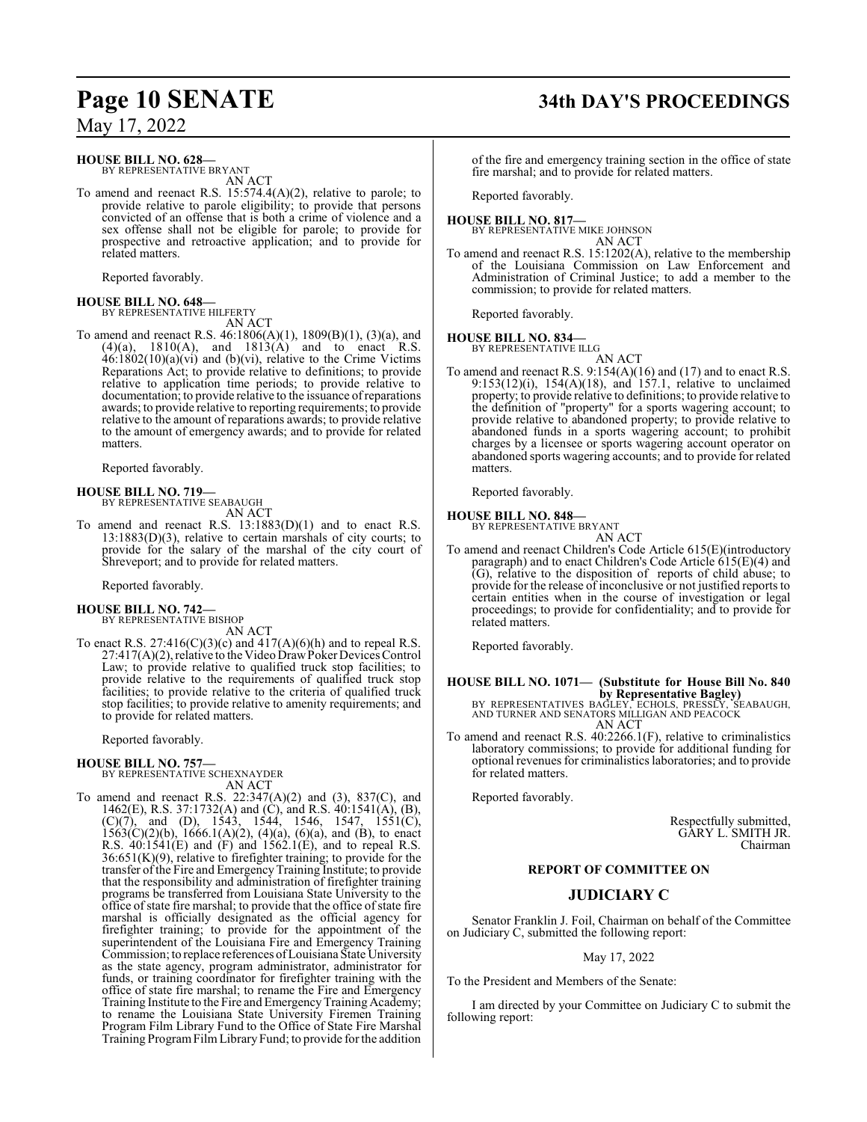#### **HOUSE BILL NO. 628—**

BY REPRESENTATIVE BRYANT AN ACT

To amend and reenact R.S. 15:574.4(A)(2), relative to parole; to provide relative to parole eligibility; to provide that persons convicted of an offense that is both a crime of violence and a sex offense shall not be eligible for parole; to provide for prospective and retroactive application; and to provide for related matters.

Reported favorably.

#### **HOUSE BILL NO. 648—** BY REPRESENTATIVE HILFERTY

AN ACT

To amend and reenact R.S. 46:1806(A)(1), 1809(B)(1), (3)(a), and  $(4)(a)$ ,  $1810(A)$ , and  $1813(A)$  and to enact R.S.  $46:1802(10)(a)(vi)$  and (b)(vi), relative to the Crime Victims Reparations Act; to provide relative to definitions; to provide relative to application time periods; to provide relative to documentation; to provide relative to the issuance ofreparations awards; to provide relative to reporting requirements; to provide relative to the amount of reparations awards; to provide relative to the amount of emergency awards; and to provide for related matters.

Reported favorably.

# **HOUSE BILL NO. 719—** BY REPRESENTATIVE SEABAUGH

AN ACT

To amend and reenact R.S. 13:1883(D)(1) and to enact R.S. 13:1883(D)(3), relative to certain marshals of city courts; to provide for the salary of the marshal of the city court of Shreveport; and to provide for related matters.

Reported favorably.

#### **HOUSE BILL NO. 742—** BY REPRESENTATIVE BISHOP

AN ACT

To enact R.S.  $27:416(C)(3)(c)$  and  $417(A)(6)(h)$  and to repeal R.S.  $27:417(A)(2)$ , relative to the Video Draw Poker Devices Control Law; to provide relative to qualified truck stop facilities; to provide relative to the requirements of qualified truck stop facilities; to provide relative to the criteria of qualified truck stop facilities; to provide relative to amenity requirements; and to provide for related matters.

Reported favorably.

#### **HOUSE BILL NO. 757—**

BY REPRESENTATIVE SCHEXNAYDER AN ACT

To amend and reenact R.S. 22:347(A)(2) and (3), 837(C), and 1462(E), R.S. 37:1732(A) and (C), and R.S. 40:1541(A), (B),  $(C)(7)$ , and  $(D)$ , 1543, 1544, 1546, 1547, 1551 $(C)$ ,  $1563(C)(2)(b)$ ,  $1666.1(A)(2)$ ,  $(4)(a)$ ,  $(6)(a)$ , and  $(B)$ , to enact R.S. 40:1541(E) and (F) and 1562.1(E), and to repeal R.S. 36:651(K)(9), relative to firefighter training; to provide for the transfer ofthe Fire and EmergencyTraining Institute; to provide that the responsibility and administration of firefighter training programs be transferred from Louisiana State University to the office of state fire marshal; to provide that the office of state fire marshal is officially designated as the official agency for firefighter training; to provide for the appointment of the superintendent of the Louisiana Fire and Emergency Training Commission; to replace references of Louisiana State University as the state agency, program administrator, administrator for funds, or training coordinator for firefighter training with the office of state fire marshal; to rename the Fire and Emergency Training Institute to the Fire and EmergencyTraining Academy; to rename the Louisiana State University Firemen Training Program Film Library Fund to the Office of State Fire Marshal Training ProgramFilmLibraryFund; to provide for the addition

# **Page 10 SENATE 34th DAY'S PROCEEDINGS**

of the fire and emergency training section in the office of state fire marshal; and to provide for related matters.

Reported favorably.

#### **HOUSE BILL NO. 817—** BY REPRESENTATIVE MIKE JOHNSON

AN ACT To amend and reenact R.S. 15:1202(A), relative to the membership of the Louisiana Commission on Law Enforcement and Administration of Criminal Justice; to add a member to the commission; to provide for related matters.

Reported favorably.

# **HOUSE BILL NO. 834—** BY REPRESENTATIVE ILLG

AN ACT To amend and reenact R.S.  $9.154(A)(16)$  and  $(17)$  and to enact R.S. 9:153(12)(i), 154(A)(18), and 157.1, relative to unclaimed property; to provide relative to definitions; to provide relative to the definition of "property" for a sports wagering account; to provide relative to abandoned property; to provide relative to abandoned funds in a sports wagering account; to prohibit charges by a licensee or sports wagering account operator on abandoned sports wagering accounts; and to provide for related matters.

Reported favorably.

#### **HOUSE BILL NO. 848—**

BY REPRESENTATIVE BRYANT AN ACT

To amend and reenact Children's Code Article 615(E)(introductory paragraph) and to enact Children's Code Article 615(E)(4) and (G), relative to the disposition of reports of child abuse; to provide for the release of inconclusive or not justified reports to certain entities when in the course of investigation or legal proceedings; to provide for confidentiality; and to provide for related matters.

Reported favorably.

#### **HOUSE BILL NO. 1071— (Substitute for House Bill No. 840 by Representative Bagley)**

BY REPRESENTATIVES BAĞLEY, ECHOLS, PRESSLY, SEABAUGH,<br>AND TURNER AND SENATORS MILLIGAN AND PEACOCK AN ACT

To amend and reenact R.S. 40:2266.1(F), relative to criminalistics laboratory commissions; to provide for additional funding for optional revenues for criminalistics laboratories; and to provide for related matters.

Reported favorably.

Respectfully submitted, GARY L. SMITH JR. Chairman

#### **REPORT OF COMMITTEE ON**

### **JUDICIARY C**

Senator Franklin J. Foil, Chairman on behalf of the Committee on Judiciary C, submitted the following report:

#### May 17, 2022

To the President and Members of the Senate:

I am directed by your Committee on Judiciary C to submit the following report: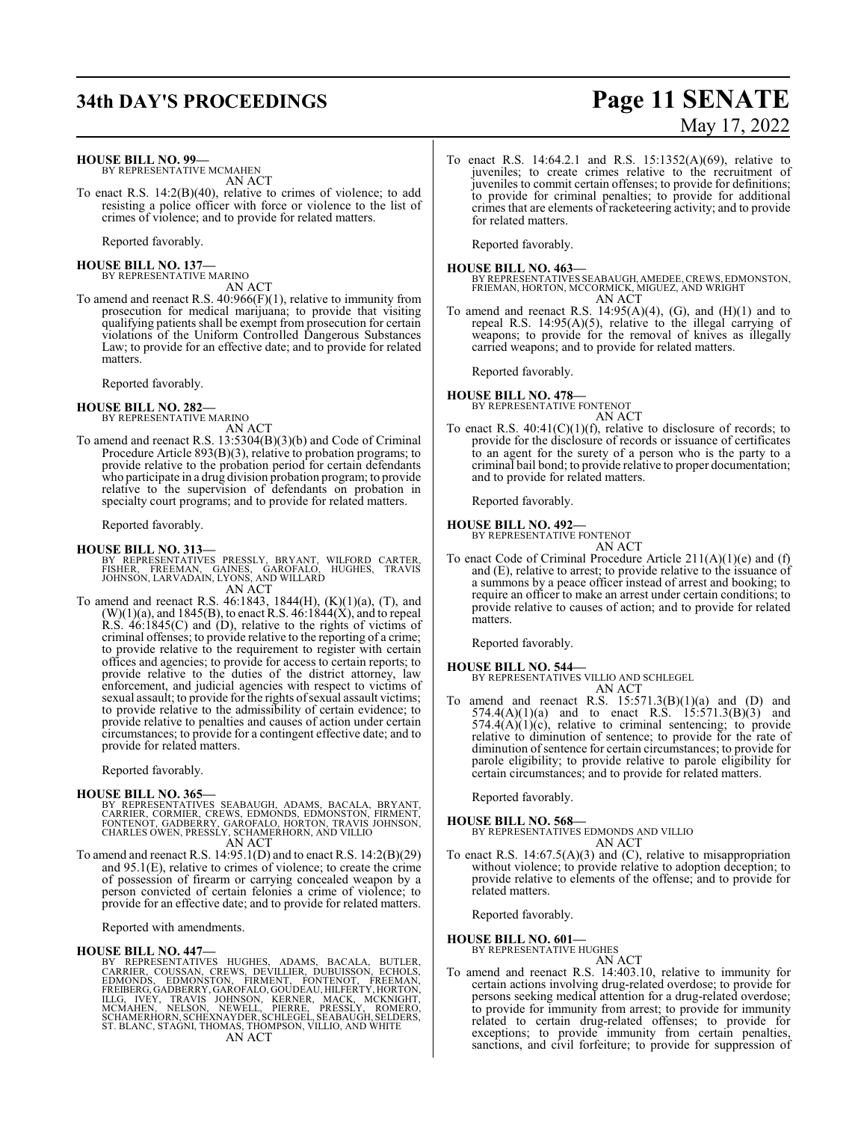# **34th DAY'S PROCEEDINGS Page 11 SENATE**

#### **HOUSE BILL NO. 99—**

BY REPRESENTATIVE MCMAHEN AN ACT

To enact R.S. 14:2(B)(40), relative to crimes of violence; to add resisting a police officer with force or violence to the list of crimes of violence; and to provide for related matters.

Reported favorably.

**HOUSE BILL NO. 137—** BY REPRESENTATIVE MARINO

AN ACT To amend and reenact R.S. 40:966(F)(1), relative to immunity from prosecution for medical marijuana; to provide that visiting qualifying patients shall be exempt from prosecution for certain violations of the Uniform Controlled Dangerous Substances Law; to provide for an effective date; and to provide for related matters.

Reported favorably.

**HOUSE BILL NO. 282—** BY REPRESENTATIVE MARINO

AN ACT

To amend and reenact R.S. 13:5304(B)(3)(b) and Code of Criminal Procedure Article 893(B)(3), relative to probation programs; to provide relative to the probation period for certain defendants who participate in a drug division probation program; to provide relative to the supervision of defendants on probation in specialty court programs; and to provide for related matters.

Reported favorably.

#### **HOUSE BILL NO. 313—**

- BY REPRESENTATIVES PRESSLY, BRYANT, WILFORD CARTER,<br>FISHER, FREEMAN, GAINES, GAROFALO, HUGHES, TRAVIS<br>JOHNSON,LARVADAIN,LYONS,ANDWILLARD AN ACT
- To amend and reenact R.S. 46:1843, 1844(H), (K)(1)(a), (T), and  $(W)(1)(a)$ , and 1845(B), to enact R.S. 46:1844(X), and to repeal  $R.S.$  46:1845(C) and (D), relative to the rights of victims of criminal offenses; to provide relative to the reporting of a crime; to provide relative to the requirement to register with certain offices and agencies; to provide for access to certain reports; to provide relative to the duties of the district attorney, law enforcement, and judicial agencies with respect to victims of sexual assault; to provide for the rights of sexual assault victims; to provide relative to the admissibility of certain evidence; to provide relative to penalties and causes of action under certain circumstances; to provide for a contingent effective date; and to provide for related matters.

Reported favorably.

- **HOUSE BILL NO. 365—**<br>BY REPRESENTATIVES SEABAUGH, ADAMS, BACALA, BRYANT, CARRIER, CORMIER, CREWS, EDMONDS, EDMONSTON, FIRMENT,<br>FONTENOT, GADBERRY, GAROFALO, HORTON, TRAVIS JOHNSON,<br>CHARLES OWEN, PRESSLY, SCHAMERHORN, AND
- To amend and reenact R.S. 14:95.1(D) and to enact R.S. 14:2(B)(29) and 95.1(E), relative to crimes of violence; to create the crime of possession of firearm or carrying concealed weapon by a person convicted of certain felonies a crime of violence; to provide for an effective date; and to provide for related matters.

Reported with amendments.

**HOUSE BILL NO. 447—**<br>BY REPRESENTATIVES HUGHES, ADAMS, BACALA, BUTLER, CARRIER, COUSSAN, CREWS, DEVILLIER, DUBUISSON, ECHOLS,<br>EDMONDS, EDMONSTON, FIRMENT, FONTENOT, FREEMAN,<br>FREIBERG, GADBERRY, GAROFALO, GOUDEAU, HILFERTY

To enact R.S. 14:64.2.1 and R.S. 15:1352(A)(69), relative to juveniles; to create crimes relative to the recruitment of juveniles to commit certain offenses; to provide for definitions; to provide for criminal penalties; to provide for additional crimes that are elements of racketeering activity; and to provide for related matters.

Reported favorably.

**HOUSE BILL NO. 463—** BY REPRESENTATIVES SEABAUGH, AMEDEE,CREWS, EDMONSTON, FRIEMAN, HORTON, MCCORMICK, MIGUEZ, AND WRIGHT AN ACT

To amend and reenact R.S. 14:95(A)(4), (G), and (H)(1) and to repeal R.S. 14:95(A)(5), relative to the illegal carrying of weapons; to provide for the removal of knives as illegally carried weapons; and to provide for related matters.

Reported favorably.

## **HOUSE BILL NO. 478—** BY REPRESENTATIVE FONTENOT AN ACT

To enact R.S.  $40:41(C)(1)(f)$ , relative to disclosure of records; to provide for the disclosure of records or issuance of certificates to an agent for the surety of a person who is the party to a criminal bail bond; to provide relative to proper documentation; and to provide for related matters.

Reported favorably.

#### **HOUSE BILL NO. 492—**

BY REPRESENTATIVE FONTENOT AN ACT

To enact Code of Criminal Procedure Article 211(A)(1)(e) and (f) and (E), relative to arrest; to provide relative to the issuance of a summons by a peace officer instead of arrest and booking; to require an officer to make an arrest under certain conditions; to provide relative to causes of action; and to provide for related matters.

Reported favorably.

#### **HOUSE BILL NO. 544—**

BY REPRESENTATIVES VILLIO AND SCHLEGEL AN ACT

To amend and reenact R.S.  $15:571.3(B)(1)(a)$  and (D) and 574.4(A)(1)(a) and to enact R.S.  $15:571.3(B)(3)$  and  $574.4(A)(1)(c)$ , relative to criminal sentencing; to provide relative to diminution of sentence; to provide for the rate of diminution of sentence for certain circumstances; to provide for parole eligibility; to provide relative to parole eligibility for certain circumstances; and to provide for related matters.

Reported favorably.

**HOUSE BILL NO. 568—** BY REPRESENTATIVES EDMONDS AND VILLIO AN ACT

To enact R.S. 14:67.5(A)(3) and (C), relative to misappropriation without violence; to provide relative to adoption deception; to provide relative to elements of the offense; and to provide for related matters.

Reported favorably.

**HOUSE BILL NO. 601—**

BY REPRESENTATIVE HUGHES AN ACT

To amend and reenact R.S. 14:403.10, relative to immunity for certain actions involving drug-related overdose; to provide for persons seeking medical attention for a drug-related overdose; to provide for immunity from arrest; to provide for immunity related to certain drug-related offenses; to provide for exceptions; to provide immunity from certain penalties, sanctions, and civil forfeiture; to provide for suppression of

# May 17, 2022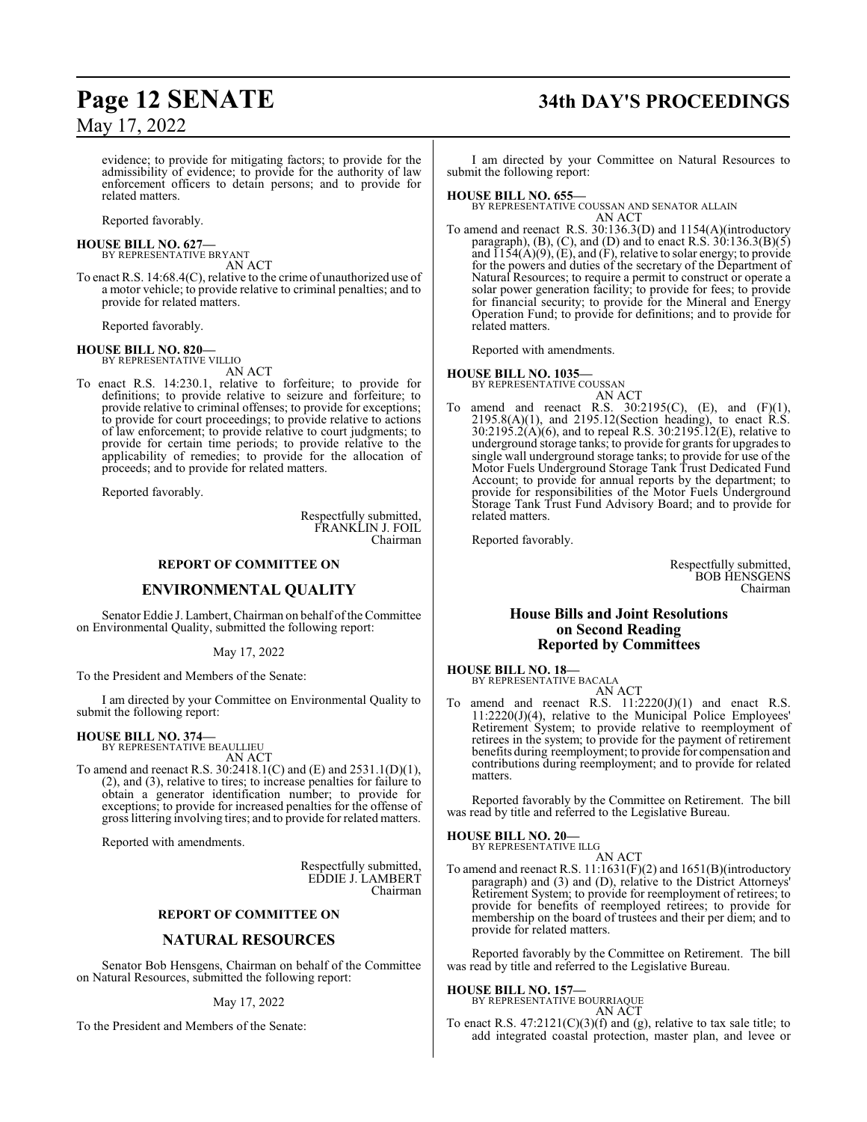evidence; to provide for mitigating factors; to provide for the admissibility of evidence; to provide for the authority of law enforcement officers to detain persons; and to provide for related matters.

Reported favorably.

# **HOUSE BILL NO. 627—** BY REPRESENTATIVE BRYANT

AN ACT

To enact R.S. 14:68.4(C), relative to the crime of unauthorized use of a motor vehicle; to provide relative to criminal penalties; and to provide for related matters.

Reported favorably.

#### **HOUSE BILL NO. 820—**

BY REPRESENTATIVE VILLIO AN ACT

To enact R.S. 14:230.1, relative to forfeiture; to provide for definitions; to provide relative to seizure and forfeiture; to provide relative to criminal offenses; to provide for exceptions; to provide for court proceedings; to provide relative to actions of law enforcement; to provide relative to court judgments; to provide for certain time periods; to provide relative to the applicability of remedies; to provide for the allocation of proceeds; and to provide for related matters.

Reported favorably.

Respectfully submitted, FRANKLIN J. FOIL Chairman

#### **REPORT OF COMMITTEE ON**

#### **ENVIRONMENTAL QUALITY**

Senator Eddie J. Lambert, Chairman on behalf of the Committee on Environmental Quality, submitted the following report:

May 17, 2022

To the President and Members of the Senate:

I am directed by your Committee on Environmental Quality to submit the following report:

#### **HOUSE BILL NO. 374—**

BY REPRESENTATIVE BEAULLIEU AN ACT

To amend and reenact R.S. 30:2418.1(C) and (E) and 2531.1(D)(1), (2), and (3), relative to tires; to increase penalties for failure to obtain a generator identification number; to provide for exceptions; to provide for increased penalties for the offense of gross littering involving tires; and to provide for related matters.

Reported with amendments.

Respectfully submitted, EDDIE J. LAMBERT Chairman

#### **REPORT OF COMMITTEE ON**

#### **NATURAL RESOURCES**

Senator Bob Hensgens, Chairman on behalf of the Committee on Natural Resources, submitted the following report:

#### May 17, 2022

To the President and Members of the Senate:

# **Page 12 SENATE 34th DAY'S PROCEEDINGS**

I am directed by your Committee on Natural Resources to submit the following report:

#### **HOUSE BILL NO. 655—**

BY REPRESENTATIVE COUSSAN AND SENATOR ALLAIN AN ACT

To amend and reenact R.S. 30:136.3(D) and 1154(A)(introductory paragraph), (B), (C), and (D) and to enact R.S.  $30:136.3(B)(5)$ and  $\overline{1154(A)(9)}$ , (E), and (F), relative to solar energy; to provide for the powers and duties of the secretary of the Department of Natural Resources; to require a permit to construct or operate a solar power generation facility; to provide for fees; to provide for financial security; to provide for the Mineral and Energy Operation Fund; to provide for definitions; and to provide for related matters.

Reported with amendments.

#### **HOUSE BILL NO. 1035—**

BY REPRESENTATIVE COUSSAN

- AN ACT
- To amend and reenact R.S.  $30:2195(C)$ , (E), and (F)(1),  $2195.8(A)(1)$ , and  $2195.12$ (Section heading), to enact R.S. 30:2195.2(A)(6), and to repeal R.S. 30:2195.12(E), relative to underground storage tanks; to provide for grants for upgrades to single wall underground storage tanks; to provide for use of the Motor Fuels Underground Storage Tank Trust Dedicated Fund Account; to provide for annual reports by the department; to provide for responsibilities of the Motor Fuels Underground Storage Tank Trust Fund Advisory Board; and to provide for related matters.

Reported favorably.

Respectfully submitted, BOB HENSGENS Chairman

#### **House Bills and Joint Resolutions on Second Reading Reported by Committees**

#### **HOUSE BILL NO. 18—** BY REPRESENTATIVE BACALA

AN ACT

To amend and reenact R.S.  $11:2220(J)(1)$  and enact R.S. 11:2220(J)(4), relative to the Municipal Police Employees' Retirement System; to provide relative to reemployment of retirees in the system; to provide for the payment of retirement benefits during reemployment; to provide for compensation and contributions during reemployment; and to provide for related matters.

Reported favorably by the Committee on Retirement. The bill was read by title and referred to the Legislative Bureau.

#### **HOUSE BILL NO. 20—** BY REPRESENTATIVE ILLG

AN ACT

To amend and reenact R.S. 11:1631(F)(2) and 1651(B)(introductory paragraph) and (3) and (D), relative to the District Attorneys' Retirement System; to provide for reemployment of retirees; to provide for benefits of reemployed retirees; to provide for membership on the board of trustees and their per diem; and to provide for related matters.

Reported favorably by the Committee on Retirement. The bill was read by title and referred to the Legislative Bureau.

#### **HOUSE BILL NO. 157—**

BY REPRESENTATIVE BOURRIAQUE AN ACT

To enact R.S.  $47:2121(C)(3)(f)$  and (g), relative to tax sale title; to add integrated coastal protection, master plan, and levee or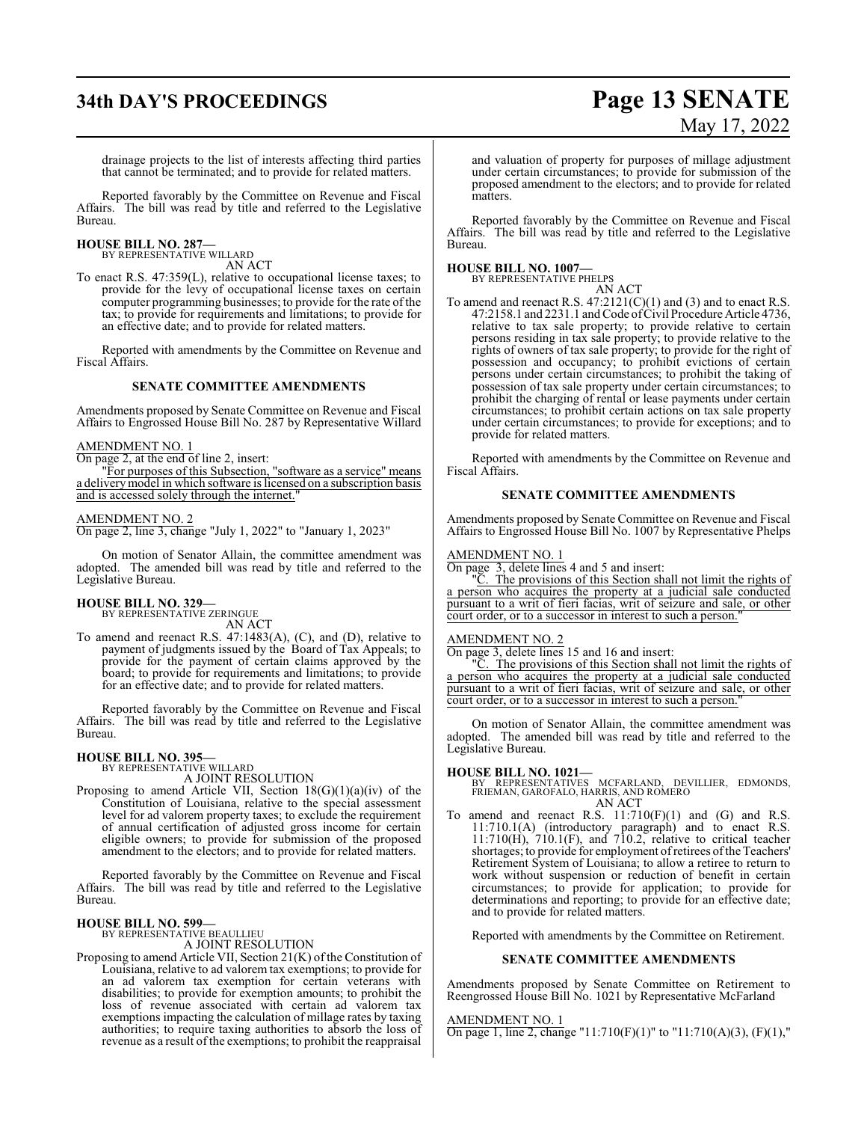# **34th DAY'S PROCEEDINGS Page 13 SENATE**

# May 17, 2022

drainage projects to the list of interests affecting third parties that cannot be terminated; and to provide for related matters.

Reported favorably by the Committee on Revenue and Fiscal Affairs. The bill was read by title and referred to the Legislative Bureau.

#### **HOUSE BILL NO. 287—** BY REPRESENTATIVE WILLARD

AN ACT

To enact R.S. 47:359(L), relative to occupational license taxes; to provide for the levy of occupational license taxes on certain computer programming businesses; to provide for the rate of the tax; to provide for requirements and limitations; to provide for an effective date; and to provide for related matters.

Reported with amendments by the Committee on Revenue and Fiscal Affairs.

#### **SENATE COMMITTEE AMENDMENTS**

Amendments proposed by Senate Committee on Revenue and Fiscal Affairs to Engrossed House Bill No. 287 by Representative Willard

#### AMENDMENT NO. 1

On page 2, at the end of line 2, insert:

"For purposes of this Subsection, "software as a service" means a deliverymodel in which software is licensed on a subscription basis and is accessed solely through the internet.

#### AMENDMENT NO. 2

On page 2, line 3, change "July 1, 2022" to "January 1, 2023"

On motion of Senator Allain, the committee amendment was adopted. The amended bill was read by title and referred to the Legislative Bureau.

# **HOUSE BILL NO. 329—** BY REPRESENTATIVE ZERINGUE

AN ACT

To amend and reenact R.S. 47:1483(A), (C), and (D), relative to payment of judgments issued by the Board of Tax Appeals; to provide for the payment of certain claims approved by the board; to provide for requirements and limitations; to provide for an effective date; and to provide for related matters.

Reported favorably by the Committee on Revenue and Fiscal Affairs. The bill was read by title and referred to the Legislative Bureau.

# **HOUSE BILL NO. 395—** BY REPRESENTATIVE WILLARD

A JOINT RESOLUTION

Proposing to amend Article VII, Section 18(G)(1)(a)(iv) of the Constitution of Louisiana, relative to the special assessment level for ad valorem property taxes; to exclude the requirement of annual certification of adjusted gross income for certain eligible owners; to provide for submission of the proposed amendment to the electors; and to provide for related matters.

Reported favorably by the Committee on Revenue and Fiscal Affairs. The bill was read by title and referred to the Legislative Bureau.

#### **HOUSE BILL NO. 599—**

BY REPRESENTATIVE BEAULLIEU

A JOINT RESOLUTION

Proposing to amend Article VII, Section 21(K) of the Constitution of Louisiana, relative to ad valorem tax exemptions; to provide for an ad valorem tax exemption for certain veterans with disabilities; to provide for exemption amounts; to prohibit the loss of revenue associated with certain ad valorem tax exemptions impacting the calculation of millage rates by taxing authorities; to require taxing authorities to absorb the loss of revenue as a result of the exemptions; to prohibit the reappraisal

and valuation of property for purposes of millage adjustment under certain circumstances; to provide for submission of the proposed amendment to the electors; and to provide for related matters.

Reported favorably by the Committee on Revenue and Fiscal Affairs. The bill was read by title and referred to the Legislative Bureau.

#### **HOUSE BILL NO. 1007—** BY REPRESENT

| TATIVE PHELPS |        |
|---------------|--------|
|               | AN ACT |

To amend and reenact R.S.  $47:2121(C)(1)$  and (3) and to enact R.S. 47:2158.1 and 2231.1 and Code of Civil Procedure Article 4736, relative to tax sale property; to provide relative to certain persons residing in tax sale property; to provide relative to the rights of owners of tax sale property; to provide for the right of possession and occupancy; to prohibit evictions of certain persons under certain circumstances; to prohibit the taking of possession of tax sale property under certain circumstances; to prohibit the charging of rental or lease payments under certain circumstances; to prohibit certain actions on tax sale property under certain circumstances; to provide for exceptions; and to provide for related matters.

Reported with amendments by the Committee on Revenue and Fiscal Affairs.

#### **SENATE COMMITTEE AMENDMENTS**

Amendments proposed by Senate Committee on Revenue and Fiscal Affairs to Engrossed House Bill No. 1007 by Representative Phelps

#### AMENDMENT NO. 1

On page 3, delete lines 4 and 5 and insert:

The provisions of this Section shall not limit the rights of a person who acquires the property at a judicial sale conducted pursuant to a writ of fieri facias, writ of seizure and sale, or other court order, or to a successor in interest to such a person.

#### AMENDMENT NO. 2

On page 3, delete lines 15 and 16 and insert:

"C. The provisions of this Section shall not limit the rights of a person who acquires the property at a judicial sale conducted pursuant to a writ of fieri facias, writ of seizure and sale, or other court order, or to a successor in interest to such a person.

On motion of Senator Allain, the committee amendment was adopted. The amended bill was read by title and referred to the Legislative Bureau.

#### **HOUSE BILL NO. 1021—**

BY REPRESENTATIVES MCFARLAND, DEVILLIER, EDMONDS, FRIEMAN, GAROFALO, HARRIS, AND ROMERO AN ACT

To amend and reenact R.S.  $11:710(F)(1)$  and  $(G)$  and R.S. 11:710.1(A) (introductory paragraph) and to enact R.S. 11:710(H), 710.1(F), and 710.2, relative to critical teacher shortages; to provide for employment ofretirees ofthe Teachers' Retirement System of Louisiana; to allow a retiree to return to work without suspension or reduction of benefit in certain circumstances; to provide for application; to provide for determinations and reporting; to provide for an effective date; and to provide for related matters.

Reported with amendments by the Committee on Retirement.

#### **SENATE COMMITTEE AMENDMENTS**

Amendments proposed by Senate Committee on Retirement to Reengrossed House Bill No. 1021 by Representative McFarland

#### AMENDMENT NO. 1

On page 1, line 2, change "11:710(F)(1)" to "11:710(A)(3), (F)(1),"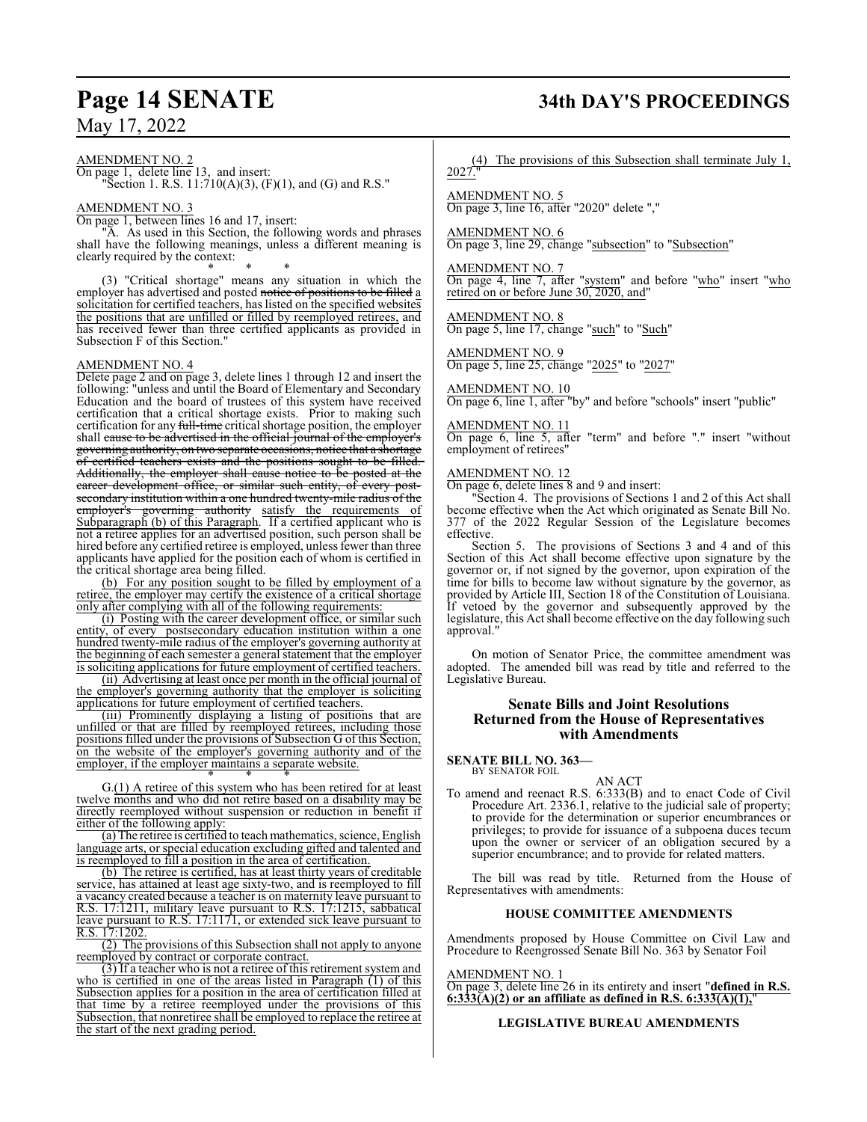# **Page 14 SENATE 34th DAY'S PROCEEDINGS**

May 17, 2022

#### AMENDMENT NO. 2

On page 1, delete line 13, and insert: "Section 1. R.S.  $11:710(A)(3)$ ,  $(F)(1)$ , and  $(G)$  and R.S."

#### AMENDMENT NO. 3

On page 1, between lines 16 and 17, insert:

"A. As used in this Section, the following words and phrases shall have the following meanings, unless a different meaning is clearly required by the context:

\* \* \* (3) "Critical shortage" means any situation in which the employer has advertised and posted notice of positions to be filled a solicitation for certified teachers, has listed on the specified websites the positions that are unfilled or filled by reemployed retirees, and has received fewer than three certified applicants as provided in Subsection F of this Section."

#### AMENDMENT NO. 4

Delete page 2 and on page 3, delete lines 1 through 12 and insert the following: "unless and until the Board of Elementary and Secondary Education and the board of trustees of this system have received certification that a critical shortage exists. Prior to making such certification for any full-time critical shortage position, the employer shall cause to be advertised in the official journal of the employer's governing authority, on two separate occasions, notice that a shortage of certified teachers exists and the positions sought to be filled. Additionally, the employer shall cause notice to be posted at the career development office, or similar such entity, of every postsecondary institution within a one hundred twenty-mile radius of the employer's <u>eoverning</u> authority satisfy the requirements of employer's governing authority satisfy the requirements of Subparagraph (b) of this Paragraph. If a certified applicant who is not a retiree applies for an advertised position, such person shall be hired before any certified retiree is employed, unless fewer than three applicants have applied for the position each of whom is certified in the critical shortage area being filled.

(b) For any position sought to be filled by employment of a retiree, the employer may certify the existence of a critical shortage only after complying with all of the following requirements:

(i) Posting with the career development office, or similar such entity, of every postsecondary education institution within a one hundred twenty-mile radius of the employer's governing authority at the beginning of each semester a general statement that the employer is soliciting applications for future employment of certified teachers.

(ii) Advertising at least once per month in the official journal of the employer's governing authority that the employer is soliciting applications for future employment of certified teachers.

(iii) Prominently displaying a listing of positions that are unfilled or that are filled by reemployed retirees, including those positions filled under the provisions of Subsection G of this Section, on the website of the employer's governing authority and of the employer, if the employer maintains a separate website. \* \* \*

G.(1) A retiree of this system who has been retired for at least twelve months and who did not retire based on a disability may be directly reemployed without suspension or reduction in benefit if either of the following apply:

(a) The retiree is certified to teach mathematics, science, English language arts, or special education excluding gifted and talented and is reemployed to fill a position in the area of certification.

(b) The retiree is certified, has at least thirty years of creditable service, has attained at least age sixty-two, and is reemployed to fill a vacancy created because a teacher is on maternity leave pursuant to R.S. 17:1211, military leave pursuant to R.S. 17:1215, sabbatical leave pursuant to R.S. 17:1171, or extended sick leave pursuant to R.S. 17:1202.

(2) The provisions of this Subsection shall not apply to anyone reemployed by contract or corporate contract.

(3) If a teacher who is not a retiree of this retirement system and who is certified in one of the areas listed in Paragraph (1) of this Subsection applies for a position in the area of certification filled at that time by a retiree reemployed under the provisions of this Subsection, that nonretiree shall be employed to replace the retiree at the start of the next grading period.

(4) The provisions of this Subsection shall terminate July 1, 2027."

AMENDMENT NO. 5 On page 3, line 16, after "2020" delete ","

AMENDMENT NO. 6 On page 3, line 29, change "subsection" to "Subsection"

AMENDMENT NO. 7 On page 4, line 7, after "system" and before "who" insert "who retired on or before June 30, 2020, and"

AMENDMENT NO. 8 On page 5, line 17, change "such" to "Such"

AMENDMENT NO. 9 On page 5, line 25, change "2025" to "2027"

#### AMENDMENT NO. 10

On page 6, line 1, after "by" and before "schools" insert "public"

#### AMENDMENT NO. 11

On page 6, line 5, after "term" and before "." insert "without employment of retirees"

#### AMENDMENT NO. 12

On page 6, delete lines 8 and 9 and insert:

"Section 4. The provisions of Sections 1 and 2 of this Act shall become effective when the Act which originated as Senate Bill No. 377 of the 2022 Regular Session of the Legislature becomes effective.

Section 5. The provisions of Sections 3 and 4 and of this Section of this Act shall become effective upon signature by the governor or, if not signed by the governor, upon expiration of the time for bills to become law without signature by the governor, as provided by Article III, Section 18 of the Constitution of Louisiana. If vetoed by the governor and subsequently approved by the legislature, this Act shall become effective on the day following such approval."

On motion of Senator Price, the committee amendment was adopted. The amended bill was read by title and referred to the Legislative Bureau.

#### **Senate Bills and Joint Resolutions Returned from the House of Representatives with Amendments**

**SENATE BILL NO. 363—** BY SENATOR FOIL

AN ACT

To amend and reenact R.S. 6:333(B) and to enact Code of Civil Procedure Art. 2336.1, relative to the judicial sale of property; to provide for the determination or superior encumbrances or privileges; to provide for issuance of a subpoena duces tecum upon the owner or servicer of an obligation secured by a superior encumbrance; and to provide for related matters.

The bill was read by title. Returned from the House of Representatives with amendments:

#### **HOUSE COMMITTEE AMENDMENTS**

Amendments proposed by House Committee on Civil Law and Procedure to Reengrossed Senate Bill No. 363 by Senator Foil

#### AMENDMENT NO. 1

On page 3, delete line 26 in its entirety and insert "**defined in R.S. 6:333(A)(2) or an affiliate as defined in R.S. 6:333(A)(1),**"

#### **LEGISLATIVE BUREAU AMENDMENTS**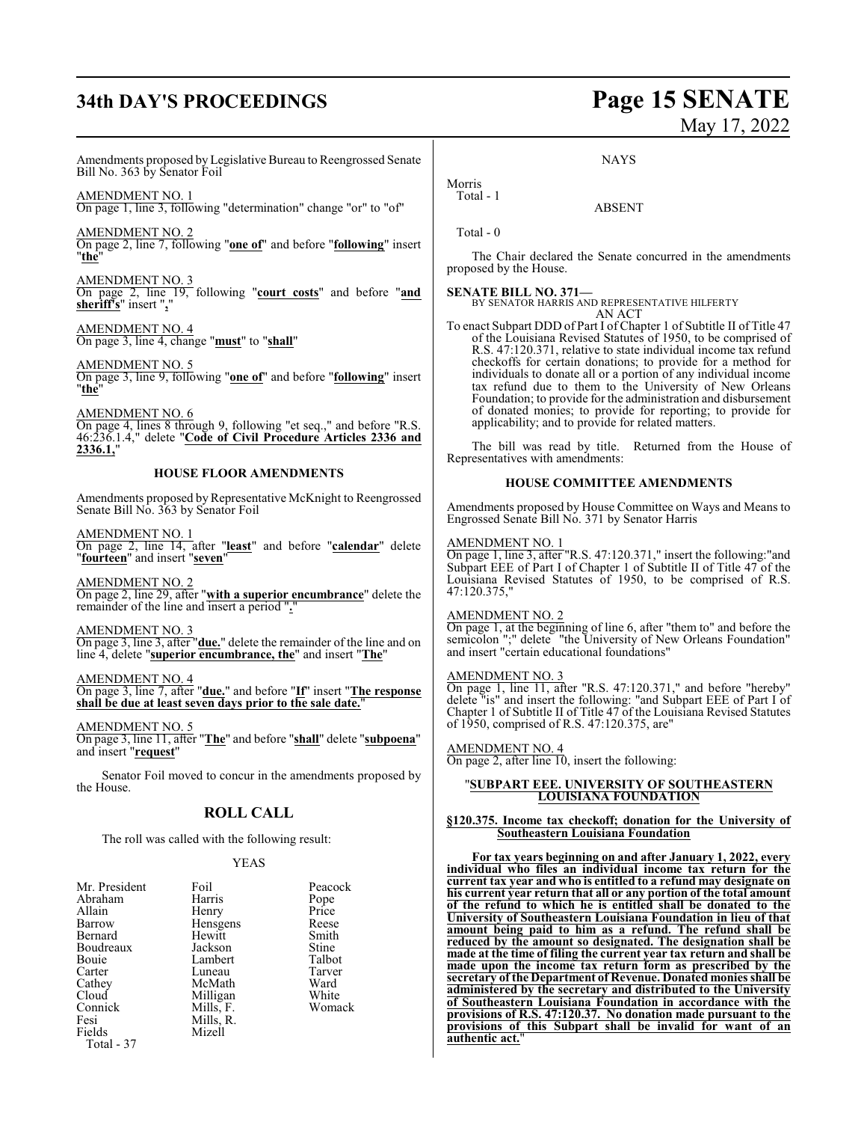# **34th DAY'S PROCEEDINGS Page 15 SENATE**

# May 17, 2022

Amendments proposed by Legislative Bureau to Reengrossed Senate Bill No. 363 by Senator Foil

AMENDMENT NO. 1 On page 1, line 3, following "determination" change "or" to "of"

AMENDMENT NO. 2 On page 2, line 7, following "**one of**" and before "**following**" insert "**the**"

AMENDMENT NO. 3 On page 2, line 19, following "**court costs**" and before "**and sheriff's**" insert "**,**"

AMENDMENT NO. 4 On page 3, line 4, change "**must**" to "**shall**"

AMENDMENT NO. 5 On page 3, line 9, following "**one of**" and before "**following**" insert "**the**"

AMENDMENT NO. 6 On page 4, lines 8 through 9, following "et seq.," and before "R.S. 46:236.1.4," delete "**Code of Civil Procedure Articles 2336 and 2336.1,**"

#### **HOUSE FLOOR AMENDMENTS**

Amendments proposed by Representative McKnight to Reengrossed Senate Bill No. 363 by Senator Foil

AMENDMENT NO. 1 On page 2, line 14, after "**least**" and before "**calendar**" delete "**fourteen**" and insert "**seven**"

AMENDMENT NO. 2 On page 2, line 29, after "**with a superior encumbrance**" delete the remainder of the line and insert a period "**.**"

AMENDMENT NO. 3 On page 3, line 3, after "**due.**" delete the remainder of the line and on line 4, delete "**superior encumbrance, the**" and insert "**The**"

AMENDMENT NO. 4 On page 3, line 7, after "**due.**" and before "**If**" insert "**The response shall be due at least seven days prior to the sale date.**"

AMENDMENT NO. 5 On page 3, line 11, after "**The**" and before "**shall**" delete "**subpoena**" and insert "**request**"

Senator Foil moved to concur in the amendments proposed by the House.

### **ROLL CALL**

The roll was called with the following result:

#### YEAS

| Mr. President<br>Abraham<br>Allain<br>Barrow<br>Bernard<br>Boudreaux<br><b>Bouje</b><br>Carter<br>Cathey<br>Cloud<br>Connick<br>Fesi | Foil<br>Harris<br>Henry<br>Hensgens<br>Hewitt<br>Jackson<br>Lambert<br>Luneau<br>McMath<br>Milligan<br>Mills, F.<br>Mills, R. | Peacock<br>Pope<br>Price<br>Reese<br>Smith<br>Stine<br>Talbot<br>Tarver<br>Ward<br>White<br>Womack |
|--------------------------------------------------------------------------------------------------------------------------------------|-------------------------------------------------------------------------------------------------------------------------------|----------------------------------------------------------------------------------------------------|
| Fields<br>Total - 37                                                                                                                 | Mizell                                                                                                                        |                                                                                                    |

**NAYS** 

ABSENT

Morris Total - 1

Total - 0

The Chair declared the Senate concurred in the amendments proposed by the House.

**SENATE BILL NO. 371—** BY SENATOR HARRIS AND REPRESENTATIVE HILFERTY AN ACT

To enact Subpart DDD of Part I of Chapter 1 of Subtitle II of Title 47 of the Louisiana Revised Statutes of 1950, to be comprised of R.S. 47:120.371, relative to state individual income tax refund checkoffs for certain donations; to provide for a method for individuals to donate all or a portion of any individual income tax refund due to them to the University of New Orleans Foundation; to provide for the administration and disbursement of donated monies; to provide for reporting; to provide for applicability; and to provide for related matters.

The bill was read by title. Returned from the House of Representatives with amendments:

#### **HOUSE COMMITTEE AMENDMENTS**

Amendments proposed by House Committee on Ways and Means to Engrossed Senate Bill No. 371 by Senator Harris

#### AMENDMENT NO. 1

On page 1, line 3, after "R.S. 47:120.371," insert the following:"and Subpart EEE of Part I of Chapter 1 of Subtitle II of Title 47 of the Louisiana Revised Statutes of 1950, to be comprised of R.S. 47:120.375,"

#### AMENDMENT NO. 2

On page 1, at the beginning of line 6, after "them to" and before the semicolon ";" delete "the University of New Orleans Foundation" and insert "certain educational foundations"

#### AMENDMENT NO. 3

On page 1, line 11, after "R.S. 47:120.371," and before "hereby" delete "is" and insert the following: "and Subpart EEE of Part I of Chapter 1 of Subtitle II of Title 47 of the Louisiana Revised Statutes of 1950, comprised of R.S. 47:120.375, are"

#### AMENDMENT NO. 4

On page 2, after line 10, insert the following:

#### "**SUBPART EEE. UNIVERSITY OF SOUTHEASTERN LOUISIANA FOUNDATION**

#### **§120.375. Income tax checkoff; donation for the University of Southeastern Louisiana Foundation**

**For tax years beginning on and after January 1, 2022, every individual who files an individual income tax return for the current tax year and who is entitled to a refund may designate on his current year return that all or any portion of the total amount of the refund to which he is entitled shall be donated to the University of Southeastern Louisiana Foundation in lieu of that amount being paid to him as a refund. The refund shall be reduced by the amount so designated. The designation shall be made at the time of filing the current year tax return and shall be made upon the income tax return form as prescribed by the secretary of the Department of Revenue. Donated monies shall be administered by the secretary and distributed to the University of Southeastern Louisiana Foundation in accordance with the provisions of R.S. 47:120.37. No donation made pursuant to the provisions of this Subpart shall be invalid for want of an authentic act.**"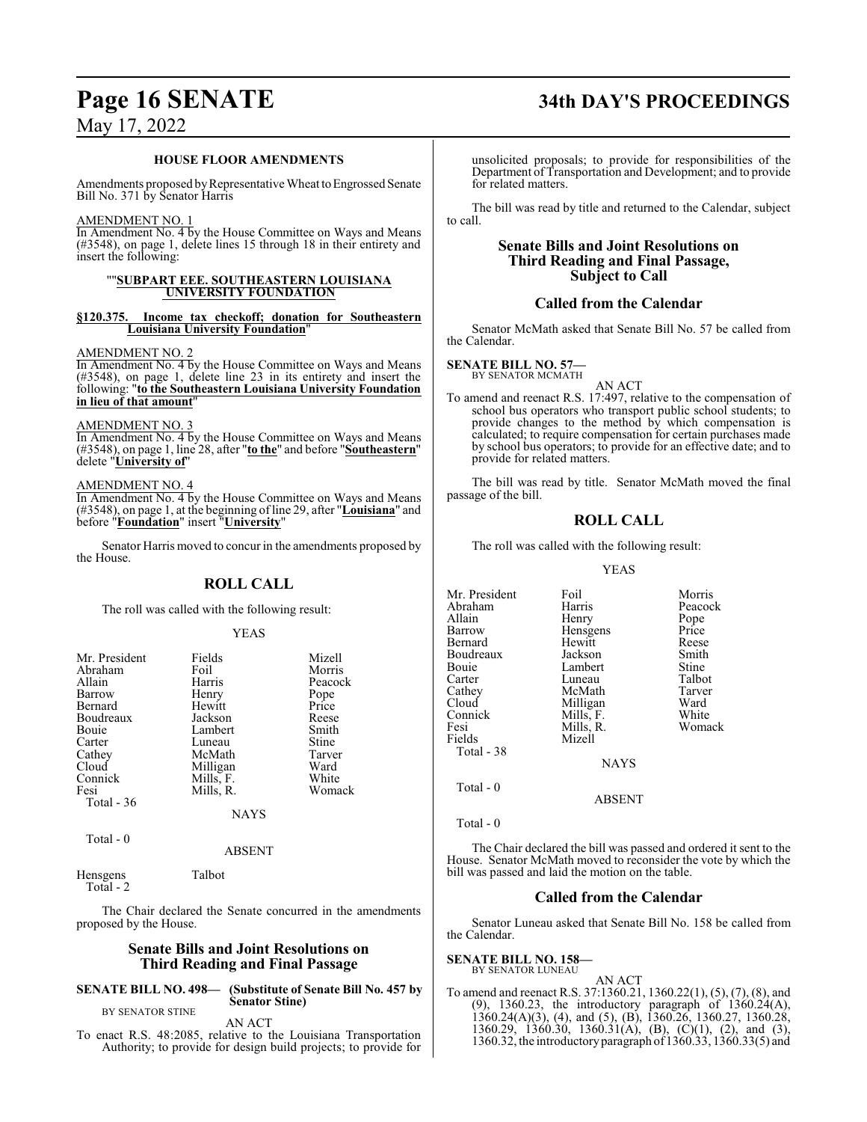#### **HOUSE FLOOR AMENDMENTS**

Amendments proposed by Representative Wheat to Engrossed Senate Bill No. 371 by Senator Harris

#### AMENDMENT NO. 1

In Amendment No. 4 by the House Committee on Ways and Means (#3548), on page 1, delete lines 15 through 18 in their entirety and insert the following:

#### ""**SUBPART EEE. SOUTHEASTERN LOUISIANA UNIVERSITY FOUNDATION**

#### **§120.375. Income tax checkoff; donation for Southeastern Louisiana University Foundation**"

AMENDMENT NO. 2

In Amendment No. 4 by the House Committee on Ways and Means (#3548), on page 1, delete line 23 in its entirety and insert the following: "**to the Southeastern Louisiana University Foundation in lieu of that amount**"

#### AMENDMENT NO. 3

In Amendment No. 4 by the House Committee on Ways and Means (#3548), on page 1, line 28, after "**to the**" and before "**Southeastern**" delete "**University of**"

#### AMENDMENT NO. 4

In Amendment No. 4 by the House Committee on Ways and Means (#3548), on page 1, at the beginning ofline 29, after "**Louisiana**" and before "**Foundation**" insert "**University**"

Senator Harris moved to concur in the amendments proposed by the House.

### **ROLL CALL**

The roll was called with the following result:

#### YEAS

| Mr. President | Fields      | Mizell  |
|---------------|-------------|---------|
| Abraham       | Foil        | Morris  |
| Allain        | Harris      | Peacock |
| Barrow        | Henry       | Pope    |
| Bernard       | Hewitt      | Price   |
| Boudreaux     | Jackson     | Reese   |
| Bouie         | Lambert     | Smith   |
| Carter        | Luneau      | Stine   |
| Cathey        | McMath      | Tarver  |
| Cloud         | Milligan    | Ward    |
| Connick       | Mills, F.   | White   |
| Fesi          | Mills, R.   | Womack  |
| Total - 36    |             |         |
|               | <b>NAYS</b> |         |

Total - 0

Total - 2

#### ABSENT

Hensgens Talbot

The Chair declared the Senate concurred in the amendments proposed by the House.

#### **Senate Bills and Joint Resolutions on Third Reading and Final Passage**

#### **SENATE BILL NO. 498— (Substitute of Senate Bill No. 457 by Senator Stine)**

BY SENATOR STINE

AN ACT

To enact R.S. 48:2085, relative to the Louisiana Transportation Authority; to provide for design build projects; to provide for unsolicited proposals; to provide for responsibilities of the Department of Transportation and Development; and to provide for related matters.

The bill was read by title and returned to the Calendar, subject to call.

#### **Senate Bills and Joint Resolutions on Third Reading and Final Passage, Subject to Call**

#### **Called from the Calendar**

Senator McMath asked that Senate Bill No. 57 be called from the Calendar.

#### **SENATE BILL NO. 57—** BY SENATOR MCMATH

AN ACT

To amend and reenact R.S. 17:497, relative to the compensation of school bus operators who transport public school students; to provide changes to the method by which compensation is calculated; to require compensation for certain purchases made by school bus operators; to provide for an effective date; and to provide for related matters.

The bill was read by title. Senator McMath moved the final passage of the bill.

## **ROLL CALL**

The roll was called with the following result:

#### YEAS

| Mr. President<br>Abraham<br>Allain<br>Barrow<br>Bernard<br>Boudreaux<br>Bouie<br>Carter<br>Cathey<br>Cloud<br>Connick<br>Fesi<br>Fields | Foil<br>Harris<br>Henry<br>Hensgens<br>Hewitt<br>Jackson<br>Lambert<br>Luneau<br>McMath<br>Milligan<br>Mills, F.<br>Mills, R.<br>Mizell | Morris<br>Peacock<br>Pope<br>Price<br>Reese<br>Smith<br>Stine<br>Talbot<br>Tarver<br>Ward<br>White<br>Womack |
|-----------------------------------------------------------------------------------------------------------------------------------------|-----------------------------------------------------------------------------------------------------------------------------------------|--------------------------------------------------------------------------------------------------------------|
| Total - 38                                                                                                                              |                                                                                                                                         |                                                                                                              |
|                                                                                                                                         | <b>NAYS</b>                                                                                                                             |                                                                                                              |
| Total $-0$                                                                                                                              | ABSENT                                                                                                                                  |                                                                                                              |

#### Total - 0

The Chair declared the bill was passed and ordered it sent to the House. Senator McMath moved to reconsider the vote by which the bill was passed and laid the motion on the table.

#### **Called from the Calendar**

Senator Luneau asked that Senate Bill No. 158 be called from the Calendar.

#### **SENATE BILL NO. 158—** BY SENATOR LUNEAU

AN ACT

To amend and reenact R.S. 37:1360.21, 1360.22(1), (5), (7), (8), and (9), 1360.23, the introductory paragraph of 1360.24(A), 1360.24(A)(3), (4), and (5), (B), 1360.26, 1360.27, 1360.28, 1360.29, 1360.30, 1360.31(A), (B), (C)(1), (2), and (3), 1360.32, the introductoryparagraph of 1360.33, 1360.33(5) and

# **Page 16 SENATE 34th DAY'S PROCEEDINGS**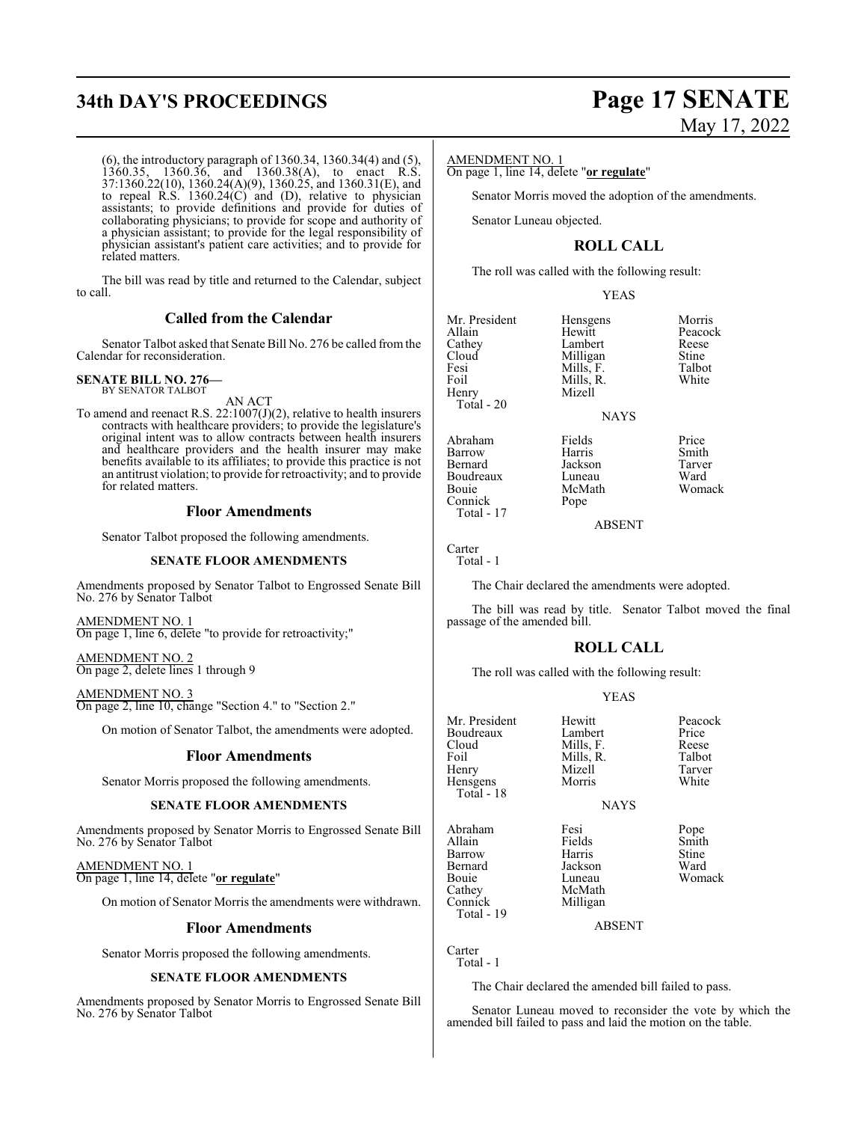# **34th DAY'S PROCEEDINGS Page 17 SENATE**

(6), the introductory paragraph of 1360.34, 1360.34(4) and (5), 1360.35, 1360.36, and 1360.38(A), to enact R.S. 37:1360.22(10), 1360.24(A)(9), 1360.25, and 1360.31(E), and to repeal R.S. 1360.24(C) and (D), relative to physician assistants; to provide definitions and provide for duties of collaborating physicians; to provide for scope and authority of a physician assistant; to provide for the legal responsibility of physician assistant's patient care activities; and to provide for related matters.

The bill was read by title and returned to the Calendar, subject to call.

### **Called from the Calendar**

Senator Talbot asked that Senate Bill No. 276 be called from the Calendar for reconsideration.

#### **SENATE BILL NO. 276—** BY SENATOR TALBOT

AN ACT

To amend and reenact R.S.  $22:1007(J)(2)$ , relative to health insurers contracts with healthcare providers; to provide the legislature's original intent was to allow contracts between health insurers and healthcare providers and the health insurer may make benefits available to its affiliates; to provide this practice is not an antitrust violation; to provide for retroactivity; and to provide for related matters.

#### **Floor Amendments**

Senator Talbot proposed the following amendments.

#### **SENATE FLOOR AMENDMENTS**

Amendments proposed by Senator Talbot to Engrossed Senate Bill No. 276 by Senator Talbot

AMENDMENT NO. 1 On page 1, line 6, delete "to provide for retroactivity;"

AMENDMENT NO. 2 On page 2, delete lines 1 through 9

## AMENDMENT NO. 3

On page 2, line 10, change "Section 4." to "Section 2."

On motion of Senator Talbot, the amendments were adopted.

#### **Floor Amendments**

Senator Morris proposed the following amendments.

#### **SENATE FLOOR AMENDMENTS**

Amendments proposed by Senator Morris to Engrossed Senate Bill No. 276 by Senator Talbot

AMENDMENT NO. 1 On page 1, line 14, delete "**or regulate**"

On motion of Senator Morris the amendments were withdrawn.

#### **Floor Amendments**

Senator Morris proposed the following amendments.

#### **SENATE FLOOR AMENDMENTS**

Amendments proposed by Senator Morris to Engrossed Senate Bill No. 276 by Senator Talbot

# May 17, 2022

#### AMENDMENT NO. 1

On page 1, line 14, delete "**or regulate**"

Senator Morris moved the adoption of the amendments.

Senator Luneau objected.

## **ROLL CALL**

The roll was called with the following result:

Mizell

#### YEAS

Milligan Stine<br>
Mills F Talbot

Mr. President Hensgens Morris<br>
Allain Hewitt Peacoc Allain Hewitt Peacock<br>Cathey Lambert Reese Cathey Lambert Reese<br>Cloud Milligan Stine Fesi Mills, F. Talbot<br>Foil Mills, R. White Foil Mills, R.<br>Henry Mizell Total - 20

Abraham Fields Price<br>
Barrow Harris Smith Barrow Harris Smith<br>Bernard Jackson Tarver Boudreaux Luneau<br>Bouie McMath McMath Womack<br>Pope

Jackson Tarver<br>
Luneau Ward

ABSENT

**NAYS** 

Carter Total - 1

Connick Total - 17

The Chair declared the amendments were adopted.

The bill was read by title. Senator Talbot moved the final passage of the amended bill.

### **ROLL CALL**

The roll was called with the following result:

#### YEAS

| Mr. President<br>Boudreaux<br>Cloud<br>Foil<br>Henry<br>Hensgens<br>Total - 18     | Hewitt<br>Lambert<br>Mills, F.<br>Mills, R.<br>Mizell<br>Morris<br><b>NAYS</b> | Peacock<br>Price<br>Reese<br>Talbot<br>Tarver<br>White |
|------------------------------------------------------------------------------------|--------------------------------------------------------------------------------|--------------------------------------------------------|
| Abraham<br>Allain<br>Barrow<br>Bernard<br>Bouie<br>Cathey<br>Connick<br>Total - 19 | Fesi<br>Fields<br>Harris<br>Jackson<br>Luneau<br>McMath<br>Milligan            | Pope<br>Smith<br>Stine<br>Ward<br>Womack               |

ABSENT

Carter Total - 1

The Chair declared the amended bill failed to pass.

Senator Luneau moved to reconsider the vote by which the amended bill failed to pass and laid the motion on the table.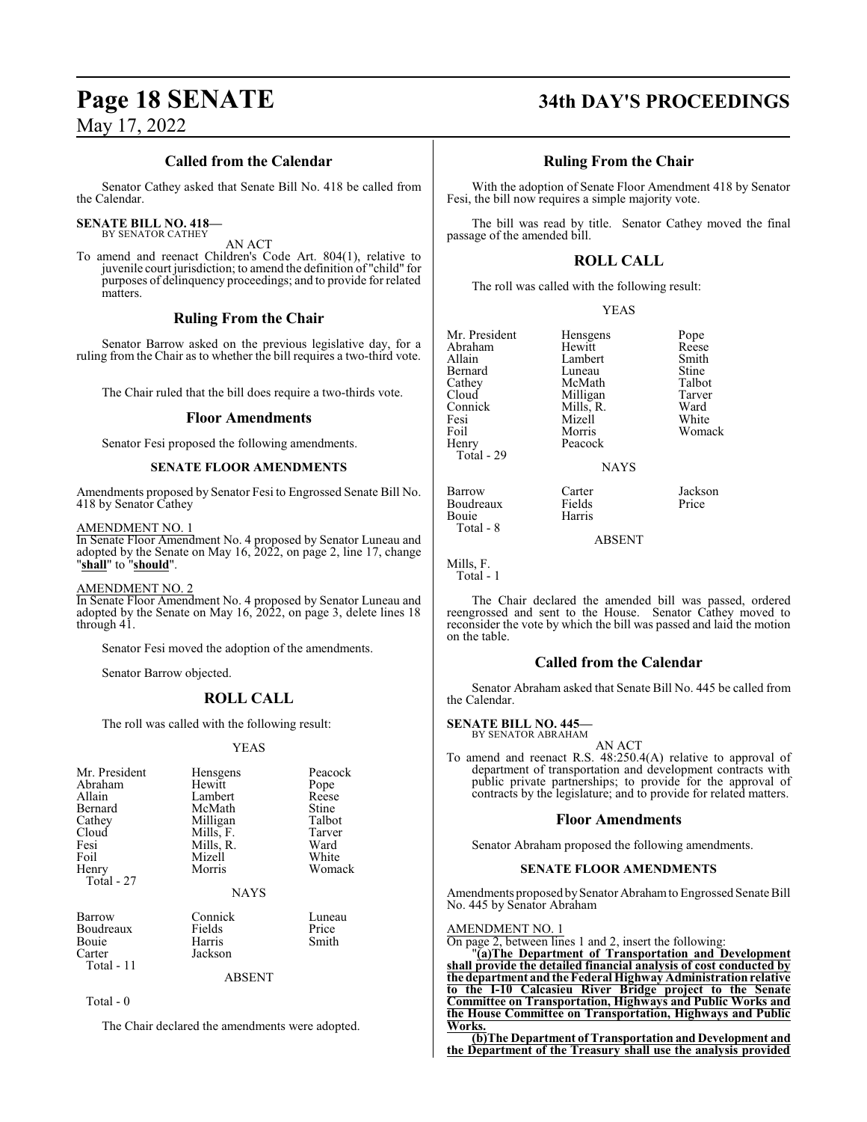## **Called from the Calendar**

Senator Cathey asked that Senate Bill No. 418 be called from the Calendar.

#### **SENATE BILL NO. 418—** BY SENATOR CATHEY

AN ACT

To amend and reenact Children's Code Art. 804(1), relative to juvenile court jurisdiction; to amend the definition of "child" for purposes of delinquency proceedings; and to provide for related matters.

## **Ruling From the Chair**

Senator Barrow asked on the previous legislative day, for a ruling from the Chair as to whether the bill requires a two-third vote.

The Chair ruled that the bill does require a two-thirds vote.

#### **Floor Amendments**

Senator Fesi proposed the following amendments.

### **SENATE FLOOR AMENDMENTS**

Amendments proposed by Senator Fesi to Engrossed Senate Bill No. 418 by Senator Cathey

#### AMENDMENT NO. 1

In Senate Floor Amendment No. 4 proposed by Senator Luneau and adopted by the Senate on May 16, 2022, on page 2, line 17, change "**shall**" to "**should**".

#### AMENDMENT NO. 2

In Senate Floor Amendment No. 4 proposed by Senator Luneau and adopted by the Senate on May 16, 2022, on page 3, delete lines 18 through 41.

Senator Fesi moved the adoption of the amendments.

Senator Barrow objected.

### **ROLL CALL**

The roll was called with the following result:

#### YEAS

| Mr. President<br>Abraham<br>Allain<br><b>Bernard</b><br>Cathey<br>Cloud<br>Fesi<br>Foil<br>Henry<br>Total - 27 | Hensgens<br>Hewitt<br>Lambert<br>McMath<br>Milligan<br>Mills, F.<br>Mills, R.<br>Mizell<br>Morris<br><b>NAYS</b> | Peacock<br>Pope<br>Reese<br>Stine<br>Talbot<br>Tarver<br>Ward<br>White<br>Womack |
|----------------------------------------------------------------------------------------------------------------|------------------------------------------------------------------------------------------------------------------|----------------------------------------------------------------------------------|
| Barrow<br>Boudreaux<br><b>Bouje</b><br>Carter<br>Total - 11                                                    | Connick<br>Fields<br>Harris<br>Jackson                                                                           | Luneau<br>Price<br>Smith                                                         |

ABSENT

Total - 0

The Chair declared the amendments were adopted.

# **Page 18 SENATE 34th DAY'S PROCEEDINGS**

### **Ruling From the Chair**

With the adoption of Senate Floor Amendment 418 by Senator Fesi, the bill now requires a simple majority vote.

The bill was read by title. Senator Cathey moved the final passage of the amended bill.

## **ROLL CALL**

The roll was called with the following result:

| Mr. President<br>Abraham<br>Allain<br>Bernard<br>Cathey<br>Cloud<br>Connick<br>Fesi<br>Foil<br>Henry | Hensgens<br>Hewitt<br>Lambert<br>Luneau<br>McMath<br>Milligan<br>Mills, R.<br>Mizell<br>Morris<br>Peacock | Pope<br>Reese<br>Smith<br>Stine<br>Talbot<br>Tarver<br>Ward<br>White<br>Womack |
|------------------------------------------------------------------------------------------------------|-----------------------------------------------------------------------------------------------------------|--------------------------------------------------------------------------------|
| Total - 29                                                                                           | <b>NAYS</b>                                                                                               |                                                                                |
| <b>Barrow</b><br>Boudreaux<br>Bouie<br>Total - 8                                                     | Carter<br>Fields<br>Harris                                                                                | Jackson<br>Price                                                               |

ABSENT

Mills, F. Total - 1

The Chair declared the amended bill was passed, ordered reengrossed and sent to the House. Senator Cathey moved to reconsider the vote by which the bill was passed and laid the motion on the table.

### **Called from the Calendar**

Senator Abraham asked that Senate Bill No. 445 be called from the Calendar.

#### **SENATE BILL NO. 445—**

BY SENATOR ABRAHAM

AN ACT

To amend and reenact R.S. 48:250.4(A) relative to approval of department of transportation and development contracts with public private partnerships; to provide for the approval of contracts by the legislature; and to provide for related matters.

#### **Floor Amendments**

Senator Abraham proposed the following amendments.

#### **SENATE FLOOR AMENDMENTS**

Amendments proposed by Senator Abraham to Engrossed Senate Bill No. 445 by Senator Abraham

AMENDMENT NO. 1

On page 2, between lines 1 and 2, insert the following:

"**(a)The Department of Transportation and Development shall provide the detailed financial analysis of cost conducted by the department and the Federal Highway Administration relative to the I-10 Calcasieu River Bridge project to the Senate Committee on Transportation, Highways and Public Works and the House Committee on Transportation, Highways and Public Works.**

**(b)The Department of Transportation and Development and the Department of the Treasury shall use the analysis provided**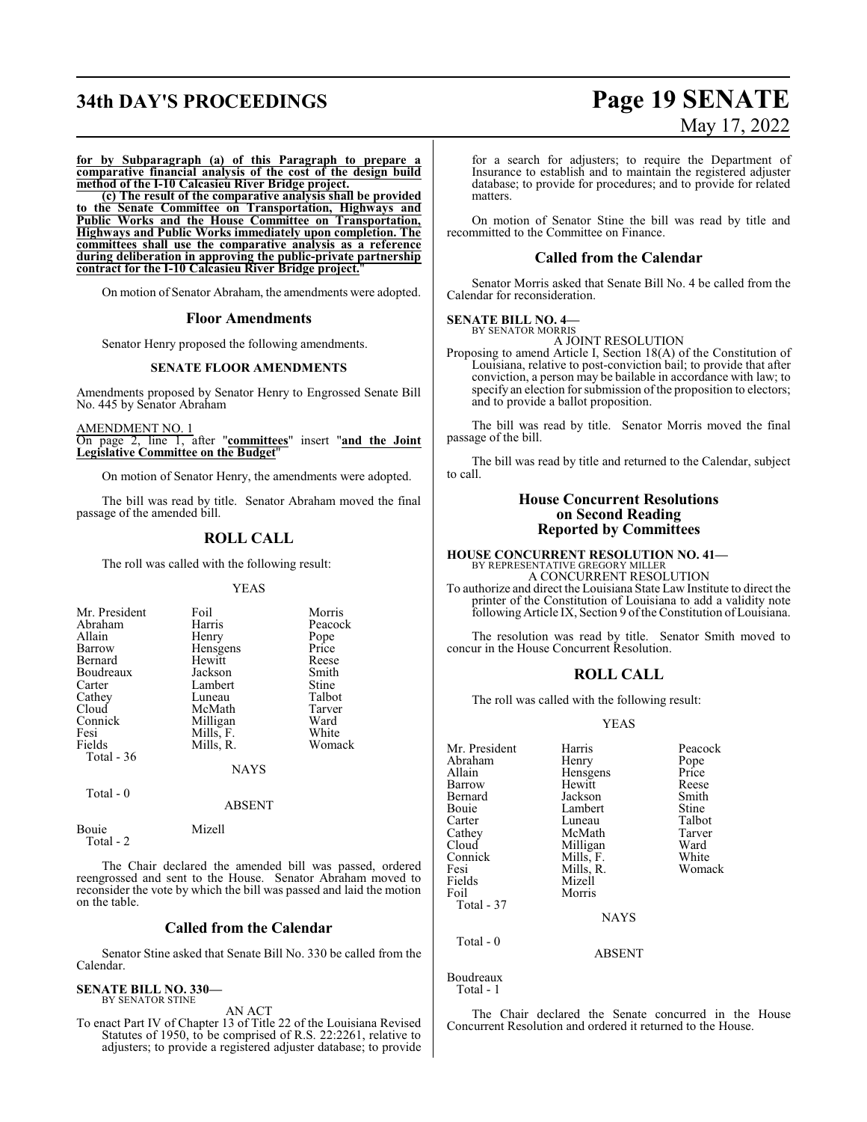# **34th DAY'S PROCEEDINGS Page 19 SENATE**

# May 17, 2022

**for by Subparagraph (a) of this Paragraph to prepare a comparative financial analysis of the cost of the design build method of the I-10 Calcasieu River Bridge project.** 

**(c) The result of the comparative analysis shall be provided to the Senate Committee on Transportation, Highways and Public Works and the House Committee on Transportation, Highways and Public Works immediately upon completion. The committees shall use the comparative analysis as a reference during deliberation in approving the public-private partnership contract for the I-10 Calcasieu River Bridge project.**"

On motion of Senator Abraham, the amendments were adopted.

#### **Floor Amendments**

Senator Henry proposed the following amendments.

#### **SENATE FLOOR AMENDMENTS**

Amendments proposed by Senator Henry to Engrossed Senate Bill No. 445 by Senator Abraham

AMENDMENT NO. 1 On page 2, line 1, after "**committees**" insert "**and the Joint Legislative Committee on the Budget**"

On motion of Senator Henry, the amendments were adopted.

The bill was read by title. Senator Abraham moved the final passage of the amended bill.

#### **ROLL CALL**

The roll was called with the following result:

#### YEAS

| Mr. President<br>Abraham<br>Allain<br>Barrow<br>Bernard<br>Boudreaux<br>Carter<br>Cathey<br>Cloud<br>Connick | Foil<br>Harris<br>Henry<br>Hensgens<br>Hewitt<br>Jackson<br>Lambert<br>Luneau<br>McMath<br>Milligan | Morris<br>Peacock<br>Pope<br>Price<br>Reese<br>Smith<br>Stine<br>Talbot<br>Tarver<br>Ward |
|--------------------------------------------------------------------------------------------------------------|-----------------------------------------------------------------------------------------------------|-------------------------------------------------------------------------------------------|
|                                                                                                              |                                                                                                     |                                                                                           |
|                                                                                                              |                                                                                                     |                                                                                           |
|                                                                                                              |                                                                                                     |                                                                                           |
|                                                                                                              |                                                                                                     |                                                                                           |
|                                                                                                              |                                                                                                     |                                                                                           |
| Fesi                                                                                                         | Mills, F.                                                                                           | White                                                                                     |
| Fields                                                                                                       | Mills, R.                                                                                           | Womack                                                                                    |
| Total $-36$                                                                                                  |                                                                                                     |                                                                                           |
|                                                                                                              | NAYS                                                                                                |                                                                                           |
|                                                                                                              |                                                                                                     |                                                                                           |

Total - 0

Bouie Mizell

Total - 2

The Chair declared the amended bill was passed, ordered reengrossed and sent to the House. Senator Abraham moved to reconsider the vote by which the bill was passed and laid the motion on the table.

ABSENT

#### **Called from the Calendar**

Senator Stine asked that Senate Bill No. 330 be called from the Calendar.

#### **SENATE BILL NO. 330—** BY SENATOR STINE

AN ACT

To enact Part IV of Chapter 13 of Title 22 of the Louisiana Revised Statutes of 1950, to be comprised of R.S. 22:2261, relative to adjusters; to provide a registered adjuster database; to provide

for a search for adjusters; to require the Department of Insurance to establish and to maintain the registered adjuster database; to provide for procedures; and to provide for related matters.

On motion of Senator Stine the bill was read by title and recommitted to the Committee on Finance.

#### **Called from the Calendar**

Senator Morris asked that Senate Bill No. 4 be called from the Calendar for reconsideration.

#### **SENATE BILL NO. 4—** BY SENATOR MORRIS

A JOINT RESOLUTION Proposing to amend Article I, Section 18(A) of the Constitution of Louisiana, relative to post-conviction bail; to provide that after conviction, a person may be bailable in accordance with law; to specify an election for submission of the proposition to electors; and to provide a ballot proposition.

The bill was read by title. Senator Morris moved the final passage of the bill.

The bill was read by title and returned to the Calendar, subject to call.

#### **House Concurrent Resolutions on Second Reading Reported by Committees**

## **HOUSE CONCURRENT RESOLUTION NO. 41—** BY REPRESENTATIVE GREGORY MILLER A CONCURRENT RESOLUTION

To authorize and direct the Louisiana State Law Institute to direct the printer of the Constitution of Louisiana to add a validity note following Article IX, Section 9 of the Constitution of Louisiana.

The resolution was read by title. Senator Smith moved to concur in the House Concurrent Resolution.

#### **ROLL CALL**

The roll was called with the following result:

#### YEAS

| Mr. President | Harris        | Peacock |
|---------------|---------------|---------|
| Abraham       | Henry         | Pope    |
| Allain        | Hensgens      | Price   |
| Barrow        | Hewitt        | Reese   |
| Bernard       | Jackson       | Smith   |
| Bouie         | Lambert       | Stine   |
| Carter        | Luneau        | Talbot  |
| Cathey        | McMath        | Tarver  |
| Cloud         | Milligan      | Ward    |
| Connick       | Mills, F.     | White   |
| Fesi          | Mills, R.     | Womack  |
| Fields        | Mizell        |         |
| Foil          | Morris        |         |
| Total - 37    |               |         |
|               | <b>NAYS</b>   |         |
| Total $-0$    |               |         |
|               | <b>ABSENT</b> |         |
| Boudreaux     |               |         |

Total - 1

The Chair declared the Senate concurred in the House Concurrent Resolution and ordered it returned to the House.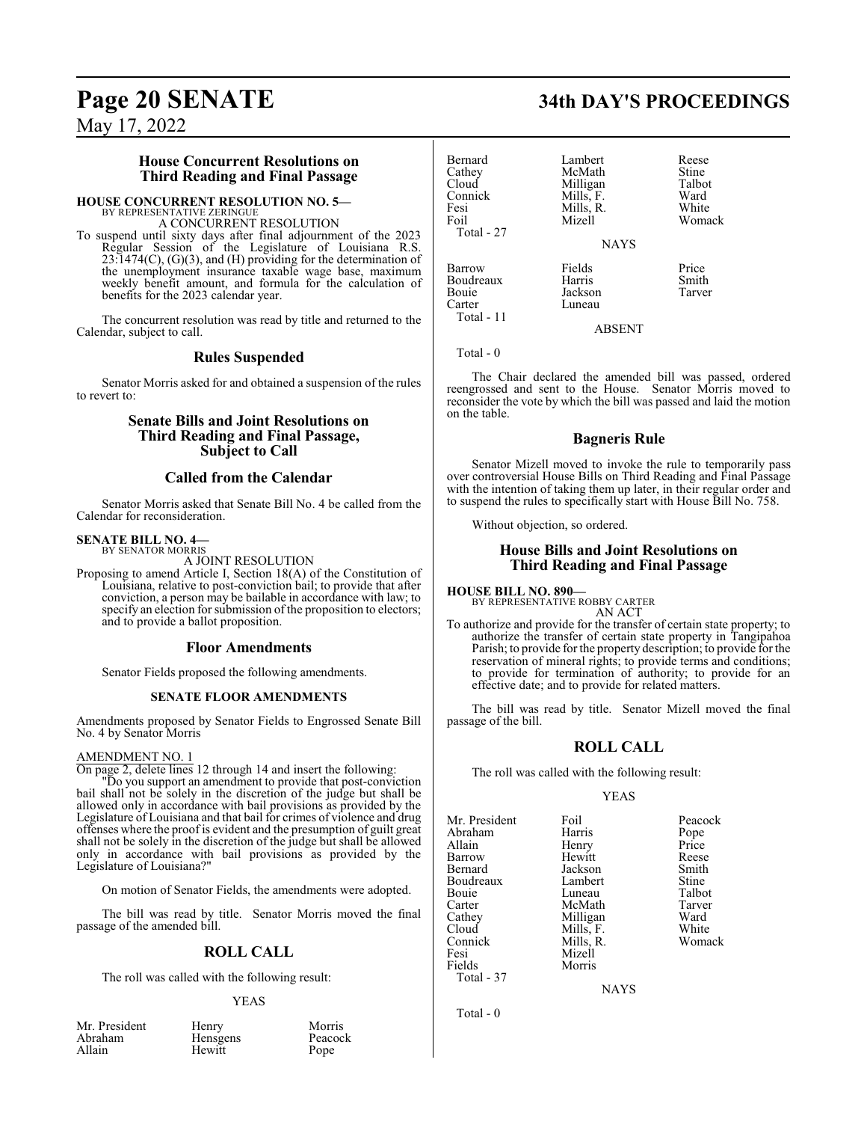#### **House Concurrent Resolutions on Third Reading and Final Passage**

#### **HOUSE CONCURRENT RESOLUTION NO. 5—**

BY REPRESENTATIVE ZERINGUE A CONCURRENT RESOLUTION

To suspend until sixty days after final adjournment of the 2023 Regular Session of the Legislature of Louisiana R.S. 23:1474(C), (G)(3), and (H) providing for the determination of the unemployment insurance taxable wage base, maximum weekly benefit amount, and formula for the calculation of benefits for the 2023 calendar year.

The concurrent resolution was read by title and returned to the Calendar, subject to call.

#### **Rules Suspended**

Senator Morris asked for and obtained a suspension of the rules to revert to:

### **Senate Bills and Joint Resolutions on Third Reading and Final Passage, Subject to Call**

### **Called from the Calendar**

Senator Morris asked that Senate Bill No. 4 be called from the Calendar for reconsideration.

#### **SENATE BILL NO. 4—** BY SENATOR MORRIS

A JOINT RESOLUTION

Proposing to amend Article I, Section 18(A) of the Constitution of Louisiana, relative to post-conviction bail; to provide that after conviction, a person may be bailable in accordance with law; to specify an election for submission of the proposition to electors; and to provide a ballot proposition.

#### **Floor Amendments**

Senator Fields proposed the following amendments.

#### **SENATE FLOOR AMENDMENTS**

Amendments proposed by Senator Fields to Engrossed Senate Bill No. 4 by Senator Morris

#### AMENDMENT NO. 1

On page 2, delete lines 12 through 14 and insert the following:

"Do you support an amendment to provide that post-conviction bail shall not be solely in the discretion of the judge but shall be allowed only in accordance with bail provisions as provided by the Legislature of Louisiana and that bail for crimes of violence and drug offenses where the proof is evident and the presumption of guilt great shall not be solely in the discretion of the judge but shall be allowed only in accordance with bail provisions as provided by the Legislature of Louisiana?"

On motion of Senator Fields, the amendments were adopted.

The bill was read by title. Senator Morris moved the final passage of the amended bill.

#### **ROLL CALL**

The roll was called with the following result:

#### YEAS

| Mr. President | Henry    | Morris |
|---------------|----------|--------|
| Abraham       | Hensgens | Peacoc |
| Allain        | Hewitt   | Pope   |

Hensgens Peacock<br>
Hewitt Pope Hewitt

# **Page 20 SENATE 34th DAY'S PROCEEDINGS**

| Bernard<br>Cathey<br>Cloud<br>Connick<br>Fesi<br>Foil<br>Total - 27 | Lambert<br>McMath<br>Milligan<br>Mills, F.<br>Mills, R.<br>Mizell | Reese<br>Stine<br>Talbot<br>Ward<br>White<br>Womack |
|---------------------------------------------------------------------|-------------------------------------------------------------------|-----------------------------------------------------|
|                                                                     | <b>NAYS</b>                                                       |                                                     |
| Barrow<br>Boudreaux<br>Bouie<br>Carter<br>Total - 11                | Fields<br>Harris<br>Jackson<br>Luneau                             | Price<br>Smith<br>Tarver                            |

Total - 0

The Chair declared the amended bill was passed, ordered reengrossed and sent to the House. Senator Morris moved to reconsider the vote by which the bill was passed and laid the motion on the table.

ABSENT

#### **Bagneris Rule**

Senator Mizell moved to invoke the rule to temporarily pass over controversial House Bills on Third Reading and Final Passage with the intention of taking them up later, in their regular order and to suspend the rules to specifically start with House Bill No. 758.

Without objection, so ordered.

#### **House Bills and Joint Resolutions on Third Reading and Final Passage**

**HOUSE BILL NO. 890—**

BY REPRESENTATIVE ROBBY CARTER AN ACT

To authorize and provide for the transfer of certain state property; to authorize the transfer of certain state property in Tangipahoa Parish; to provide for the property description; to provide for the reservation of mineral rights; to provide terms and conditions; to provide for termination of authority; to provide for an effective date; and to provide for related matters.

The bill was read by title. Senator Mizell moved the final passage of the bill.

### **ROLL CALL**

The roll was called with the following result:

Morris

YEAS

Mr. President Foil Peacock<br>
Abraham Harris Pope Abraham Harris Pope<br>
Allain Henry Price Barrow Hewitt Reese Bernard Jackson Smith Boudreaux Lambert Stine<br>
Bouie Luneau Talbot Bouie Luneau Talbot<br>Carter McMath Tarver Carter McMath Tarve<br>Cathey Milligan Ward Cathey Milligan Ward<br>Cloud Mills, F. White Cloud Mills, F.<br>Connick Mills, R. Connick Mills, R. Womack Fesi Mizell<br>Fields Morris Total - 37

Henry Price<br>
Hewitt Reese

NAYS

Total - 0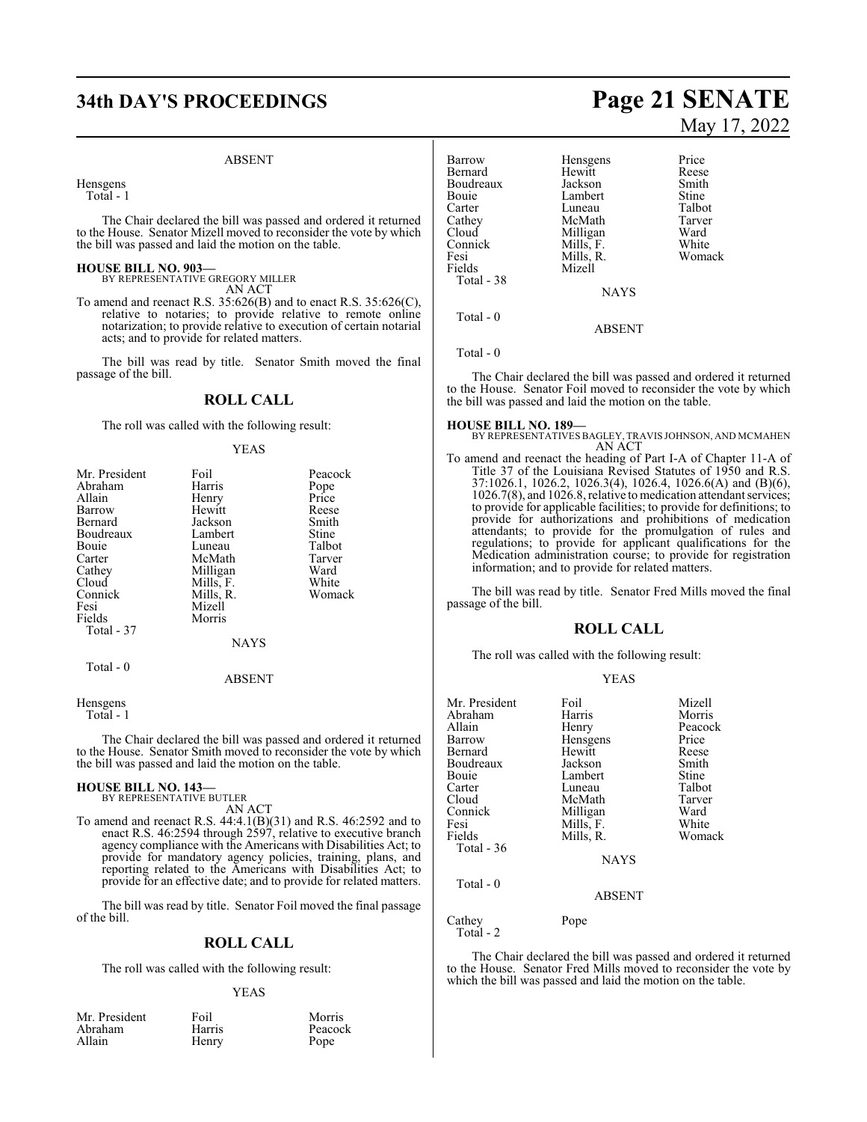# **34th DAY'S PROCEEDINGS Page 21 SENATE**

#### ABSENT

Hensgens

Total - 1

The Chair declared the bill was passed and ordered it returned to the House. Senator Mizell moved to reconsider the vote by which the bill was passed and laid the motion on the table.

#### **HOUSE BILL NO. 903—**

BY REPRESENTATIVE GREGORY MILLER AN ACT

To amend and reenact R.S. 35:626(B) and to enact R.S. 35:626(C), relative to notaries; to provide relative to remote online notarization; to provide relative to execution of certain notarial acts; and to provide for related matters.

The bill was read by title. Senator Smith moved the final passage of the bill.

### **ROLL CALL**

The roll was called with the following result:

#### YEAS

| Mr. President<br>Abraham<br>Allain<br>Barrow<br>Bernard<br>Boudreaux<br><b>Bouje</b><br>Carter<br>Cathey<br>Cloud<br>Connick<br>Fesi<br>Fields<br>Total - 37 | Foil<br>Harris<br>Henry<br>Hewitt<br>Jackson<br>Lambert<br>Luneau<br>McMath<br>Milligan<br>Mills, F.<br>Mills, R.<br>Mizell<br>Morris | Peacock<br>Pope<br>Price<br>Reese<br>Smith<br>Stine<br>Talbot<br>Tarver<br>Ward<br>White<br>Womack |
|--------------------------------------------------------------------------------------------------------------------------------------------------------------|---------------------------------------------------------------------------------------------------------------------------------------|----------------------------------------------------------------------------------------------------|
|                                                                                                                                                              | <b>NAYS</b>                                                                                                                           |                                                                                                    |
| Total $-0$                                                                                                                                                   | ABSENT                                                                                                                                |                                                                                                    |

**Hensgens** Total - 1

The Chair declared the bill was passed and ordered it returned to the House. Senator Smith moved to reconsider the vote by which the bill was passed and laid the motion on the table.

# **HOUSE BILL NO. 143—** BY REPRESENTATIVE BUTLER

AN ACT

To amend and reenact R.S. 44:4.1(B)(31) and R.S. 46:2592 and to enact R.S. 46:2594 through 2597, relative to executive branch agency compliance with the Americans with Disabilities Act; to provide for mandatory agency policies, training, plans, and reporting related to the Americans with Disabilities Act; to provide for an effective date; and to provide for related matters.

The bill was read by title. Senator Foil moved the final passage of the bill.

#### **ROLL CALL**

The roll was called with the following result:

#### YEAS

| Mr. President | Foil   | Morris  |
|---------------|--------|---------|
| Abraham       | Harris | Peacock |
| Allain        | Henry  | Pope    |

# May 17, 2022

| <b>Barrow</b><br>Bernard<br>Boudreaux<br>Bouie<br>Carter | Hensgens<br>Hewitt<br>Jackson<br>Lambert<br>Luneau | Price<br>Reese<br>Smith<br>Stine<br>Talbot |
|----------------------------------------------------------|----------------------------------------------------|--------------------------------------------|
| Cathey                                                   | McMath                                             | Tarver                                     |
| Cloud                                                    | Milligan                                           | Ward                                       |
| Connick                                                  | Mills, F.                                          | White                                      |
| Fesi                                                     | Mills, R.                                          | Womack                                     |
| Fields                                                   | Mizell                                             |                                            |
| Total - 38                                               |                                                    |                                            |
|                                                          | <b>NAYS</b>                                        |                                            |
| Total - 0                                                |                                                    |                                            |
|                                                          | ABSENT                                             |                                            |

Total - 0

The Chair declared the bill was passed and ordered it returned to the House. Senator Foil moved to reconsider the vote by which the bill was passed and laid the motion on the table.

**HOUSE BILL NO. 189—** BY REPRESENTATIVESBAGLEY, TRAVIS JOHNSON, AND MCMAHEN AN ACT

To amend and reenact the heading of Part I-A of Chapter 11-A of Title 37 of the Louisiana Revised Statutes of 1950 and R.S. 37:1026.1, 1026.2, 1026.3(4), 1026.4, 1026.6(A) and (B)(6), 1026.7(8), and 1026.8, relative to medication attendant services; to provide for applicable facilities; to provide for definitions; to provide for authorizations and prohibitions of medication attendants; to provide for the promulgation of rules and regulations; to provide for applicant qualifications for the Medication administration course; to provide for registration information; and to provide for related matters.

The bill was read by title. Senator Fred Mills moved the final passage of the bill.

#### **ROLL CALL**

The roll was called with the following result:

| Mr. President<br>Abraham<br>Allain<br>Barrow<br>Bernard<br>Boudreaux<br>Bouie<br>Carter<br>Cloud<br>Connick<br>Fesi | Foil<br>Harris<br>Henry<br>Hensgens<br>Hewitt<br>Jackson<br>Lambert<br>Luneau<br>McMath<br>Milligan<br>Mills, F. | Mizell<br>Morris<br>Peacock<br>Price<br>Reese<br>Smith<br>Stine<br>Talbot<br>Tarver<br>Ward<br>White |
|---------------------------------------------------------------------------------------------------------------------|------------------------------------------------------------------------------------------------------------------|------------------------------------------------------------------------------------------------------|
| Fields                                                                                                              | Mills, R.                                                                                                        | Womack                                                                                               |
| Total $-36$                                                                                                         | <b>NAYS</b>                                                                                                      |                                                                                                      |
| Total $-0$                                                                                                          | <b>ABSENT</b>                                                                                                    |                                                                                                      |

Cathey Pope

Total - 2

The Chair declared the bill was passed and ordered it returned to the House. Senator Fred Mills moved to reconsider the vote by which the bill was passed and laid the motion on the table.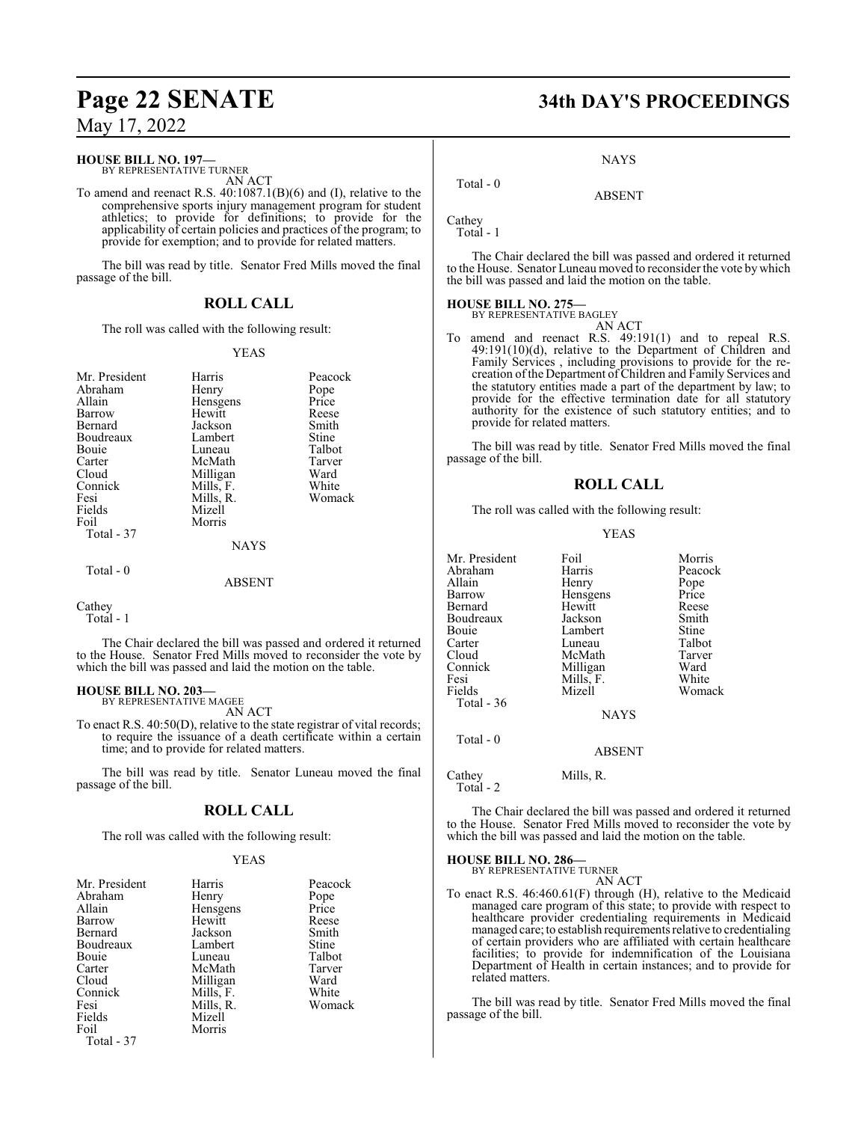#### **HOUSE BILL NO. 197—**

BY REPRESENTATIVE TURNER AN ACT

To amend and reenact R.S. 40:1087.1(B)(6) and (I), relative to the comprehensive sports injury management program for student athletics; to provide for definitions; to provide for the applicability of certain policies and practices of the program; to provide for exemption; and to provide for related matters.

The bill was read by title. Senator Fred Mills moved the final passage of the bill.

### **ROLL CALL**

The roll was called with the following result:

#### YEAS

| Mr. President<br>Abraham<br>Allain<br>Barrow<br>Bernard<br>Boudreaux<br>Bouie<br>Carter<br>Cloud<br>Connick<br>Fesi | Harris<br>Henry<br>Hensgens<br>Hewitt<br>Jackson<br>Lambert<br>Luneau<br>McMath<br>Milligan<br>Mills, F.<br>Mills, R. | Peacock<br>Pope<br>Price<br>Reese<br>Smith<br>Stine<br>Talbot<br>Tarver<br>Ward<br>White<br>Womack |
|---------------------------------------------------------------------------------------------------------------------|-----------------------------------------------------------------------------------------------------------------------|----------------------------------------------------------------------------------------------------|
| Fields                                                                                                              | Mizell                                                                                                                |                                                                                                    |
| Foil<br>Total $-37$                                                                                                 | Morris                                                                                                                |                                                                                                    |
|                                                                                                                     | <b>NAYS</b>                                                                                                           |                                                                                                    |
| $Total - 0$                                                                                                         | <b>ABSENT</b>                                                                                                         |                                                                                                    |

```
Cathey
```
Total - 1

The Chair declared the bill was passed and ordered it returned to the House. Senator Fred Mills moved to reconsider the vote by which the bill was passed and laid the motion on the table.

#### **HOUSE BILL NO. 203—**

BY REPRESENTATIVE MAGEE AN ACT

To enact R.S. 40:50(D), relative to the state registrar of vital records; to require the issuance of a death certificate within a certain time; and to provide for related matters.

The bill was read by title. Senator Luneau moved the final passage of the bill.

### **ROLL CALL**

The roll was called with the following result:

#### YEAS

| Mr. President | Harris    | Peacock |
|---------------|-----------|---------|
| Abraham       | Henry     | Pope    |
| Allain        | Hensgens  | Price   |
| Barrow        | Hewitt    | Reese   |
| Bernard       | Jackson   | Smith   |
| Boudreaux     | Lambert   | Stine   |
| Bouie         | Luneau    | Talbot  |
| Carter        | McMath    | Tarver  |
| Cloud         | Milligan  | Ward    |
| Connick       | Mills, F. | White   |
| Fesi          | Mills, R. | Womack  |
| Fields        | Mizell    |         |
| Foil          | Morris    |         |
| Total - 37    |           |         |

# **Page 22 SENATE 34th DAY'S PROCEEDINGS**

NAYS

ABSENT

Cathey Total - 1

Total - 0

The Chair declared the bill was passed and ordered it returned to the House. Senator Luneau moved to reconsider the vote bywhich the bill was passed and laid the motion on the table.

#### **HOUSE BILL NO. 275—** BY REPRESENTATIVE BAGLEY

AN ACT

To amend and reenact R.S. 49:191(1) and to repeal R.S. 49:191(10)(d), relative to the Department of Children and Family Services , including provisions to provide for the recreation ofthe Department of Children and Family Services and the statutory entities made a part of the department by law; to provide for the effective termination date for all statutory authority for the existence of such statutory entities; and to provide for related matters.

The bill was read by title. Senator Fred Mills moved the final passage of the bill.

### **ROLL CALL**

The roll was called with the following result:

#### YEAS

| Mr. President | Foil        | Morris  |
|---------------|-------------|---------|
| Abraham       | Harris      | Peacock |
| Allain        | Henry       | Pope    |
| Barrow        | Hensgens    | Price   |
| Bernard       | Hewitt      | Reese   |
| Boudreaux     | Jackson     | Smith   |
| Bouie         | Lambert     | Stine   |
| Carter        | Luneau      | Talbot  |
| Cloud         | McMath      | Tarver  |
| Connick       | Milligan    | Ward    |
| Fesi          | Mills, F.   | White   |
| Fields        | Mizell      | Womack  |
| Total - 36    |             |         |
|               | <b>NAYS</b> |         |
| Total $-0$    |             |         |
|               | ABSENT      |         |

Cathey Mills, R. Total - 2

The Chair declared the bill was passed and ordered it returned to the House. Senator Fred Mills moved to reconsider the vote by which the bill was passed and laid the motion on the table.

**HOUSE BILL NO. 286—** BY REPRESENTATIVE TURNER AN ACT

To enact R.S. 46:460.61(F) through (H), relative to the Medicaid managed care program of this state; to provide with respect to healthcare provider credentialing requirements in Medicaid managed care; to establish requirements relative to credentialing of certain providers who are affiliated with certain healthcare facilities; to provide for indemnification of the Louisiana Department of Health in certain instances; and to provide for related matters.

The bill was read by title. Senator Fred Mills moved the final passage of the bill.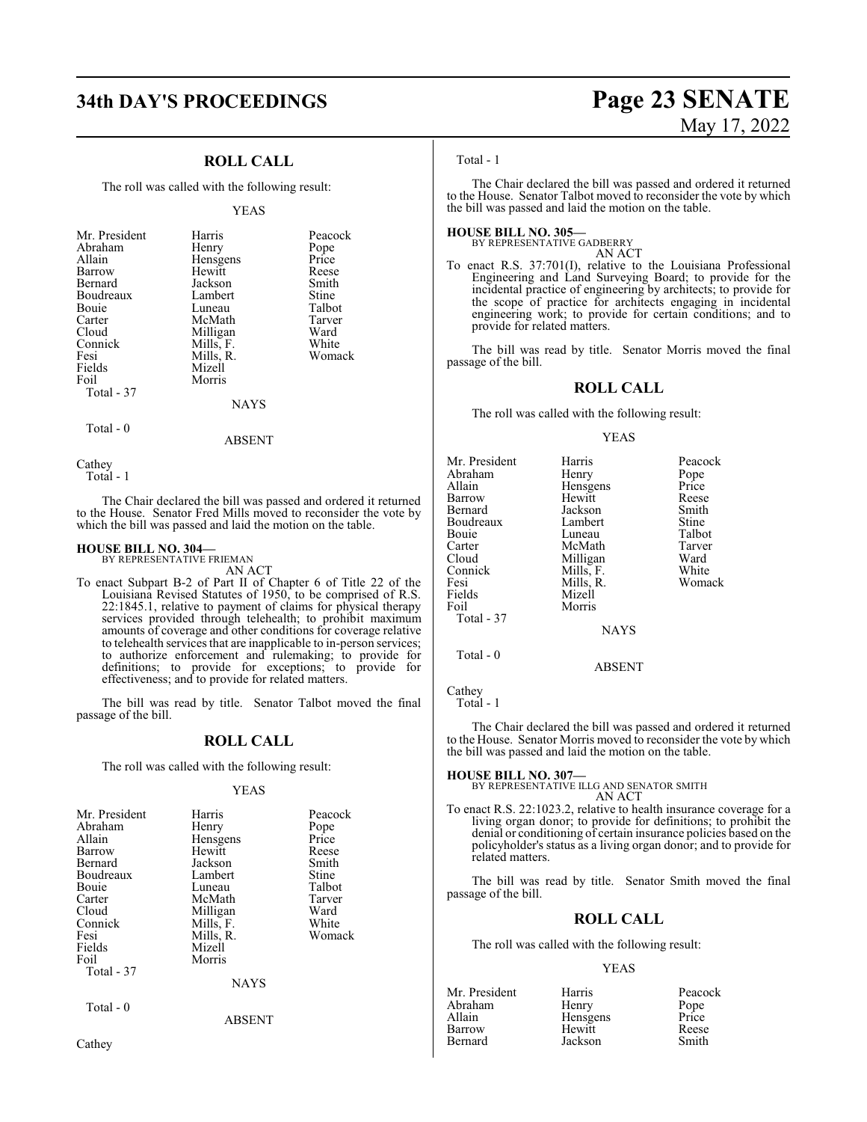### **ROLL CALL**

The roll was called with the following result:

#### YEAS

| Mr. President | Harris    | Peacock |
|---------------|-----------|---------|
| Abraham       | Henry     | Pope    |
| Allain        | Hensgens  | Price   |
| Barrow        | Hewitt    | Reese   |
| Bernard       | Jackson   | Smith   |
| Boudreaux     | Lambert   | Stine   |
| <b>Bouje</b>  | Luneau    | Talbot  |
| Carter        | McMath    | Tarver  |
| Cloud         | Milligan  | Ward    |
| Connick       | Mills, F. | White   |
| Fesi          | Mills, R. | Womack  |
| Fields        | Mizell    |         |
| Foil          | Morris    |         |
| Total - 37    |           |         |
|               | NAYS      |         |

Total - 0

ABSENT

**Cathey** 

Total - 1

The Chair declared the bill was passed and ordered it returned to the House. Senator Fred Mills moved to reconsider the vote by which the bill was passed and laid the motion on the table.

#### **HOUSE BILL NO. 304—** BY REPRESENTATIVE FRIEMAN

AN ACT

To enact Subpart B-2 of Part II of Chapter 6 of Title 22 of the Louisiana Revised Statutes of 1950, to be comprised of R.S. 22:1845.1, relative to payment of claims for physical therapy services provided through telehealth; to prohibit maximum amounts of coverage and other conditions for coverage relative to telehealth services that are inapplicable to in-person services; to authorize enforcement and rulemaking; to provide for definitions; to provide for exceptions; to provide for effectiveness; and to provide for related matters.

The bill was read by title. Senator Talbot moved the final passage of the bill.

#### **ROLL CALL**

The roll was called with the following result:

#### YEAS

| Mr. President<br>Abraham<br>Allain<br>Barrow<br>Bernard<br>Boudreaux<br>Bouie<br>Carter<br>Cloud<br>Connick<br>Fesi<br>Fields<br>Foil<br>Total - 37 | Harris<br>Henry<br>Hensgens<br>Hewitt<br>Jackson<br>Lambert<br>Luneau<br>McMath<br>Milligan<br>Mills, F.<br>Mills, R.<br>Mizell<br>Morris<br><b>NAYS</b> | Peacock<br>Pope<br>Price<br>Reese<br>Smith<br>Stine<br>Talbot<br>Tarver<br>Ward<br>White<br>Womack |
|-----------------------------------------------------------------------------------------------------------------------------------------------------|----------------------------------------------------------------------------------------------------------------------------------------------------------|----------------------------------------------------------------------------------------------------|
| Total - 0                                                                                                                                           | <b>ABSENT</b>                                                                                                                                            |                                                                                                    |

Cathey

# **34th DAY'S PROCEEDINGS Page 23 SENATE** May 17, 2022

#### Total - 1

The Chair declared the bill was passed and ordered it returned to the House. Senator Talbot moved to reconsider the vote by which the bill was passed and laid the motion on the table.

**HOUSE BILL NO. 305—** BY REPRESENTATIVE GADBERRY

AN ACT

To enact R.S. 37:701(I), relative to the Louisiana Professional Engineering and Land Surveying Board; to provide for the incidental practice of engineering by architects; to provide for the scope of practice for architects engaging in incidental engineering work; to provide for certain conditions; and to provide for related matters.

The bill was read by title. Senator Morris moved the final passage of the bill.

#### **ROLL CALL**

The roll was called with the following result:

#### YEAS

| Mr. President | Harris      | Peacock |
|---------------|-------------|---------|
| Abraham       | Henry       | Pope    |
| Allain        | Hensgens    | Price   |
| Barrow        | Hewitt      | Reese   |
| Bernard       | Jackson     | Smith   |
| Boudreaux     | Lambert     | Stine   |
| Bouie         | Luneau      | Talbot  |
| Carter        | McMath      | Tarver  |
| Cloud         | Milligan    | Ward    |
| Connick       | Mills, F.   | White   |
| Fesi          | Mills, R.   | Womack  |
| Fields        | Mizell      |         |
| Foil          | Morris      |         |
| Total - 37    |             |         |
|               | <b>NAYS</b> |         |
|               |             |         |
| Total $-0$    | ABSENT      |         |
|               |             |         |

Cathey Total - 1

The Chair declared the bill was passed and ordered it returned to the House. Senator Morris moved to reconsider the vote by which the bill was passed and laid the motion on the table.

#### **HOUSE BILL NO. 307—**

BY REPRESENTATIVE ILLG AND SENATOR SMITH AN ACT

To enact R.S. 22:1023.2, relative to health insurance coverage for a living organ donor; to provide for definitions; to prohibit the denial or conditioning of certain insurance policies based on the policyholder's status as a living organ donor; and to provide for related matters.

The bill was read by title. Senator Smith moved the final passage of the bill.

#### **ROLL CALL**

The roll was called with the following result:

#### YEAS

| Mr. President | Harris   | Peacock       |
|---------------|----------|---------------|
| Abraham       | Henry    |               |
| Allain        | Hensgens | Pope<br>Price |
| Barrow        | Hewitt   | Reese         |
| Bernard       | Jackson  | Smith         |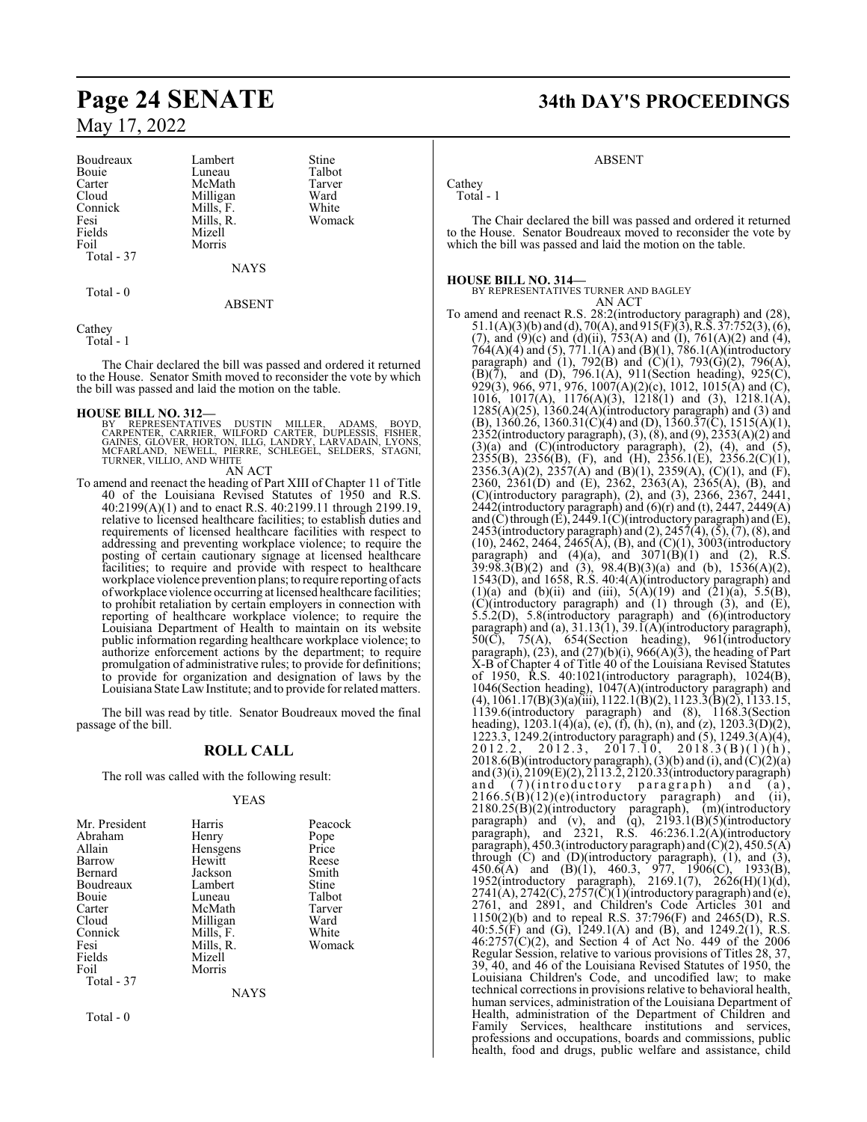| Boudreaux  | Lambe    |
|------------|----------|
| Bouie      | Luneau   |
| Carter     | McMa     |
| Cloud      | Milliga  |
| Connick    | Mills, l |
| Fesi       | Mills, l |
| Fields     | Mizell   |
| Foil       | Morris   |
| Total - 37 |          |
|            |          |

Lambert Stine<br>
Luneau Talbot Luneau Talbot<br>McMath Tarver McMath Tarve<br>
Milligan Ward Milligan Ward<br>
Mills, F. White Mills, F. White<br>Mills, R. Womack Mills, R.

NAYS

Total - 0

ABSENT

Cathey Total - 1

The Chair declared the bill was passed and ordered it returned to the House. Senator Smith moved to reconsider the vote by which the bill was passed and laid the motion on the table.

**HOUSE BILL NO. 312—**<br>BY REPRESENTATIVES DUSTIN MILLER, ADAMS, BOYD,<br>CARPENTER, CARRIER, WILFORD CARTER, DUPLESSIS, FISHER,<br>GAINES, GLOVER, HORTON, ILLG, LANDRY, LARVADAIN, LYONS,<br>MCFARLAND, NEWELL, PIERRE, SCHLEGEL, SELDE AN ACT

To amend and reenact the heading of Part XIII of Chapter 11 of Title 40 of the Louisiana Revised Statutes of 1950 and R.S. 40:2199(A)(1) and to enact R.S. 40:2199.11 through 2199.19, relative to licensed healthcare facilities; to establish duties and requirements of licensed healthcare facilities with respect to addressing and preventing workplace violence; to require the posting of certain cautionary signage at licensed healthcare facilities; to require and provide with respect to healthcare workplace violence prevention plans; to require reporting of acts of workplace violence occurring at licensed healthcare facilities; to prohibit retaliation by certain employers in connection with reporting of healthcare workplace violence; to require the Louisiana Department of Health to maintain on its website public information regarding healthcare workplace violence; to authorize enforcement actions by the department; to require promulgation of administrative rules; to provide for definitions; to provide for organization and designation of laws by the Louisiana State Law Institute; and to provide for related matters.

The bill was read by title. Senator Boudreaux moved the final passage of the bill.

### **ROLL CALL**

The roll was called with the following result:

#### YEAS

| Mr. President | Harris    | Peacock |
|---------------|-----------|---------|
| Abraham       | Henry     | Pope    |
| Allain        | Hensgens  | Price   |
| Barrow        | Hewitt    | Reese   |
| Bernard       | Jackson   | Smith   |
| Boudreaux     | Lambert   | Stine   |
| <b>Bouje</b>  | Luneau    | Talbot  |
| Carter        | McMath    | Tarver  |
| Cloud         | Milligan  | Ward    |
| Connick       | Mills, F. | White   |
| Fesi          | Mills, R. | Womack  |
| Fields        | Mizell    |         |
| Foil          | Morris    |         |
| Total - 37    |           |         |
|               | NAYS      |         |

Total - 0

**Page 24 SENATE 34th DAY'S PROCEEDINGS**

### ABSENT

Cathey Total - 1

The Chair declared the bill was passed and ordered it returned to the House. Senator Boudreaux moved to reconsider the vote by which the bill was passed and laid the motion on the table.

#### **HOUSE BILL NO. 314—**

BY REPRESENTATIVES TURNER AND BAGLEY AN ACT

To amend and reenact R.S. 28:2(introductory paragraph) and (28), 51.1(A)(3)(b) and (d), 70(A), and 915(F)(3),R.S. 37:752(3), (6), (7), and  $(9)(c)$  and  $(d)(ii)$ , 753(A) and  $(I)$ , 761(A)(2) and (4), 764(A)(4) and (5), 771.1(A) and (B)(1), 786.1(A)(introductory paragraph) and (1), 792(B) and (C)(1), 793(G)(2), 796(A),  $(B)(7)$ , and  $(D)$ , 796.1(A), 911(Section heading), 925(C), 929(3), 966, 971, 976, 1007(A)(2)(c), 1012, 1015(A) and (C), 1016, 1017(A), 1176(A)(3), 1218(1) and (3), 1218.1(A),  $1285(A)(25)$ ,  $1360.24(A)$ (introductory paragraph) and (3) and (B), 1360.26, 1360.31(C)(4) and (D), 1360.37(C), 1515(A)(1), 2352(introductory paragraph), (3), (8), and (9), 2353(A)(2) and  $(3)(a)$  and  $(C)(introducing paragramh)$ ,  $(2)$ ,  $(4)$ , and  $(5)$ ,  $2355(B)$ ,  $2356(B)$ , (F), and (H),  $2356.1(E)$ ,  $2356.2(C)(1)$ ,  $2356.3(A)(2)$ ,  $2357(A)$  and  $(B)(1)$ ,  $2359(A)$ ,  $(C)(1)$ , and  $(F)$ , 2360, 2361(D) and (E), 2362, 2363(A), 2365(A), (B), and (C)(introductory paragraph), (2), and (3), 2366, 2367, 2441,  $2442$ (introductory paragraph) and  $(6)$ (r) and (t), 2447, 2449(A) and (C) through (E), 2449.1(C)(introductory paragraph) and (E), 2453(introductory paragraph) and (2), 2457(4), (5), (7), (8), and  $(10)$ , 2462, 2464, 2465(A), (B), and  $(C)(1)$ , 3003(introductory paragraph) and  $(4)(a)$ , and  $3071(B)(1)$  and  $(2)$ , R.S.  $39:98.3(B)(2)$  and  $(3)$ ,  $98.4(B)(3)(a)$  and  $(b)$ ,  $1536(A)(2)$ , 1543(D), and 1658, R.S. 40:4(A)(introductory paragraph) and (1)(a) and (b)(ii) and (iii),  $5(A)(19)$  and  $(21)(a)$ ,  $5.5(B)$ , (C)(introductory paragraph) and (1) through (3), and (E), 5.5.2(D), 5.8(introductory paragraph) and (6)(introductory paragraph) and (a), 31.13(1), 39.1(A)(introductory paragraph),  $50(\overline{C})$ ,  $75(A)$ ,  $654(Section$  heading),  $961(introductor)$ paragraph),  $(23)$ , and  $(27)(b)(i)$ ,  $966(A)(3)$ , the heading of Part X-B of Chapter 4 of Title 40 of the Louisiana Revised Statutes of 1950, R.S. 40:1021(introductory paragraph), 1024(B), 1046(Section heading), 1047(A)(introductory paragraph) and (4), 1061.17(B)(3)(a)(iii), 1122.1(B)(2), 1123.3(B)(2), 1133.15, 1139.6(introductory paragraph) and (8), 1168.3(Section heading),  $1203.1(4)(a)$ , (e), (f), (h), (n), and (z),  $1203.3(D)(2)$ , 1223.3, 1249.2(introductory paragraph) and (5), 1249.3(A)(4),  $2012.2, 2012.3, 2017.10, 2018.3(B)(1)(h),$  $2018.6(B)$ (introductory paragraph), (3)(b) and (i), and (C)(2)(a) and (3)(i), 2109(E)(2), 2113.2, 2120.33(introductoryparagraph) and (7)(introductory paragraph) and (a),  $2166.5(B)(12)(e)$ (introductory paragraph) and (ii), 2180.25(B)(2)(introductory paragraph), (m)(introductory paragraph) and (v), and (q),  $2193.1(B)(5)$ (introductory paragraph), and 2321, R.S. 46:236.1.2(A)(introductory paragraph), 450.3(introductory paragraph) and  $(C)(2)$ , 450.5(A) through (C) and (D)(introductory paragraph), (1), and (3),  $450.6(A)$  and  $(B)(1)$ ,  $460.3$ ,  $977$ ,  $1906(C)$ ,  $1933(B)$ , 1952(introductory paragraph), 2169.1(7), 2626(H)(1)(d),  $2741(A), 2742(C), 2757(\text{C})(1)$ (introductory paragraph) and (e), 2761, and 2891, and Children's Code Articles 301 and 1150(2)(b) and to repeal R.S. 37:796(F) and 2465(D), R.S. 40:5.5(F) and (G), 1249.1(A) and (B), and 1249.2(1), R.S. 46:2757(C)(2), and Section 4 of Act No. 449 of the 2006 Regular Session, relative to various provisions of Titles 28, 37, 39, 40, and 46 of the Louisiana Revised Statutes of 1950, the Louisiana Children's Code, and uncodified law; to make technical corrections in provisions relative to behavioral health, human services, administration of the Louisiana Department of Health, administration of the Department of Children and Family Services, healthcare institutions and services, professions and occupations, boards and commissions, public health, food and drugs, public welfare and assistance, child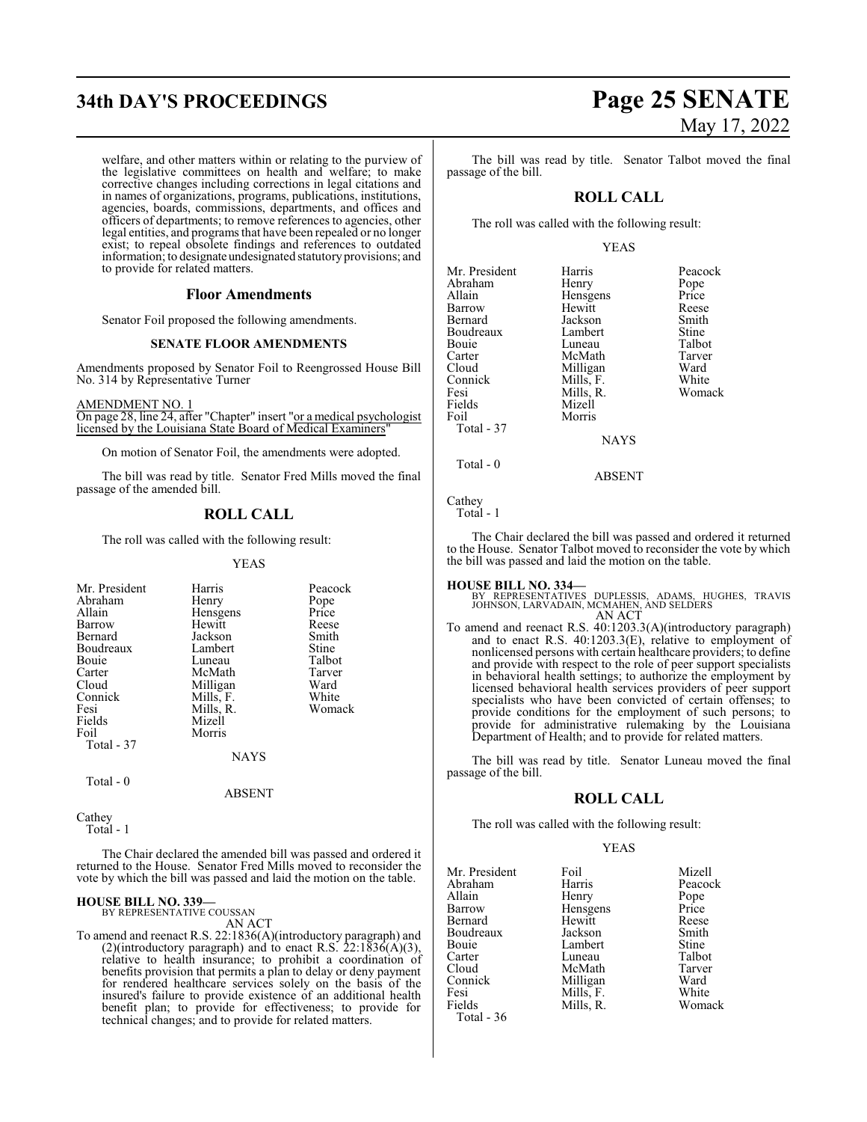# **34th DAY'S PROCEEDINGS Page 25 SENATE**

welfare, and other matters within or relating to the purview of the legislative committees on health and welfare; to make corrective changes including corrections in legal citations and in names of organizations, programs, publications, institutions, agencies, boards, commissions, departments, and offices and officers of departments; to remove references to agencies, other legal entities, and programs that have been repealed or no longer exist; to repeal obsolete findings and references to outdated information; to designate undesignated statutory provisions; and to provide for related matters.

#### **Floor Amendments**

Senator Foil proposed the following amendments.

#### **SENATE FLOOR AMENDMENTS**

Amendments proposed by Senator Foil to Reengrossed House Bill No. 314 by Representative Turner

AMENDMENT NO. 1 On page 28, line 24, after "Chapter" insert "or a medical psychologist licensed by the Louisiana State Board of Medical Examiners"

On motion of Senator Foil, the amendments were adopted.

The bill was read by title. Senator Fred Mills moved the final passage of the amended bill.

## **ROLL CALL**

The roll was called with the following result:

#### YEAS

| Mr. President | Harris      | Peacock |
|---------------|-------------|---------|
| Abraham       | Henry       | Pope    |
| Allain        | Hensgens    | Price   |
| Barrow        | Hewitt      | Reese   |
| Bernard       | Jackson     | Smith   |
| Boudreaux     | Lambert     | Stine   |
| Bouie         | Luneau      | Talbot  |
| Carter        | McMath      | Tarver  |
| Cloud         | Milligan    | Ward    |
| Connick       | Mills, F.   | White   |
| Fesi          | Mills, R.   | Womack  |
| Fields        | Mizell      |         |
| Foil          | Morris      |         |
| Total - 37    |             |         |
|               | <b>NAYS</b> |         |
| Total - 0     |             |         |

ABSENT

Cathey Total - 1

The Chair declared the amended bill was passed and ordered it returned to the House. Senator Fred Mills moved to reconsider the vote by which the bill was passed and laid the motion on the table.

#### **HOUSE BILL NO. 339—** BY REPRESENTATIVE COUSSAN

AN ACT

To amend and reenact R.S. 22:1836(A)(introductory paragraph) and (2)(introductory paragraph) and to enact R.S.  $22:1836(A)(3)$ , relative to health insurance; to prohibit a coordination of benefits provision that permits a plan to delay or deny payment for rendered healthcare services solely on the basis of the insured's failure to provide existence of an additional health benefit plan; to provide for effectiveness; to provide for technical changes; and to provide for related matters.

# May 17, 2022

The bill was read by title. Senator Talbot moved the final passage of the bill.

### **ROLL CALL**

The roll was called with the following result:

#### YEAS

| Mr. President | Harris      | Peacock |
|---------------|-------------|---------|
|               |             |         |
| Abraham       | Henry       | Pope    |
| Allain        | Hensgens    | Price   |
| Barrow        | Hewitt      | Reese   |
| Bernard       | Jackson     | Smith   |
| Boudreaux     | Lambert     | Stine   |
| Bouie         | Luneau      | Talbot  |
| Carter        | McMath      | Tarver  |
| Cloud         | Milligan    | Ward    |
| Connick       | Mills, F.   | White   |
| Fesi          | Mills, R.   | Womack  |
| Fields        | Mizell      |         |
| Foil          | Morris      |         |
| Total - 37    |             |         |
|               | <b>NAYS</b> |         |
| Total - 0     |             |         |
|               |             |         |

ABSENT

**Cathey** Total - 1

The Chair declared the bill was passed and ordered it returned to the House. Senator Talbot moved to reconsider the vote by which the bill was passed and laid the motion on the table.

**HOUSE BILL NO. 334—** BY REPRESENTATIVES DUPLESSIS, ADAMS, HUGHES, TRAVIS JOHNSON, LARVADAIN, MCMAHEN, AND SELDERS AN ACT

To amend and reenact R.S. 40:1203.3(A)(introductory paragraph) and to enact R.S. 40:1203.3(E), relative to employment of nonlicensed persons with certain healthcare providers; to define and provide with respect to the role of peer support specialists in behavioral health settings; to authorize the employment by licensed behavioral health services providers of peer support specialists who have been convicted of certain offenses; to provide conditions for the employment of such persons; to provide for administrative rulemaking by the Louisiana Department of Health; and to provide for related matters.

The bill was read by title. Senator Luneau moved the final passage of the bill.

#### **ROLL CALL**

The roll was called with the following result:

#### YEAS

Peacock

Womack

| Mr. President | Foil      | Mizell |
|---------------|-----------|--------|
| Abraham       | Harris    | Peacoc |
| Allain        | Henry     | Pope   |
| Barrow        | Hensgens  | Price  |
| Bernard       | Hewitt    | Reese  |
| Boudreaux     | Jackson   | Smith  |
| Bouie         | Lambert   | Stine  |
| Carter        | Luneau    | Talbot |
| Cloud         | McMath    | Tarver |
| Connick       | Milligan  | Ward   |
| Fesi          | Mills, F. | White  |
| Fields        | Mills, R. | Woma   |
| Total - 36    |           |        |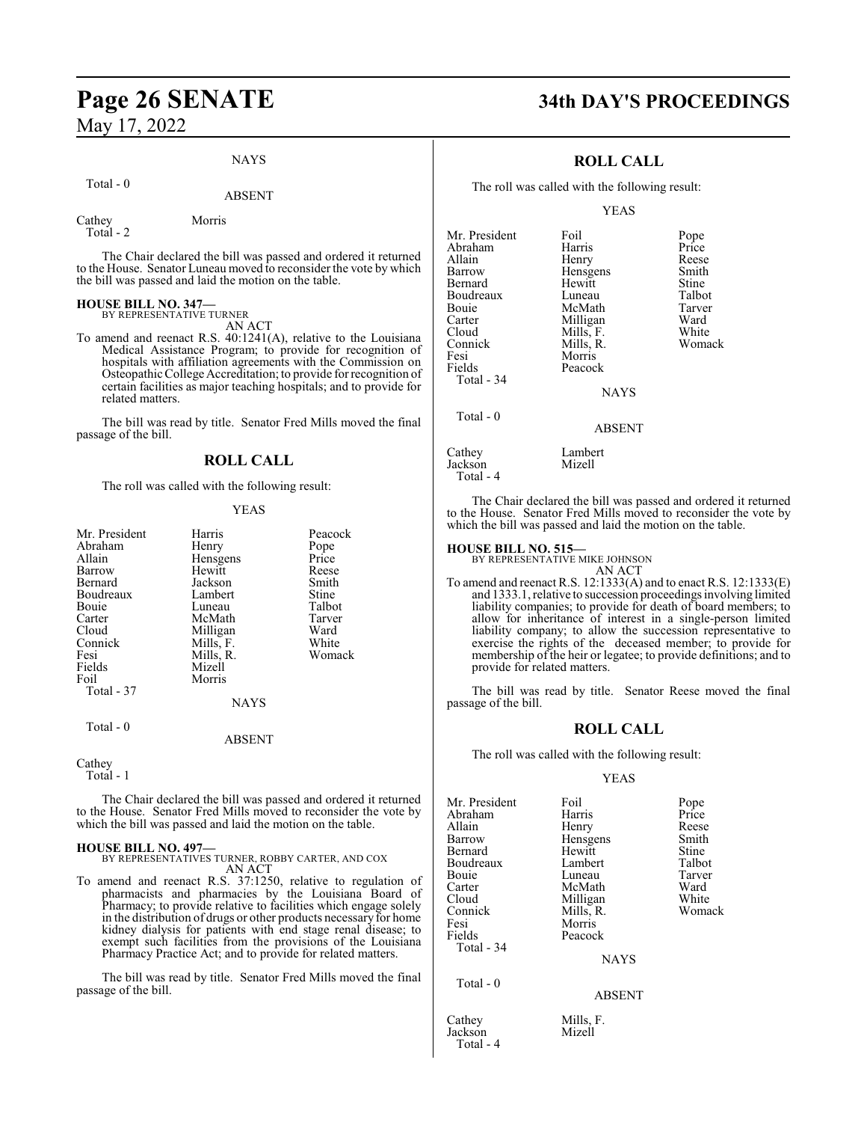#### NAYS

#### Total - 0

## ABSENT

Cathey Morris Total - 2

The Chair declared the bill was passed and ordered it returned to the House. Senator Luneau moved to reconsider the vote by which the bill was passed and laid the motion on the table.

# **HOUSE BILL NO. 347—** BY REPRESENTATIVE TURNER

AN ACT

To amend and reenact R.S. 40:1241(A), relative to the Louisiana Medical Assistance Program; to provide for recognition of hospitals with affiliation agreements with the Commission on Osteopathic College Accreditation; to provide for recognition of certain facilities as major teaching hospitals; and to provide for related matters.

The bill was read by title. Senator Fred Mills moved the final passage of the bill.

## **ROLL CALL**

The roll was called with the following result:

#### YEAS

| Mr. President | Harris      | Peacock |
|---------------|-------------|---------|
| Abraham       | Henry       | Pope    |
| Allain        | Hensgens    | Price   |
| Barrow        | Hewitt      | Reese   |
| Bernard       | Jackson     | Smith   |
| Boudreaux     | Lambert     | Stine   |
| Bouie         | Luneau      | Talbot  |
| Carter        | McMath      | Tarver  |
| Cloud         | Milligan    | Ward    |
| Connick       | Mills, F.   | White   |
| Fesi          | Mills, R.   | Womack  |
| Fields        | Mizell      |         |
| Foil          | Morris      |         |
| Total - 37    |             |         |
|               | <b>NAYS</b> |         |
| $Total - 0$   |             |         |

#### ABSENT

#### Cathey

Total - 1

The Chair declared the bill was passed and ordered it returned to the House. Senator Fred Mills moved to reconsider the vote by which the bill was passed and laid the motion on the table.

#### **HOUSE BILL NO. 497—**

BY REPRESENTATIVES TURNER, ROBBY CARTER, AND COX AN ACT

To amend and reenact R.S. 37:1250, relative to regulation of pharmacists and pharmacies by the Louisiana Board of Pharmacy; to provide relative to facilities which engage solely in the distribution of drugs or other products necessary for home kidney dialysis for patients with end stage renal disease; to exempt such facilities from the provisions of the Louisiana Pharmacy Practice Act; and to provide for related matters.

The bill was read by title. Senator Fred Mills moved the final passage of the bill.

# **Page 26 SENATE 34th DAY'S PROCEEDINGS**

## **ROLL CALL**

The roll was called with the following result:

#### YEAS

| Mr. President | Foil        | Pope   |
|---------------|-------------|--------|
| Abraham       | Harris      | Price  |
| Allain        | Henry       | Reese  |
| Barrow        | Hensgens    | Smith  |
| Bernard       | Hewitt      | Stine  |
| Boudreaux     | Luneau      | Talbot |
| Bouie         | McMath      | Tarver |
| Carter        | Milligan    | Ward   |
| Cloud         | Mills, F.   | White  |
| Connick       | Mills, R.   | Womack |
| Fesi          | Morris      |        |
| Fields        | Peacock     |        |
| Total - 34    |             |        |
|               | <b>NAYS</b> |        |
| Total - 0     |             |        |
|               | ABSENT      |        |
| Cathey        | Lambert     |        |
| Iackson       | Mizell      |        |

The Chair declared the bill was passed and ordered it returned to the House. Senator Fred Mills moved to reconsider the vote by which the bill was passed and laid the motion on the table.

#### **HOUSE BILL NO. 515—**

Total - 4

Total - 4

BY REPRESENTATIVE MIKE JOHNSON

AN ACT To amend and reenact R.S. 12:1333(A) and to enact R.S. 12:1333(E) and 1333.1, relative to succession proceedings involving limited liability companies; to provide for death of board members; to allow for inheritance of interest in a single-person limited liability company; to allow the succession representative to exercise the rights of the deceased member; to provide for membership of the heir or legatee; to provide definitions; and to provide for related matters.

The bill was read by title. Senator Reese moved the final passage of the bill.

#### **ROLL CALL**

The roll was called with the following result:

#### YEAS

| Mr. President | Foil          | Pope   |
|---------------|---------------|--------|
| Abraham       | Harris        | Price  |
| Allain        | Henry         | Reese  |
| Barrow        | Hensgens      | Smith  |
| Bernard       | Hewitt        | Stine  |
| Boudreaux     | Lambert       | Talbot |
| Bouie         | Luneau        | Tarver |
| Carter        | McMath        | Ward   |
| Cloud         | Milligan      | White  |
| Connick       | Mills, R.     | Womack |
| Fesi          | Morris        |        |
| Fields        | Peacock       |        |
| Total - 34    |               |        |
|               | <b>NAYS</b>   |        |
| Total $-0$    |               |        |
|               | <b>ABSENT</b> |        |
| Cathey        | Mills, F.     |        |
| Jackson       | Mizell        |        |
|               |               |        |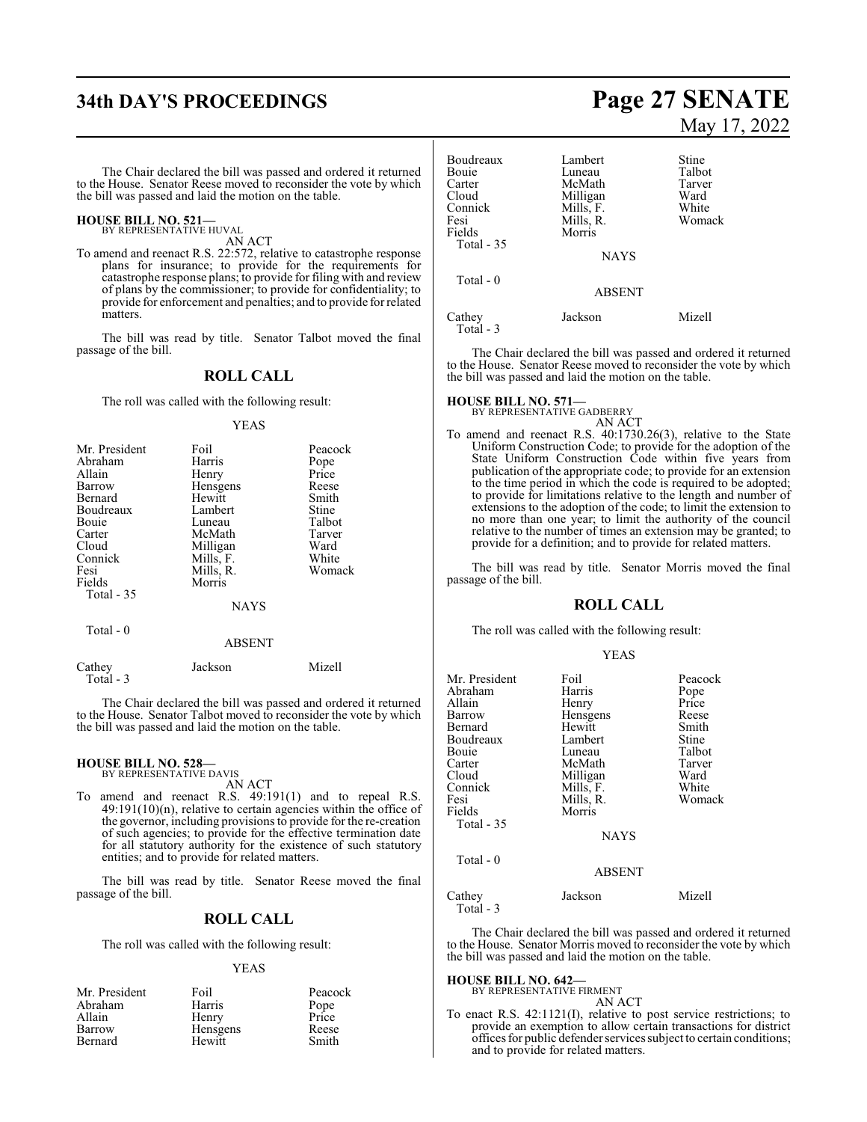# **34th DAY'S PROCEEDINGS Page 27 SENATE**

The Chair declared the bill was passed and ordered it returned to the House. Senator Reese moved to reconsider the vote by which the bill was passed and laid the motion on the table.

#### **HOUSE BILL NO. 521—** BY REPRESENTATIVE HUVAL

AN ACT

To amend and reenact R.S. 22:572, relative to catastrophe response plans for insurance; to provide for the requirements for catastrophe response plans; to provide for filing with and review of plans by the commissioner; to provide for confidentiality; to provide for enforcement and penalties; and to provide for related matters.

The bill was read by title. Senator Talbot moved the final passage of the bill.

#### **ROLL CALL**

The roll was called with the following result:

#### YEAS

| Mr. President | Foil        | Peacock |
|---------------|-------------|---------|
| Abraham       | Harris      | Pope    |
| Allain        | Henry       | Price   |
| Barrow        | Hensgens    | Reese   |
| Bernard       | Hewitt      | Smith   |
| Boudreaux     | Lambert     | Stine   |
| Bouie         | Luneau      | Talbot  |
| Carter        | McMath      | Tarver  |
| Cloud         | Milligan    | Ward    |
| Connick       | Mills, F.   | White   |
| Fesi          | Mills, R.   | Womack  |
| Fields        | Morris      |         |
| Total $-35$   |             |         |
|               | <b>NAYS</b> |         |
| Total - 0     |             |         |
|               | ABSENT      |         |

| Cathey    | Jackson | Mizell |
|-----------|---------|--------|
| Total - 3 |         |        |
|           |         |        |

The Chair declared the bill was passed and ordered it returned to the House. Senator Talbot moved to reconsider the vote by which the bill was passed and laid the motion on the table.

#### **HOUSE BILL NO. 528—** BY REPRESENTATIVE DAVIS

AN ACT

To amend and reenact R.S. 49:191(1) and to repeal R.S. 49:191(10)(n), relative to certain agencies within the office of the governor, including provisions to provide for the re-creation of such agencies; to provide for the effective termination date for all statutory authority for the existence of such statutory entities; and to provide for related matters.

The bill was read by title. Senator Reese moved the final passage of the bill.

#### **ROLL CALL**

The roll was called with the following result:

#### YEAS

| Mr. President | Foil     | Peacock |
|---------------|----------|---------|
| Abraham       | Harris   | Pope    |
| Allain        | Henry    | Price   |
| Barrow        | Hensgens | Reese   |
| Bernard       | Hewitt   | Smith   |

# May 17, 2022

| Boudreaux<br>Bouie<br>Carter<br>Cloud<br>Connick<br>Fesi<br>Fields | Lambert<br>Luneau<br>McMath<br>Milligan<br>Mills, F.<br>Mills, R.<br>Morris | Stine<br>Talbot<br>Tarver<br>Ward<br>White<br>Womack |
|--------------------------------------------------------------------|-----------------------------------------------------------------------------|------------------------------------------------------|
| Total - 35                                                         | <b>NAYS</b>                                                                 |                                                      |
| Total $-0$                                                         | <b>ABSENT</b>                                                               |                                                      |
| Cathey<br>Total - 3                                                | Jackson                                                                     | Mizell                                               |

The Chair declared the bill was passed and ordered it returned to the House. Senator Reese moved to reconsider the vote by which the bill was passed and laid the motion on the table.

# **HOUSE BILL NO. 571—** BY REPRESENTATIVE GADBERRY

AN ACT To amend and reenact R.S. 40:1730.26(3), relative to the State Uniform Construction Code; to provide for the adoption of the State Uniform Construction Code within five years from publication of the appropriate code; to provide for an extension to the time period in which the code is required to be adopted; to provide for limitations relative to the length and number of extensions to the adoption of the code; to limit the extension to no more than one year; to limit the authority of the council relative to the number of times an extension may be granted; to provide for a definition; and to provide for related matters.

The bill was read by title. Senator Morris moved the final passage of the bill.

#### **ROLL CALL**

The roll was called with the following result:

| v<br>I |  |
|--------|--|
|--------|--|

| Mr. President<br>Abraham<br>Allain<br>Barrow<br>Bernard<br>Boudreaux<br>Bouie<br>Carter<br>Cloud<br>Connick<br>Fesi<br>Fields<br>Total - 35<br>Total - 0 | Foil<br>Harris<br>Henry<br>Hensgens<br>Hewitt<br>Lambert<br>Luneau<br>McMath<br>Milligan<br>Mills, F.<br>Mills, R.<br>Morris<br><b>NAYS</b> | Peacock<br>Pope<br>Price<br>Reese<br>Smith<br>Stine<br>Talbot<br>Tarver<br>Ward<br>White<br>Womack |
|----------------------------------------------------------------------------------------------------------------------------------------------------------|---------------------------------------------------------------------------------------------------------------------------------------------|----------------------------------------------------------------------------------------------------|
|                                                                                                                                                          | <b>ABSENT</b>                                                                                                                               |                                                                                                    |
| Cathey<br>Total - 3                                                                                                                                      | Jackson                                                                                                                                     | Mizell                                                                                             |

The Chair declared the bill was passed and ordered it returned to the House. Senator Morris moved to reconsider the vote by which the bill was passed and laid the motion on the table.

# **HOUSE BILL NO. 642—** BY REPRESENTATIVE FIRMENT

AN ACT

To enact R.S. 42:1121(I), relative to post service restrictions; to provide an exemption to allow certain transactions for district offices for public defender services subject to certain conditions; and to provide for related matters.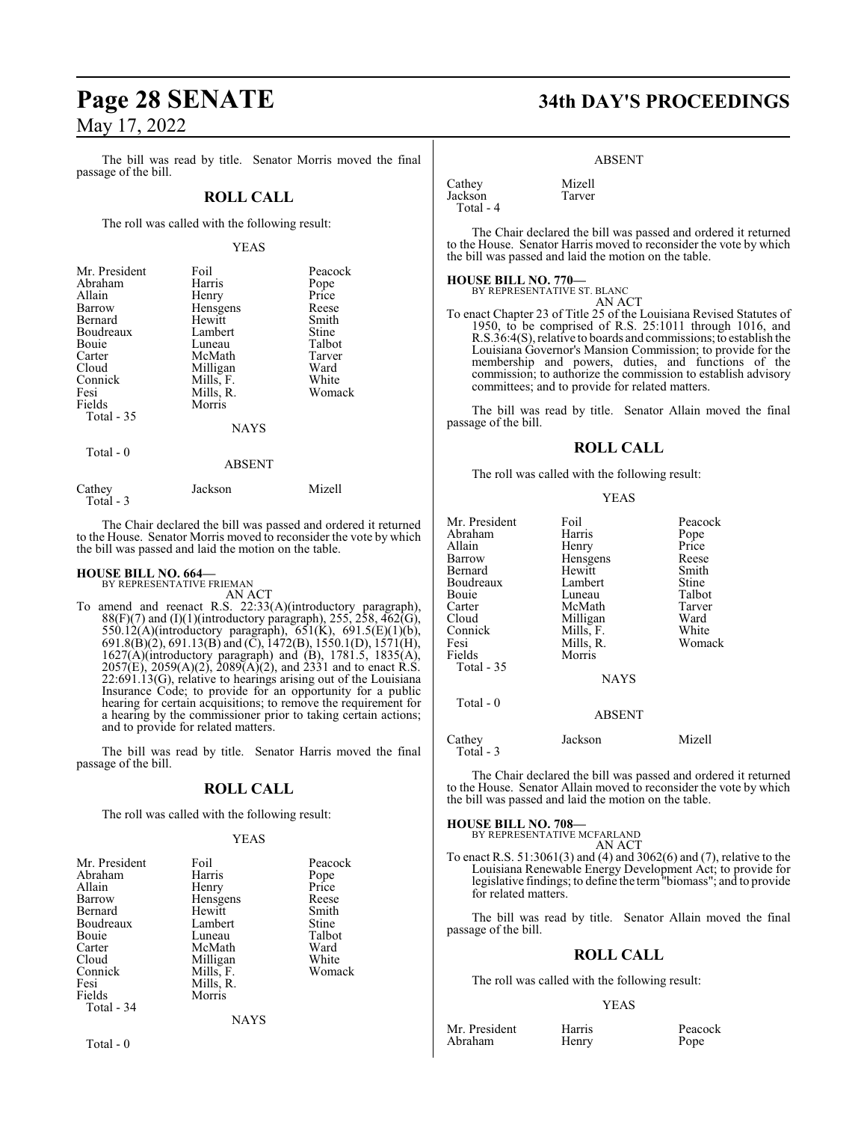The bill was read by title. Senator Morris moved the final passage of the bill.

#### **ROLL CALL**

The roll was called with the following result:

#### YEAS

| Mr. President | Foil        | Peacock |
|---------------|-------------|---------|
| Abraham       | Harris      | Pope    |
| Allain        | Henry       | Price   |
| Barrow        | Hensgens    | Reese   |
| Bernard       | Hewitt      | Smith   |
| Boudreaux     | Lambert     | Stine   |
| Bouie         | Luneau      | Talbot  |
| Carter        | McMath      | Tarver  |
| Cloud         | Milligan    | Ward    |
| Connick       | Mills, F.   | White   |
| Fesi          | Mills, R.   | Womack  |
| Fields        | Morris      |         |
| Total $-35$   |             |         |
|               | <b>NAYS</b> |         |
| Total - 0     |             |         |
|               | ABSENT      |         |

| Cathey     | Jackson | Mizell |
|------------|---------|--------|
| Total $-3$ |         |        |

The Chair declared the bill was passed and ordered it returned to the House. Senator Morris moved to reconsider the vote by which the bill was passed and laid the motion on the table.

# **HOUSE BILL NO. 664—** BY REPRESENTATIVE FRIEMAN

AN ACT

To amend and reenact R.S. 22:33(A)(introductory paragraph),  $88(F)(7)$  and  $(I)(1)($ introductory paragraph), 255, 258, 462 $(G)$ , 550.12(A)(introductory paragraph), 651(K), 691.5(E)(1)(b), 691.8(B)(2), 691.13(B) and (C), 1472(B), 1550.1(D), 1571(H), 1627(A)(introductory paragraph) and (B), 1781.5, 1835(A), 2057(E), 2059(A)(2), 2089(A)(2), and 2331 and to enact R.S. 22:691.13(G), relative to hearings arising out of the Louisiana Insurance Code; to provide for an opportunity for a public hearing for certain acquisitions; to remove the requirement for a hearing by the commissioner prior to taking certain actions; and to provide for related matters.

The bill was read by title. Senator Harris moved the final passage of the bill.

## **ROLL CALL**

The roll was called with the following result:

#### YEAS

| Foil      | Peacock   |
|-----------|-----------|
| Harris    | Pope      |
| Henry     | Price     |
| Hensgens  | Reese     |
| Hewitt    | Smith     |
| Lambert   | Stine     |
| Luneau    | Talbot    |
| McMath    | Ward      |
| Milligan  | White     |
| Mills, F. | Womack    |
|           |           |
| Morris    |           |
|           |           |
| NAYS      |           |
|           | Mills, R. |

# **Page 28 SENATE 34th DAY'S PROCEEDINGS**

#### ABSENT

| Cathey    | Mizell |
|-----------|--------|
| Jackson   | Tarver |
| Total - 4 |        |

The Chair declared the bill was passed and ordered it returned to the House. Senator Harris moved to reconsider the vote by which the bill was passed and laid the motion on the table.

#### **HOUSE BILL NO. 770—**

BY REPRESENTATIVE ST. BLANC AN ACT

To enact Chapter 23 of Title 25 of the Louisiana Revised Statutes of 1950, to be comprised of R.S. 25:1011 through 1016, and R.S.36:4(S), relative to boards and commissions;to establish the Louisiana Governor's Mansion Commission; to provide for the membership and powers, duties, and functions of the commission; to authorize the commission to establish advisory committees; and to provide for related matters.

The bill was read by title. Senator Allain moved the final passage of the bill.

#### **ROLL CALL**

The roll was called with the following result:

|--|

| Mr. President<br>Abraham<br>Allain<br>Barrow<br>Bernard<br>Boudreaux<br>Bouie<br>Carter<br>Cloud<br>Connick<br>Fesi<br>Fields | Foil<br>Harris<br>Henry<br>Hensgens<br>Hewitt<br>Lambert<br>Luneau<br>McMath<br>Milligan<br>Mills, F.<br>Mills, R.<br>Morris | Peacock<br>Pope<br>Price<br>Reese<br>Smith<br>Stine<br>Talbot<br>Tarver<br>Ward<br>White<br>Womack |
|-------------------------------------------------------------------------------------------------------------------------------|------------------------------------------------------------------------------------------------------------------------------|----------------------------------------------------------------------------------------------------|
| Total - 35                                                                                                                    | <b>NAYS</b>                                                                                                                  |                                                                                                    |
| Total $-0$                                                                                                                    | <b>ABSENT</b>                                                                                                                |                                                                                                    |
| Cathey<br>Total - 3                                                                                                           | Jackson                                                                                                                      | Mizell                                                                                             |

The Chair declared the bill was passed and ordered it returned to the House. Senator Allain moved to reconsider the vote by which the bill was passed and laid the motion on the table.

**HOUSE BILL NO. 708—** BY REPRESENTATIVE MCFARLAND

AN ACT

To enact R.S. 51:3061(3) and (4) and 3062(6) and (7), relative to the Louisiana Renewable Energy Development Act; to provide for legislative findings; to define the term"biomass"; and to provide for related matters.

The bill was read by title. Senator Allain moved the final passage of the bill.

#### **ROLL CALL**

The roll was called with the following result:

#### YEAS

Mr. President Harris Peacock<br>Abraham Henry Pope Abraham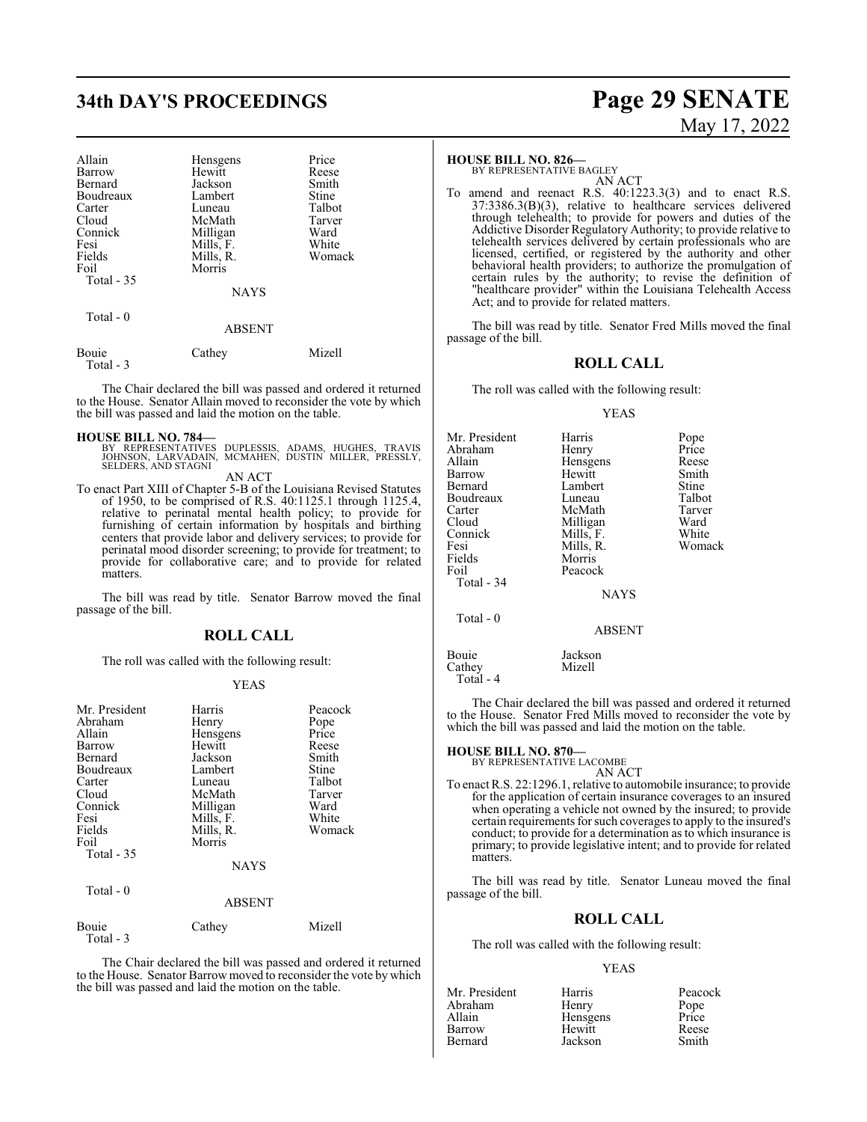# **34th DAY'S PROCEEDINGS Page 29 SENATE**

| Allain<br>Barrow<br>Bernard<br>Boudreaux<br>Carter<br>Cloud<br>Connick<br>Fesi<br>Fields<br>Foil<br>Total - 35<br>Total $-0$ | Hensgens<br>Hewitt<br>Jackson<br>Lambert<br>Luneau<br>McMath<br>Milligan<br>Mills, F.<br>Mills, R.<br>Morris<br><b>NAYS</b> | Price<br>Reese<br>Smith<br>Stine<br>Talbot<br>Tarver<br>Ward<br>White<br>Womack |
|------------------------------------------------------------------------------------------------------------------------------|-----------------------------------------------------------------------------------------------------------------------------|---------------------------------------------------------------------------------|
|                                                                                                                              | <b>ABSENT</b>                                                                                                               |                                                                                 |
| <b>Bouje</b>                                                                                                                 | Cathey                                                                                                                      | Mizell                                                                          |

Total - 3

The Chair declared the bill was passed and ordered it returned to the House. Senator Allain moved to reconsider the vote by which the bill was passed and laid the motion on the table.

**HOUSE BILL NO. 784—** BY REPRESENTATIVES DUPLESSIS, ADAMS, HUGHES, TRAVIS JOHNSON, LARVADAIN, MCMAHEN, DUSTIN MILLER, PRESSLY, SELDERS, AND STAGNI

AN ACT

To enact Part XIII of Chapter 5-B of the Louisiana Revised Statutes of 1950, to be comprised of R.S. 40:1125.1 through 1125.4, relative to perinatal mental health policy; to provide for furnishing of certain information by hospitals and birthing centers that provide labor and delivery services; to provide for perinatal mood disorder screening; to provide for treatment; to provide for collaborative care; and to provide for related matters.

The bill was read by title. Senator Barrow moved the final passage of the bill.

#### **ROLL CALL**

The roll was called with the following result:

#### YEAS

| Mr. President<br>Abraham<br>Allain<br>Barrow<br>Bernard<br>Boudreaux<br>Carter<br>Cloud<br>Connick<br>Fesi<br>Fields<br>Foil | Harris<br>Henry<br>Hensgens<br>Hewitt<br>Jackson<br>Lambert<br>Luneau<br>McMath<br>Milligan<br>Mills, F.<br>Mills, R.<br>Morris | Peacock<br>Pope<br>Price<br>Reese<br>Smith<br>Stine<br>Talbot<br>Tarver<br>Ward<br>White<br>Womack |
|------------------------------------------------------------------------------------------------------------------------------|---------------------------------------------------------------------------------------------------------------------------------|----------------------------------------------------------------------------------------------------|
| Total $-35$                                                                                                                  | <b>NAYS</b>                                                                                                                     |                                                                                                    |
| Total - 0                                                                                                                    | <b>ABSENT</b>                                                                                                                   |                                                                                                    |
| Bouie<br>Total - 3                                                                                                           | Cathey                                                                                                                          | Mizell                                                                                             |

The Chair declared the bill was passed and ordered it returned to the House. Senator Barrow moved to reconsider the vote by which the bill was passed and laid the motion on the table.

# May 17, 2022

#### **HOUSE BILL NO. 826—**

BY REPRESENTATIVE BAGLEY AN ACT

To amend and reenact R.S. 40:1223.3(3) and to enact R.S. 37:3386.3(B)(3), relative to healthcare services delivered through telehealth; to provide for powers and duties of the Addictive Disorder Regulatory Authority; to provide relative to telehealth services delivered by certain professionals who are licensed, certified, or registered by the authority and other behavioral health providers; to authorize the promulgation of certain rules by the authority; to revise the definition of "healthcare provider" within the Louisiana Telehealth Access Act; and to provide for related matters.

The bill was read by title. Senator Fred Mills moved the final passage of the bill.

#### **ROLL CALL**

The roll was called with the following result:

#### YEAS

| Mr. President | Harris        | Pope   |
|---------------|---------------|--------|
| Abraham       | Henry         | Price  |
| Allain        | Hensgens      | Reese  |
| Barrow        | Hewitt        | Smith  |
| Bernard       | Lambert       | Stine  |
| Boudreaux     | Luneau        | Talbot |
| Carter        | McMath        | Tarver |
| Cloud         | Milligan      | Ward   |
| Connick       | Mills, F.     | White  |
| Fesi          | Mills, R.     | Womack |
| Fields        | Morris        |        |
| Foil          | Peacock       |        |
| Total - 34    |               |        |
|               | <b>NAYS</b>   |        |
| Total - 0     |               |        |
|               | <b>ABSENT</b> |        |
| Bouie         | Jackson       |        |
| Cathey        | Mizell        |        |
| Total - 4     |               |        |

The Chair declared the bill was passed and ordered it returned to the House. Senator Fred Mills moved to reconsider the vote by which the bill was passed and laid the motion on the table.

#### **HOUSE BILL NO. 870—**

BY REPRESENTATIVE LACOMBE

AN ACT

To enact R.S. 22:1296.1, relative to automobile insurance; to provide for the application of certain insurance coverages to an insured when operating a vehicle not owned by the insured; to provide certain requirements for such coverages to apply to the insured's conduct; to provide for a determination as to which insurance is primary; to provide legislative intent; and to provide for related matters.

The bill was read by title. Senator Luneau moved the final passage of the bill.

#### **ROLL CALL**

The roll was called with the following result:

#### YEAS

| Mr. President | Harris   | Peacock       |
|---------------|----------|---------------|
| Abraham       | Henry    |               |
| Allain        | Hensgens | Pope<br>Price |
| Barrow        | Hewitt   | Reese         |
| Bernard       | Jackson  | Smith         |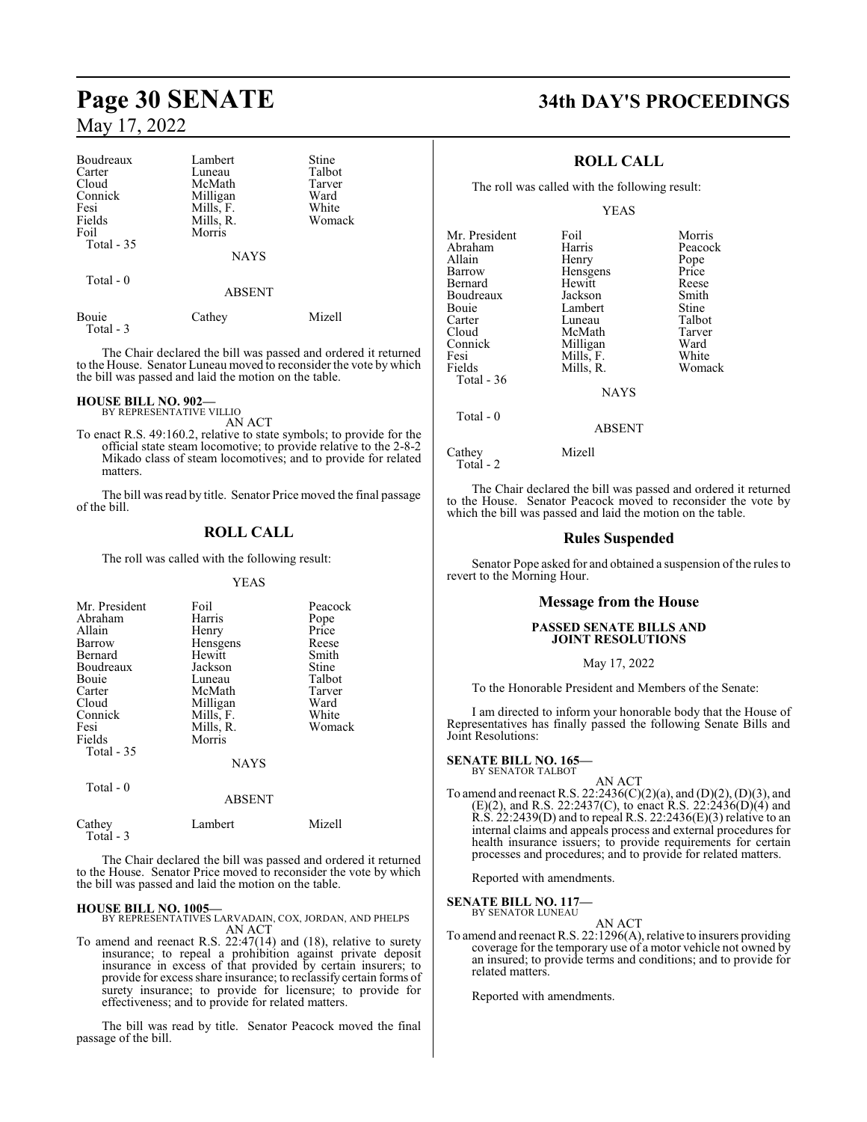| Boudreaux          | Lambert       | Stine  |  |
|--------------------|---------------|--------|--|
| Carter             | Luneau        | Talbot |  |
| Cloud              | McMath        | Tarver |  |
| Connick            | Milligan      | Ward   |  |
| Fesi               | Mills, F.     | White  |  |
| Fields             | Mills, R.     | Womack |  |
| Foil               | Morris        |        |  |
| Total $-35$        |               |        |  |
|                    | <b>NAYS</b>   |        |  |
| Total $-0$         |               |        |  |
|                    | <b>ABSENT</b> |        |  |
| Bouie<br>Total - 3 | Cathey        | Mizell |  |

The Chair declared the bill was passed and ordered it returned to the House. Senator Luneau moved to reconsider the vote by which the bill was passed and laid the motion on the table.

# **HOUSE BILL NO. 902—** BY REPRESENTATIVE VILLIO

AN ACT

To enact R.S. 49:160.2, relative to state symbols; to provide for the official state steam locomotive; to provide relative to the 2-8-2 Mikado class of steam locomotives; and to provide for related matters.

The bill was read by title. Senator Price moved the final passage of the bill.

## **ROLL CALL**

The roll was called with the following result:

#### YEAS

| Mr. President<br>Abraham<br>Allain<br>Barrow<br>Bernard<br>Boudreaux<br>Bouie<br>Carter<br>Cloud<br>Connick<br>Fesi<br>Fields<br>Total - 35 | Foil<br>Harris<br>Henry<br>Hensgens<br>Hewitt<br>Jackson<br>Luneau<br>McMath<br>Milligan<br>Mills, F.<br>Mills, R.<br>Morris | Peacock<br>Pope<br>Price<br>Reese<br>Smith<br>Stine<br>Talbot<br>Tarver<br>Ward<br>White<br>Womack |
|---------------------------------------------------------------------------------------------------------------------------------------------|------------------------------------------------------------------------------------------------------------------------------|----------------------------------------------------------------------------------------------------|
|                                                                                                                                             | <b>NAYS</b>                                                                                                                  |                                                                                                    |
| Total $-0$                                                                                                                                  | ABSENT                                                                                                                       |                                                                                                    |

| $\begin{array}{c}\n\text{Cathey} \\ \text{Total - 3}\n\end{array}$ | Lambert | Mizell |
|--------------------------------------------------------------------|---------|--------|

The Chair declared the bill was passed and ordered it returned to the House. Senator Price moved to reconsider the vote by which the bill was passed and laid the motion on the table.

#### **HOUSE BILL NO. 1005—**

BY REPRESENTATIVES LARVADAIN, COX, JORDAN, AND PHELPS AN ACT

To amend and reenact R.S. 22:47(14) and (18), relative to surety insurance; to repeal a prohibition against private deposit insurance in excess of that provided by certain insurers; to provide for excess share insurance; to reclassify certain forms of surety insurance; to provide for licensure; to provide for effectiveness; and to provide for related matters.

The bill was read by title. Senator Peacock moved the final passage of the bill.

# **Page 30 SENATE 34th DAY'S PROCEEDINGS**

## **ROLL CALL**

The roll was called with the following result:

YEAS

| Mr. President | Foil        | Morris  |
|---------------|-------------|---------|
| Abraham       | Harris      | Peacock |
| Allain        | Henry       | Pope    |
| Barrow        | Hensgens    | Price   |
| Bernard       | Hewitt      | Reese   |
| Boudreaux     | Jackson     | Smith   |
| Bouie         | Lambert     | Stine   |
| Carter        | Luneau      | Talbot  |
| Cloud         | McMath      | Tarver  |
| Connick       | Milligan    | Ward    |
| Fesi          | Mills, F.   | White   |
| Fields        | Mills, R.   | Womack  |
| Total - 36    |             |         |
|               | <b>NAYS</b> |         |
| $Total - 0$   |             |         |

Cathey Mizell

Total - 2

The Chair declared the bill was passed and ordered it returned to the House. Senator Peacock moved to reconsider the vote by which the bill was passed and laid the motion on the table.

ABSENT

#### **Rules Suspended**

Senator Pope asked for and obtained a suspension of the rules to revert to the Morning Hour.

#### **Message from the House**

#### **PASSED SENATE BILLS AND JOINT RESOLUTIONS**

#### May 17, 2022

To the Honorable President and Members of the Senate:

I am directed to inform your honorable body that the House of Representatives has finally passed the following Senate Bills and Joint Resolutions:

# **SENATE BILL NO. 165—**<br>BY SENATOR TALBOT

AN ACT To amend and reenact R.S. 22:2436(C)(2)(a), and (D)(2), (D)(3), and (E)(2), and R.S. 22:2437(C), to enact R.S. 22:2436(D)(4) and  $R.S. 22:2439(D)$  and to repeal R.S. 22:2436(E)(3) relative to an internal claims and appeals process and external procedures for health insurance issuers; to provide requirements for certain processes and procedures; and to provide for related matters.

Reported with amendments.

#### **SENATE BILL NO. 117** BY SENATOR LUNEAU

- AN ACT
- To amend and reenact R.S. 22:1296(A), relative to insurers providing coverage for the temporary use of a motor vehicle not owned by an insured; to provide terms and conditions; and to provide for related matters.

Reported with amendments.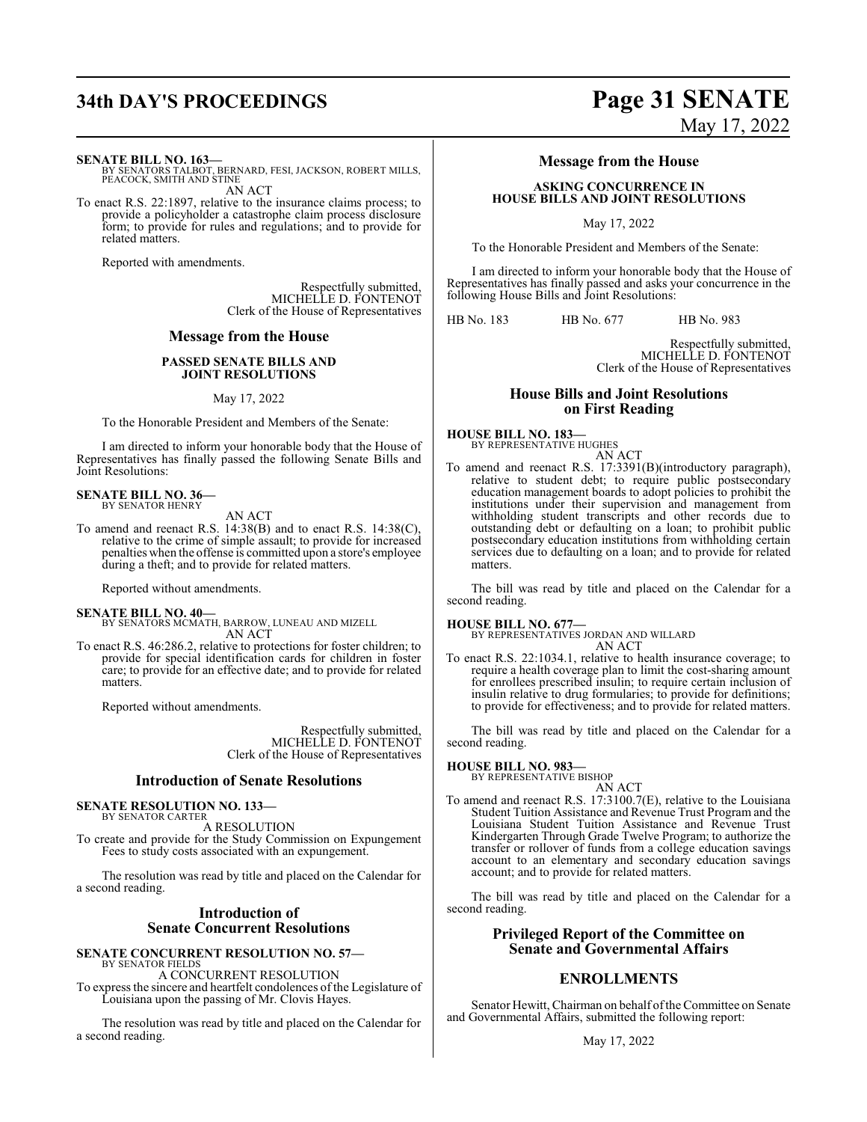**SENATE BILL NO. 163—**

BY SENATORS TALBOT, BERNARD, FESI, JACKSON, ROBERT MILLS, PEACOCK, SMITH AND STINE AN ACT

To enact R.S. 22:1897, relative to the insurance claims process; to provide a policyholder a catastrophe claim process disclosure form; to provide for rules and regulations; and to provide for related matters.

Reported with amendments.

Respectfully submitted, MICHELLE D. FONTENOT Clerk of the House of Representatives

#### **Message from the House**

#### **PASSED SENATE BILLS AND JOINT RESOLUTIONS**

May 17, 2022

To the Honorable President and Members of the Senate:

I am directed to inform your honorable body that the House of Representatives has finally passed the following Senate Bills and Joint Resolutions:

# **SENATE BILL NO. 36—** BY SENATOR HENRY

AN ACT

To amend and reenact R.S. 14:38(B) and to enact R.S. 14:38(C), relative to the crime of simple assault; to provide for increased penalties when the offense is committed upon a store's employee during a theft; and to provide for related matters.

Reported without amendments.

- **SENATE BILL NO. 40—** BY SENATORS MCMATH, BARROW, LUNEAU AND MIZELL AN ACT
- To enact R.S. 46:286.2, relative to protections for foster children; to provide for special identification cards for children in foster care; to provide for an effective date; and to provide for related matters.

Reported without amendments.

Respectfully submitted, MICHELLE D. FONTENOT Clerk of the House of Representatives

#### **Introduction of Senate Resolutions**

#### **SENATE RESOLUTION NO. 133—** BY SENATOR CARTER

A RESOLUTION

To create and provide for the Study Commission on Expungement Fees to study costs associated with an expungement.

The resolution was read by title and placed on the Calendar for a second reading.

## **Introduction of Senate Concurrent Resolutions**

**SENATE CONCURRENT RESOLUTION NO. 57—** BY SENATOR FIELDS A CONCURRENT RESOLUTION

To express the sincere and heartfelt condolences of the Legislature of Louisiana upon the passing of Mr. Clovis Hayes.

The resolution was read by title and placed on the Calendar for a second reading.

# **34th DAY'S PROCEEDINGS Page 31 SENATE** May 17, 2022

### **Message from the House**

**ASKING CONCURRENCE IN HOUSE BILLS AND JOINT RESOLUTIONS**

May 17, 2022

To the Honorable President and Members of the Senate:

I am directed to inform your honorable body that the House of Representatives has finally passed and asks your concurrence in the following House Bills and Joint Resolutions:

HB No. 183 HB No. 677 HB No. 983

Respectfully submitted, MICHELLE D. FONTENOT Clerk of the House of Representatives

#### **House Bills and Joint Resolutions on First Reading**

**HOUSE BILL NO. 183—** BY REPRESENTATIVE HUGHES

AN ACT

To amend and reenact R.S. 17:3391(B)(introductory paragraph), relative to student debt; to require public postsecondary education management boards to adopt policies to prohibit the institutions under their supervision and management from withholding student transcripts and other records due to outstanding debt or defaulting on a loan; to prohibit public postsecondary education institutions from withholding certain services due to defaulting on a loan; and to provide for related matters.

The bill was read by title and placed on the Calendar for a second reading.

#### **HOUSE BILL NO. 677—**

BY REPRESENTATIVES JORDAN AND WILLARD AN ACT

To enact R.S. 22:1034.1, relative to health insurance coverage; to require a health coverage plan to limit the cost-sharing amount for enrollees prescribed insulin; to require certain inclusion of insulin relative to drug formularies; to provide for definitions; to provide for effectiveness; and to provide for related matters.

The bill was read by title and placed on the Calendar for a second reading.

#### **HOUSE BILL NO. 983—**

BY REPRESENTATIVE BISHOP AN ACT

To amend and reenact R.S. 17:3100.7(E), relative to the Louisiana Student Tuition Assistance and Revenue Trust Program and the Louisiana Student Tuition Assistance and Revenue Trust Kindergarten Through Grade Twelve Program; to authorize the transfer or rollover of funds from a college education savings account to an elementary and secondary education savings account; and to provide for related matters.

The bill was read by title and placed on the Calendar for a second reading.

#### **Privileged Report of the Committee on Senate and Governmental Affairs**

#### **ENROLLMENTS**

Senator Hewitt, Chairman on behalf of the Committee on Senate and Governmental Affairs, submitted the following report: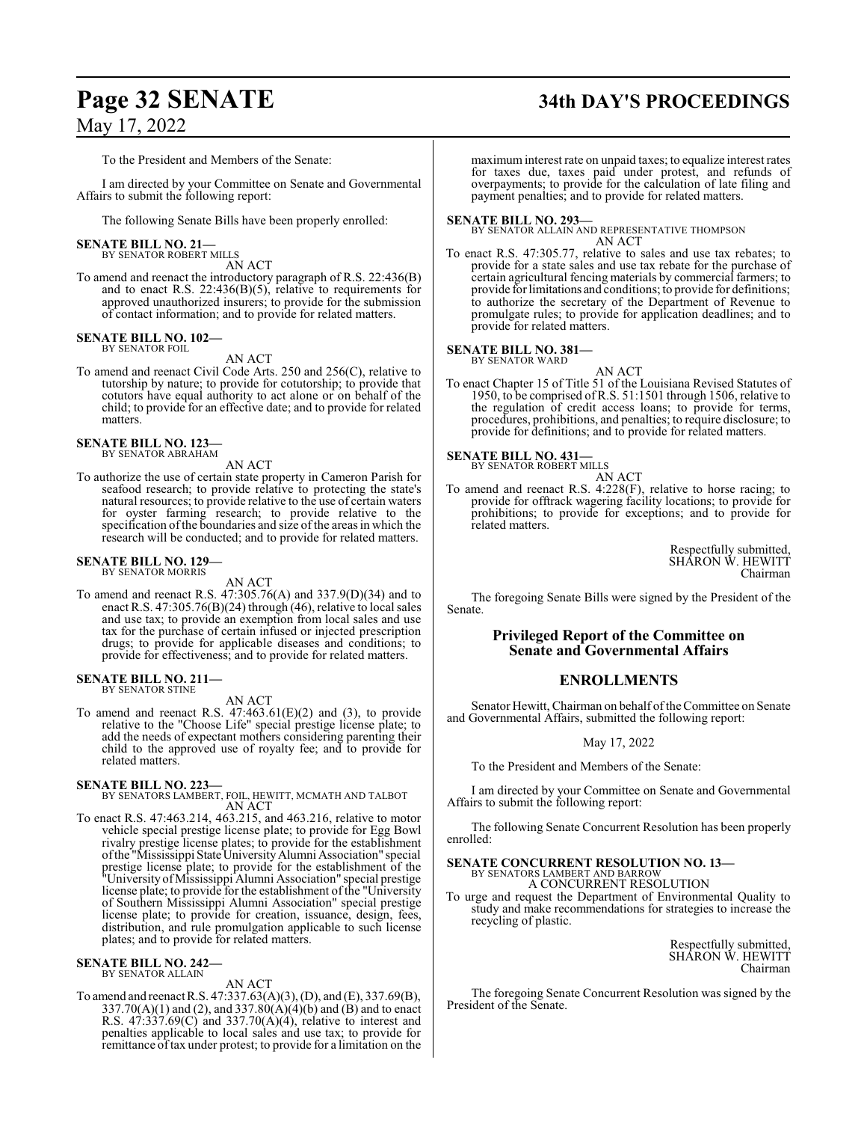# **Page 32 SENATE 34th DAY'S PROCEEDINGS**

## May 17, 2022

To the President and Members of the Senate:

I am directed by your Committee on Senate and Governmental Affairs to submit the following report:

The following Senate Bills have been properly enrolled:

#### **SENATE BILL NO. 21—** BY SENATOR ROBERT MILLS

AN ACT

To amend and reenact the introductory paragraph of R.S. 22:436(B) and to enact R.S. 22:436(B)(5), relative to requirements for approved unauthorized insurers; to provide for the submission of contact information; and to provide for related matters.

# **SENATE BILL NO. 102—** BY SENATOR FOIL

AN ACT

To amend and reenact Civil Code Arts. 250 and 256(C), relative to tutorship by nature; to provide for cotutorship; to provide that cotutors have equal authority to act alone or on behalf of the child; to provide for an effective date; and to provide for related matters.

#### **SENATE BILL NO. 123—**

BY SENATOR ABRAHAM

- AN ACT To authorize the use of certain state property in Cameron Parish for seafood research; to provide relative to protecting the state's
- natural resources; to provide relative to the use of certain waters for oyster farming research; to provide relative to the specification ofthe boundaries and size of the areas in which the research will be conducted; and to provide for related matters.

#### **SENATE BILL NO. 129—** BY SENATOR MORRIS

AN ACT

To amend and reenact R.S. 47:305.76(A) and 337.9(D)(34) and to enact R.S.  $47:305.76(B)(24)$  through (46), relative to local sales and use tax; to provide an exemption from local sales and use tax for the purchase of certain infused or injected prescription drugs; to provide for applicable diseases and conditions; to provide for effectiveness; and to provide for related matters.

#### **SENATE BILL NO. 211—** BY SENATOR STINE

AN ACT

To amend and reenact R.S.  $47:463.61(E)(2)$  and (3), to provide relative to the "Choose Life" special prestige license plate; to add the needs of expectant mothers considering parenting their child to the approved use of royalty fee; and to provide for related matters.

#### **SENATE BILL NO. 223—**

BY SENATORS LAMBERT, FOIL, HEWITT, MCMATH AND TALBOT AN ACT

To enact R.S. 47:463.214, 463.215, and 463.216, relative to motor vehicle special prestige license plate; to provide for Egg Bowl rivalry prestige license plates; to provide for the establishment ofthe "Mississippi StateUniversityAlumni Association" special prestige license plate; to provide for the establishment of the "University ofMississippi Alumni Association" special prestige license plate; to provide for the establishment of the "University of Southern Mississippi Alumni Association" special prestige license plate; to provide for creation, issuance, design, fees, distribution, and rule promulgation applicable to such license plates; and to provide for related matters.

#### **SENATE BILL NO. 242—** BY SENATOR ALLAIN

AN ACT

To amend and reenact R.S. 47:337.63(A)(3), (D), and (E), 337.69(B), 337.70(A)(1) and (2), and 337.80(A)(4)(b) and (B) and to enact R.S. 47:337.69(C) and 337.70(A)(4), relative to interest and penalties applicable to local sales and use tax; to provide for remittance oftax under protest; to provide for a limitation on the

maximuminterest rate on unpaid taxes; to equalize interest rates for taxes due, taxes paid under protest, and refunds of overpayments; to provide for the calculation of late filing and payment penalties; and to provide for related matters.

#### **SENATE BILL NO. 293—**

BY SENATOR ALLAIN AND REPRESENTATIVE THOMPSON AN ACT

To enact R.S. 47:305.77, relative to sales and use tax rebates; to provide for a state sales and use tax rebate for the purchase of certain agricultural fencing materials by commercial farmers; to provide for limitations and conditions; to provide for definitions; to authorize the secretary of the Department of Revenue to promulgate rules; to provide for application deadlines; and to provide for related matters.

#### **SENATE BILL NO. 381—**

BY SENATOR WARD

AN ACT

To enact Chapter 15 of Title 51 of the Louisiana Revised Statutes of 1950, to be comprised of R.S. 51:1501 through 1506, relative to the regulation of credit access loans; to provide for terms, procedures, prohibitions, and penalties; to require disclosure; to provide for definitions; and to provide for related matters.

#### **SENATE BILL NO. 431—**



To amend and reenact R.S. 4:228(F), relative to horse racing; to provide for offtrack wagering facility locations; to provide for prohibitions; to provide for exceptions; and to provide for related matters.

> Respectfully submitted, SHARON W. HEWITT Chairman

The foregoing Senate Bills were signed by the President of the Senate.

#### **Privileged Report of the Committee on Senate and Governmental Affairs**

#### **ENROLLMENTS**

Senator Hewitt, Chairman on behalf of the Committee on Senate and Governmental Affairs, submitted the following report:

May 17, 2022

To the President and Members of the Senate:

I am directed by your Committee on Senate and Governmental Affairs to submit the following report:

The following Senate Concurrent Resolution has been properly enrolled:

#### **SENATE CONCURRENT RESOLUTION NO. 13—** BY SENATORS LAMBERT AND BARROW

A CONCURRENT RESOLUTION

To urge and request the Department of Environmental Quality to study and make recommendations for strategies to increase the recycling of plastic.

> Respectfully submitted, SHARON W. HEWITT Chairman

The foregoing Senate Concurrent Resolution was signed by the President of the Senate.